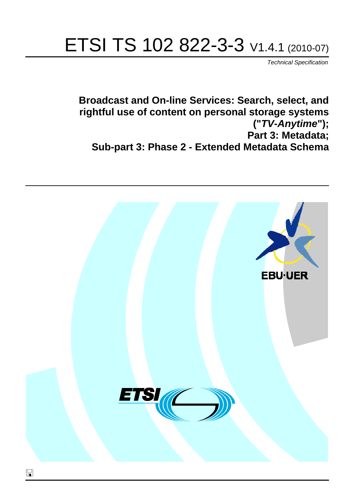# ETSI TS 102 822-3-3 V1.4.1 (2010-07)

*Technical Specification*

**Broadcast and On-line Services: Search, select, and rightful use of content on personal storage systems ("***TV-Anytime***"); Part 3: Metadata; Sub-part 3: Phase 2 - Extended Metadata Schema**

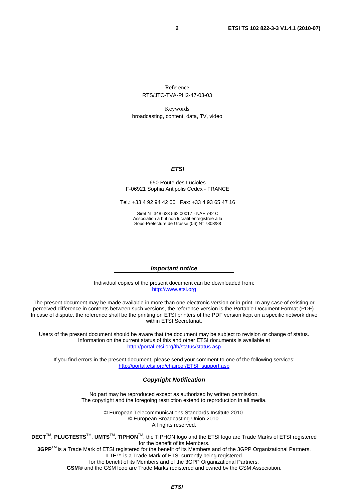Reference

RTS/JTC-TVA-PH2-47-03-03

Keywords broadcasting, content, data, TV, video

#### *ETSI*

#### 650 Route des Lucioles F-06921 Sophia Antipolis Cedex - FRANCE

Tel.: +33 4 92 94 42 00 Fax: +33 4 93 65 47 16

Siret N° 348 623 562 00017 - NAF 742 C Association à but non lucratif enregistrée à la Sous-Préfecture de Grasse (06) N° 7803/88

#### *Important notice*

Individual copies of the present document can be downloaded from: [http://www.etsi.org](http://www.etsi.org/)

The present document may be made available in more than one electronic version or in print. In any case of existing or perceived difference in contents between such versions, the reference version is the Portable Document Format (PDF). In case of dispute, the reference shall be the printing on ETSI printers of the PDF version kept on a specific network drive within ETSI Secretariat.

Users of the present document should be aware that the document may be subject to revision or change of status. Information on the current status of this and other ETSI documents is available at <http://portal.etsi.org/tb/status/status.asp>

If you find errors in the present document, please send your comment to one of the following services: [http://portal.etsi.org/chaircor/ETSI\\_support.asp](http://portal.etsi.org/chaircor/ETSI_support.asp)

#### *Copyright Notification*

No part may be reproduced except as authorized by written permission. The copyright and the foregoing restriction extend to reproduction in all media.

> © European Telecommunications Standards Institute 2010. © European Broadcasting Union 2010. All rights reserved.

**DECT**TM, **PLUGTESTS**TM, **UMTS**TM, **TIPHON**TM, the TIPHON logo and the ETSI logo are Trade Marks of ETSI registered for the benefit of its Members. **3GPP**TM is a Trade Mark of ETSI registered for the benefit of its Members and of the 3GPP Organizational Partners.

**LTE**™ is a Trade Mark of ETSI currently being registered

for the benefit of its Members and of the 3GPP Organizational Partners.

**GSM**® and the GSM logo are Trade Marks registered and owned by the GSM Association.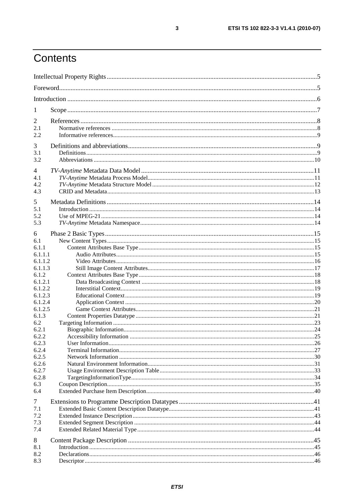# Contents

| 1                                                 |  |
|---------------------------------------------------|--|
| 2<br>2.1<br>2.2                                   |  |
| 3<br>3.1<br>3.2                                   |  |
| 4<br>4.1<br>4.2<br>4.3                            |  |
| 5<br>5.1<br>5.2<br>5.3                            |  |
| 6<br>6.1<br>6.1.1<br>6.1.1.1                      |  |
| 6.1.1.2<br>6.1.1.3<br>6.1.2<br>6.1.2.1<br>6.1.2.2 |  |
| 6.1.2.3<br>6.1.2.4<br>6.1.2.5<br>6.1.3            |  |
| 6.2<br>6.2.1<br>6.2.2<br>6.2.3                    |  |
| 6.2.4<br>6.2.5<br>6.2.6<br>6.2.7                  |  |
| 6.2.8<br>6.3<br>6.4                               |  |
| $\tau$<br>7.1<br>7.2<br>7.3<br>7.4                |  |
| 8<br>8.1<br>8.2<br>8.3                            |  |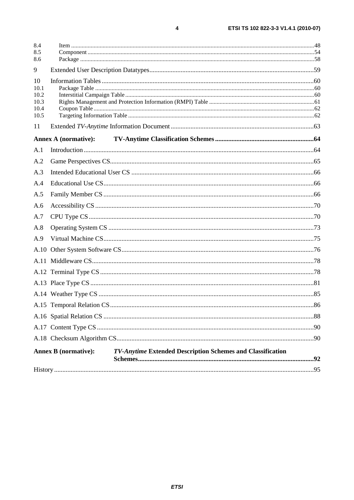| 8.4          |                                                                                           |  |
|--------------|-------------------------------------------------------------------------------------------|--|
| 8.5<br>8.6   |                                                                                           |  |
| 9            |                                                                                           |  |
| 10           |                                                                                           |  |
| 10.1         |                                                                                           |  |
| 10.2<br>10.3 |                                                                                           |  |
| 10.4         |                                                                                           |  |
| 10.5         |                                                                                           |  |
| 11           |                                                                                           |  |
|              | <b>Annex A (normative):</b>                                                               |  |
| A.1          |                                                                                           |  |
| A.2          |                                                                                           |  |
| A.3          |                                                                                           |  |
| A.4          |                                                                                           |  |
| A.5          |                                                                                           |  |
| A.6          |                                                                                           |  |
| A.7          |                                                                                           |  |
| A.8          |                                                                                           |  |
| A.9          |                                                                                           |  |
|              |                                                                                           |  |
|              |                                                                                           |  |
|              |                                                                                           |  |
|              |                                                                                           |  |
|              |                                                                                           |  |
|              |                                                                                           |  |
|              |                                                                                           |  |
|              |                                                                                           |  |
|              |                                                                                           |  |
|              | TV-Anytime Extended Description Schemes and Classification<br><b>Annex B</b> (normative): |  |
|              |                                                                                           |  |
|              |                                                                                           |  |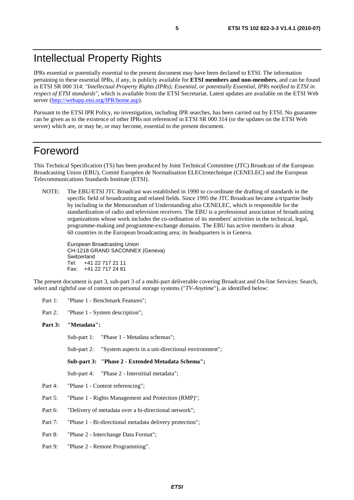# Intellectual Property Rights

IPRs essential or potentially essential to the present document may have been declared to ETSI. The information pertaining to these essential IPRs, if any, is publicly available for **ETSI members and non-members**, and can be found in ETSI SR 000 314: *"Intellectual Property Rights (IPRs); Essential, or potentially Essential, IPRs notified to ETSI in respect of ETSI standards"*, which is available from the ETSI Secretariat. Latest updates are available on the ETSI Web server [\(http://webapp.etsi.org/IPR/home.asp\)](http://webapp.etsi.org/IPR/home.asp).

Pursuant to the ETSI IPR Policy, no investigation, including IPR searches, has been carried out by ETSI. No guarantee can be given as to the existence of other IPRs not referenced in ETSI SR 000 314 (or the updates on the ETSI Web server) which are, or may be, or may become, essential to the present document.

# Foreword

This Technical Specification (TS) has been produced by Joint Technical Committee (JTC) Broadcast of the European Broadcasting Union (EBU), Comité Européen de Normalisation ELECtrotechnique (CENELEC) and the European Telecommunications Standards Institute (ETSI).

NOTE: The EBU/ETSI JTC Broadcast was established in 1990 to co-ordinate the drafting of standards in the specific field of broadcasting and related fields. Since 1995 the JTC Broadcast became a tripartite body by including in the Memorandum of Understanding also CENELEC, which is responsible for the standardization of radio and television receivers. The EBU is a professional association of broadcasting organizations whose work includes the co-ordination of its members' activities in the technical, legal, programme-making and programme-exchange domains. The EBU has active members in about 60 countries in the European broadcasting area; its headquarters is in Geneva.

European Broadcasting Union CH-1218 GRAND SACONNEX (Geneva) Switzerland Tel: +41 22 717 21 11 Fax: +41 22 717 24 81

The present document is part 3, sub-part 3 of a multi-part deliverable covering Broadcast and On-line Services: Search, select and rightful use of content on personal storage systems ("*TV-Anytime*"), as identified below:

Part 1: "Phase 1 - Benchmark Features";

Part 2: "Phase 1 - System description";

#### **Part 3: "Metadata":**

Sub-part 1: "Phase 1 - Metadata schemas";

Sub-part 2: "System aspects in a uni-directional environment";

**Sub-part 3: "Phase 2 - Extended Metadata Schema";** 

Sub-part 4: "Phase 2 - Interstitial metadata";

- Part 4: "Phase 1 Content referencing";
- Part 5: "Phase 1 Rights Management and Protection (RMP)";
- Part 6: "Delivery of metadata over a bi-directional network";
- Part 7: "Phase 1 Bi-directional metadata delivery protection";
- Part 8: "Phase 2 Interchange Data Format";
- Part 9: "Phase 2 Remote Programming".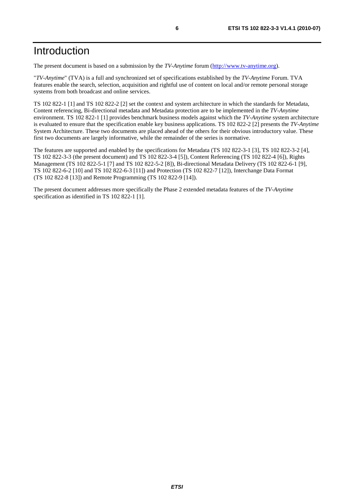The present document is based on a submission by the *TV-Anytime* forum [\(http://www.tv-anytime.org](http://www.tv-anytime.org/)).

"*TV-Anytime*" (TVA) is a full and synchronized set of specifications established by the *TV-Anytime* Forum. TVA features enable the search, selection, acquisition and rightful use of content on local and/or remote personal storage systems from both broadcast and online services.

TS 102 822-1 [1] and TS 102 822-2 [2] set the context and system architecture in which the standards for Metadata, Content referencing, Bi-directional metadata and Metadata protection are to be implemented in the *TV-Anytime* environment. TS 102 822-1 [1] provides benchmark business models against which the *TV-Anytime* system architecture is evaluated to ensure that the specification enable key business applications. TS 102 822-2 [2] presents the *TV-Anytime* System Architecture. These two documents are placed ahead of the others for their obvious introductory value. These first two documents are largely informative, while the remainder of the series is normative.

The features are supported and enabled by the specifications for Metadata (TS 102 822-3-1 [3], TS 102 822-3-2 [4], TS 102 822-3-3 (the present document) and TS 102 822-3-4 [5]), Content Referencing (TS 102 822-4 [6]), Rights Management (TS 102 822-5-1 [7] and TS 102 822-5-2 [8]), Bi-directional Metadata Delivery (TS 102 822-6-1 [9], TS 102 822-6-2 [10] and TS 102 822-6-3 [11]) and Protection (TS 102 822-7 [12]), Interchange Data Format (TS 102 822-8 [13]) and Remote Programming (TS 102 822-9 [14]).

The present document addresses more specifically the Phase 2 extended metadata features of the *TV-Anytime* specification as identified in TS 102 822-1 [1].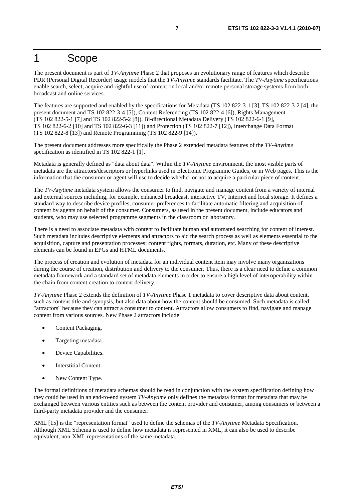# 1 Scope

The present document is part of *TV-Anytime* Phase 2 that proposes an evolutionary range of features which describe PDR (Personal Digital Recorder) usage models that the *TV-Anytime* standards facilitate. The *TV-Anytime* specifications enable search, select, acquire and rightful use of content on local and/or remote personal storage systems from both broadcast and online services.

The features are supported and enabled by the specifications for Metadata (TS 102 822-3-1 [3], TS 102 822-3-2 [4], the present document and TS 102 822-3-4 [5]), Content Referencing (TS 102 822-4 [6]), Rights Management (TS 102 822-5-1 [7] and TS 102 822-5-2 [8]), Bi-directional Metadata Delivery (TS 102 822-6-1 [9], TS 102 822-6-2 [10] and TS 102 822-6-3 [11]) and Protection (TS 102 822-7 [12]), Interchange Data Format (TS 102 822-8 [13]) and Remote Programming (TS 102 822-9 [14]).

The present document addresses more specifically the Phase 2 extended metadata features of the *TV-Anytime* specification as identified in TS 102 822-1 [1].

Metadata is generally defined as "data about data". Within the *TV-Anytime* environment, the most visible parts of metadata are the attractors/descriptors or hyperlinks used in Electronic Programme Guides, or in Web pages. This is the information that the consumer or agent will use to decide whether or not to acquire a particular piece of content.

The *TV-Anytime* metadata system allows the consumer to find, navigate and manage content from a variety of internal and external sources including, for example, enhanced broadcast, interactive TV, Internet and local storage. It defines a standard way to describe device profiles, consumer preferences to facilitate automatic filtering and acquisition of content by agents on behalf of the consumer. Consumers, as used in the present document, include educators and students, who may use selected programme segments in the classroom or laboratory.

There is a need to associate metadata with content to facilitate human and automated searching for content of interest. Such metadata includes descriptive elements and attractors to aid the search process as well as elements essential to the acquisition, capture and presentation processes; content rights, formats, duration, etc. Many of these descriptive elements can be found in EPGs and HTML documents.

The process of creation and evolution of metadata for an individual content item may involve many organizations during the course of creation, distribution and delivery to the consumer. Thus, there is a clear need to define a common metadata framework and a standard set of metadata elements in order to ensure a high level of interoperability within the chain from content creation to content delivery.

*TV-Anytime* Phase 2 extends the definition of *TV-Anytime* Phase 1 metadata to cover descriptive data about content, such as content title and synopsis, but also data about how the content should be consumed. Such metadata is called "attractors" because they can attract a consumer to content. Attractors allow consumers to find, navigate and manage content from various sources. New Phase 2 attractors include:

- Content Packaging.
- Targeting metadata.
- Device Capabilities.
- Interstitial Content.
- New Content Type.

The formal definitions of metadata schemas should be read in conjunction with the system specification defining how they could be used in an end-to-end system *TV-Anytime* only defines the metadata format for metadata that may be exchanged between various entities such as between the content provider and consumer, among consumers or between a third-party metadata provider and the consumer.

XML [15] is the "representation format" used to define the schemas of the *TV-Anytime* Metadata Specification. Although XML Schema is used to define how metadata is represented in XML, it can also be used to describe equivalent, non-XML representations of the same metadata.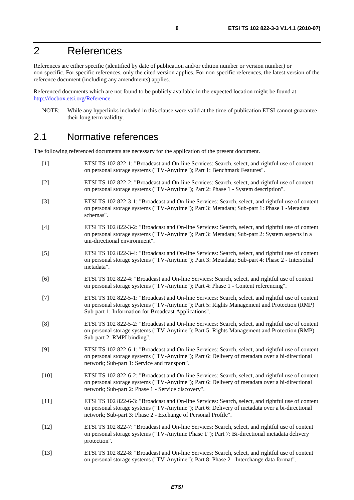# 2 References

References are either specific (identified by date of publication and/or edition number or version number) or non-specific. For specific references, only the cited version applies. For non-specific references, the latest version of the reference document (including any amendments) applies.

Referenced documents which are not found to be publicly available in the expected location might be found at [http://docbox.etsi.org/Reference.](http://docbox.etsi.org/Reference)

NOTE: While any hyperlinks included in this clause were valid at the time of publication ETSI cannot guarantee their long term validity.

### 2.1 Normative references

The following referenced documents are necessary for the application of the present document.

- [1] ETSI TS 102 822-1: "Broadcast and On-line Services: Search, select, and rightful use of content on personal storage systems ("TV-Anytime"); Part 1: Benchmark Features". [2] ETSI TS 102 822-2: "Broadcast and On-line Services: Search, select, and rightful use of content on personal storage systems ("TV-Anytime"); Part 2: Phase 1 - System description". [3] ETSI TS 102 822-3-1: "Broadcast and On-line Services: Search, select, and rightful use of content on personal storage systems ("TV-Anytime"); Part 3: Metadata; Sub-part 1: Phase 1 -Metadata schemas". [4] ETSI TS 102 822-3-2: "Broadcast and On-line Services: Search, select, and rightful use of content on personal storage systems ("TV-Anytime"); Part 3: Metadata; Sub-part 2: System aspects in a uni-directional environment". [5] ETSI TS 102 822-3-4: "Broadcast and On-line Services: Search, select, and rightful use of content on personal storage systems ("TV-Anytime"); Part 3: Metadata; Sub-part 4: Phase 2 - Interstitial metadata". [6] ETSI TS 102 822-4: "Broadcast and On-line Services: Search, select, and rightful use of content on personal storage systems ("TV-Anytime"); Part 4: Phase 1 - Content referencing". [7] ETSI TS 102 822-5-1: "Broadcast and On-line Services: Search, select, and rightful use of content on personal storage systems ("TV-Anytime"); Part 5: Rights Management and Protection (RMP) Sub-part 1: Information for Broadcast Applications". [8] ETSI TS 102 822-5-2: "Broadcast and On-line Services: Search, select, and rightful use of content on personal storage systems ("TV-Anytime"); Part 5: Rights Management and Protection (RMP) Sub-part 2: RMPI binding". [9] ETSI TS 102 822-6-1: "Broadcast and On-line Services: Search, select, and rightful use of content on personal storage systems ("TV-Anytime"); Part 6: Delivery of metadata over a bi-directional network; Sub-part 1: Service and transport". [10] ETSI TS 102 822-6-2: "Broadcast and On-line Services: Search, select, and rightful use of content on personal storage systems ("TV-Anytime"); Part 6: Delivery of metadata over a bi-directional network; Sub-part 2: Phase 1 - Service discovery". [11] ETSI TS 102 822-6-3: "Broadcast and On-line Services: Search, select, and rightful use of content on personal storage systems ("TV-Anytime"); Part 6: Delivery of metadata over a bi-directional network; Sub-part 3: Phase 2 - Exchange of Personal Profile". [12] ETSI TS 102 822-7: "Broadcast and On-line Services: Search, select, and rightful use of content on personal storage systems ("TV-Anytime Phase 1"); Part 7: Bi-directional metadata delivery protection". [13] ETSI TS 102 822-8: "Broadcast and On-line Services: Search, select, and rightful use of content
- on personal storage systems ("TV-Anytime"); Part 8: Phase 2 Interchange data format".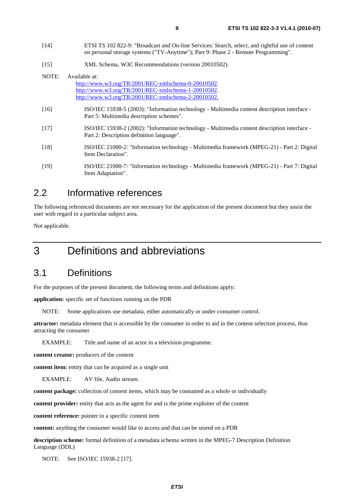- [14] ETSI TS 102 822-9: "Broadcast and On-line Services: Search, select, and rightful use of content on personal storage systems ("TV-Anytime"); Part 9: Phase 2 - Remote Programming".
- [15] XML Schema, W3C Recommendations (version 20010502).

| NOTE:  | Available at:                                                                                                                             |
|--------|-------------------------------------------------------------------------------------------------------------------------------------------|
|        | http://www.w3.org/TR/2001/REC-xmlschema-0-20010502.                                                                                       |
|        | http://www.w3.org/TR/2001/REC-xmlschema-1-20010502.                                                                                       |
|        | http://www.w3.org/TR/2001/REC-xmlschema-2-20010502.                                                                                       |
| [16]   | ISO/IEC 15938-5 (2003): "Information technology - Multimedia content description interface -<br>Part 5: Multimedia description schemes".  |
| $[17]$ | ISO/IEC 15938-2 (2002): "Information technology - Multimedia content description interface -<br>Part 2: Description definition language". |
| $[18]$ | ISO/IEC 21000-2: "Information technology - Multimedia framework (MPEG-21) - Part 2: Digital<br>Item Declaration".                         |
| $[19]$ | ISO/IEC 21000-7: "Information technology - Multimedia framework (MPEG-21) - Part 7: Digital<br>Item Adaptation".                          |

# 2.2 Informative references

The following referenced documents are not necessary for the application of the present document but they assist the user with regard to a particular subject area.

Not applicable.

# 3 Definitions and abbreviations

# 3.1 Definitions

For the purposes of the present document, the following terms and definitions apply:

**application:** specific set of functions running on the PDR

NOTE: Some applications use metadata, either automatically or under consumer control.

**attractor:** metadata element that is accessible by the consumer in order to aid in the content selection process, thus attracting the consumer

EXAMPLE: Title and name of an actor in a television programme.

**content creator:** producers of the content

**content item:** entity that can be acquired as a single unit

EXAMPLE: AV file, Audio stream.

**content package:** collection of content items, which may be consumed as a whole or individually

**content provider:** entity that acts as the agent for and is the prime exploiter of the content

**content reference:** pointer to a specific content item

**content:** anything the consumer would like to access and that can be stored on a PDR

**description scheme:** formal definition of a metadata schema written in the MPEG-7 Description Definition Language (DDL)

NOTE: See ISO/IEC 15938-2 [17].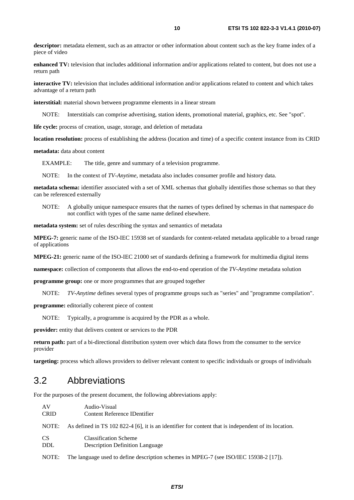**descriptor:** metadata element, such as an attractor or other information about content such as the key frame index of a piece of video

**enhanced TV:** television that includes additional information and/or applications related to content, but does not use a return path

**interactive TV:** television that includes additional information and/or applications related to content and which takes advantage of a return path

**interstitial:** material shown between programme elements in a linear stream

Interstitials can comprise advertising, station idents, promotional material, graphics, etc. See "spot".

**life cycle:** process of creation, usage, storage, and deletion of metadata

**location resolution:** process of establishing the address (location and time) of a specific content instance from its CRID

**metadata:** data about content

EXAMPLE: The title, genre and summary of a television programme.

NOTE: In the context of *TV-Anytime*, metadata also includes consumer profile and history data.

**metadata schema:** identifier associated with a set of XML schemas that globally identifies those schemas so that they can be referenced externally

NOTE: A globally unique namespace ensures that the names of types defined by schemas in that namespace do not conflict with types of the same name defined elsewhere.

**metadata system:** set of rules describing the syntax and semantics of metadata

**MPEG-7:** generic name of the ISO-IEC 15938 set of standards for content-related metadata applicable to a broad range of applications

**MPEG-21:** generic name of the ISO-IEC 21000 set of standards defining a framework for multimedia digital items

**namespace:** collection of components that allows the end-to-end operation of the *TV-Anytime* metadata solution

**programme group:** one or more programmes that are grouped together

NOTE: *TV-Anytime* defines several types of programme groups such as "series" and "programme compilation".

**programme:** editorially coherent piece of content

NOTE: Typically, a programme is acquired by the PDR as a whole.

**provider:** entity that delivers content or services to the PDR

**return path:** part of a bi-directional distribution system over which data flows from the consumer to the service provider

**targeting:** process which allows providers to deliver relevant content to specific individuals or groups of individuals

### 3.2 Abbreviations

For the purposes of the present document, the following abbreviations apply:

| AV          | Audio-Visual                                                                                         |
|-------------|------------------------------------------------------------------------------------------------------|
| <b>CRID</b> | Content Reference IDentifier                                                                         |
| NOTE:       | As defined in TS 102 822-4 [6], it is an identifier for content that is independent of its location. |
| CS.         | <b>Classification Scheme</b>                                                                         |
| DDL.        | <b>Description Definition Language</b>                                                               |
|             |                                                                                                      |

NOTE: The language used to define description schemes in MPEG-7 (see ISO/IEC 15938-2 [17]).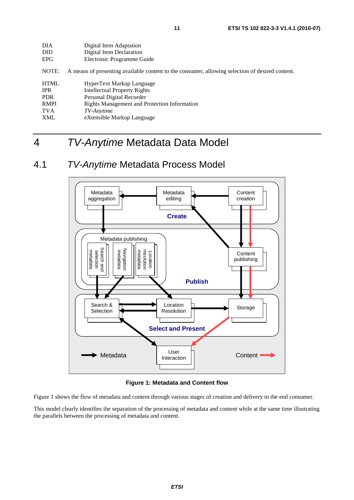| DIA         | Digital Item Adaptation                                                                         |
|-------------|-------------------------------------------------------------------------------------------------|
| <b>DID</b>  | Digital Item Declaration                                                                        |
| <b>EPG</b>  | Electronic Programme Guide                                                                      |
| NOTE:       | A means of presenting available content to the consumer, allowing selection of desired content. |
| <b>HTML</b> | HyperText Markup Language                                                                       |
| <b>IPR</b>  | Intellectual Property Rights                                                                    |
| <b>PDR</b>  | Personal Digital Recorder                                                                       |
| <b>RMPI</b> | <b>Rights Management and Protection Information</b>                                             |
| <b>TVA</b>  | TV-Anytime                                                                                      |
| <b>XML</b>  | eXtensible Markup Language                                                                      |
|             |                                                                                                 |

# 4 *TV-Anytime* Metadata Data Model

# 4.1 *TV-Anytime* Metadata Process Model



**Figure 1: Metadata and Content flow** 

Figure 1 shows the flow of metadata and content through various stages of creation and delivery to the end consumer.

This model clearly identifies the separation of the processing of metadata and content while at the same time illustrating the parallels between the processing of metadata and content.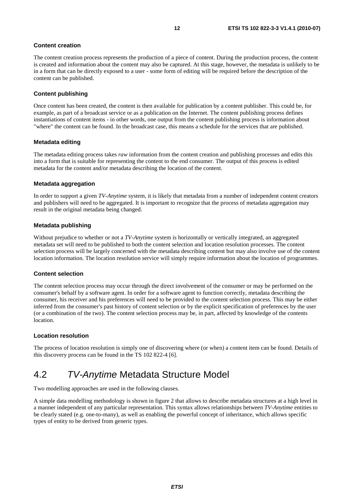#### **Content creation**

The content creation process represents the production of a piece of content. During the production process, the content is created and information about the content may also be captured. At this stage, however, the metadata is unlikely to be in a form that can be directly exposed to a user - some form of editing will be required before the description of the content can be published.

#### **Content publishing**

Once content has been created, the content is then available for publication by a content publisher. This could be, for example, as part of a broadcast service or as a publication on the Internet. The content publishing process defines instantiations of content items - in other words, one output from the content publishing process is information about "where" the content can be found. In the broadcast case, this means a schedule for the services that are published.

#### **Metadata editing**

The metadata editing process takes *raw* information from the content creation and publishing processes and edits this into a form that is suitable for representing the content to the end consumer. The output of this process is edited metadata for the content and/or metadata describing the location of the content.

#### **Metadata aggregation**

In order to support a given *TV-Anytime* system, it is likely that metadata from a number of independent content creators and publishers will need to be aggregated. It is important to recognize that the process of metadata aggregation may result in the original metadata being changed.

#### **Metadata publishing**

Without prejudice to whether or not a *TV-Anytime* system is horizontally or vertically integrated, an aggregated metadata set will need to be published to both the content selection and location resolution processes. The content selection process will be largely concerned with the metadata describing content but may also involve use of the content location information. The location resolution service will simply require information about the location of programmes.

#### **Content selection**

The content selection process may occur through the direct involvement of the consumer or may be performed on the consumer's behalf by a software agent. In order for a software agent to function correctly, metadata describing the consumer, his receiver and his preferences will need to be provided to the content selection process. This may be either inferred from the consumer's past history of content selection or by the explicit specification of preferences by the user (or a combination of the two). The content selection process may be, in part, affected by knowledge of the contents location.

#### **Location resolution**

The process of location resolution is simply one of discovering where (or when) a content item can be found. Details of this discovery process can be found in the TS 102 822-4 [6].

## 4.2 *TV-Anytime* Metadata Structure Model

Two modelling approaches are used in the following clauses.

A simple data modelling methodology is shown in figure 2 that allows to describe metadata structures at a high level in a manner independent of any particular representation. This syntax allows relationships between *TV-Anytime* entities to be clearly stated (e.g. one-to-many), as well as enabling the powerful concept of inheritance, which allows specific types of entity to be derived from generic types.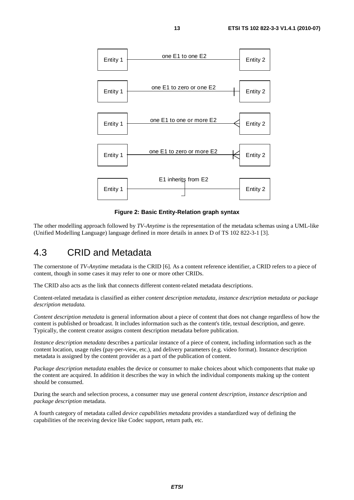

**Figure 2: Basic Entity-Relation graph syntax** 

The other modelling approach followed by *TV-Anytime* is the representation of the metadata schemas using a UML-like (Unified Modelling Language) language defined in more details in annex D of TS 102 822-3-1 [3].

### 4.3 CRID and Metadata

The cornerstone of *TV-Anytime* metadata is the CRID [6]. As a content reference identifier, a CRID refers to a piece of content, though in some cases it may refer to one or more other CRIDs.

The CRID also acts as the link that connects different content-related metadata descriptions.

Content-related metadata is classified as either *content description metadata, instance description metadata or package description metadata.*

*Content description metadata* is general information about a piece of content that does not change regardless of how the content is published or broadcast. It includes information such as the content's title, textual description, and genre. Typically, the content creator assigns content description metadata before publication.

*Instance description metadata* describes a particular instance of a piece of content, including information such as the content location, usage rules (pay-per-view, etc.), and delivery parameters (e.g. video format). Instance description metadata is assigned by the content provider as a part of the publication of content.

*Package description metadata* enables the device or consumer to make choices about which components that make up the content are acquired. In addition it describes the way in which the individual components making up the content should be consumed.

During the search and selection process, a consumer may use general *content description*, *instance description* and *package description* metadata.

A fourth category of metadata called *device capabilities metadata* provides a standardized way of defining the capabilities of the receiving device like Codec support, return path, etc.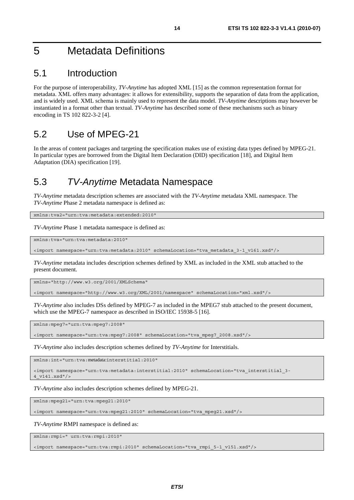# 5 Metadata Definitions

## 5.1 Introduction

For the purpose of interoperability, *TV-Anytime* has adopted XML [15] as the common representation format for metadata. XML offers many advantages: it allows for extensibility, supports the separation of data from the application, and is widely used. XML schema is mainly used to represent the data model. *TV-Anytime* descriptions may however be instantiated in a format other than textual. *TV-Anytime* has described some of these mechanisms such as binary encoding in TS 102 822-3-2 [4].

# 5.2 Use of MPEG-21

In the areas of content packages and targeting the specification makes use of existing data types defined by MPEG-21. In particular types are borrowed from the Digital Item Declaration (DID) specification [18], and Digital Item Adaptation (DIA) specification [19].

# 5.3 *TV-Anytime* Metadata Namespace

*TV-Anytime* metadata description schemes are associated with the *TV-Anytime* metadata XML namespace. The *TV-Anytime* Phase 2 metadata namespace is defined as:

xmlns:tva2="urn:tva:metadata:extended:2010"

*TV-Anytime* Phase 1 metadata namespace is defined as:

xmlns:tva="urn:tva:metadata:2010"

<import namespace="urn:tva:metadata:2010" schemaLocation="tva\_metadata\_3-1\_v161.xsd"/>

*TV-Anytime* metadata includes description schemes defined by XML as included in the XML stub attached to the present document.

xmlns="http://www.w3.org/2001/XMLSchema"

<import namespace="http://www.w3.org/XML/2001/namespace" schemaLocation="xml.xsd"/>

*TV-Anytime* also includes DSs defined by MPEG-7 as included in the MPEG7 stub attached to the present document, which use the MPEG-7 namespace as described in ISO/IEC 15938-5 [16].

xmlns:mpeg7="urn:tva:mpeg7:2008"

<import namespace="urn:tva:mpeg7:2008" schemaLocation="tva\_mpeg7\_2008.xsd"/>

*TV-Anytime* also includes description schemes defined by *TV-Anytime* for Interstitials.

xmlns:int="urn:tva:metadata:interstitial:2010"

<import namespace="urn:tva:metadata:interstitial:2010" schemaLocation="tva\_interstitial\_3- 4\_v141.xsd"/>

*TV-Anytime* also includes description schemes defined by MPEG-21.

xmlns:mpeg21="urn:tva:mpeg21:2010"

<import namespace="urn:tva:mpeg21:2010" schemaLocation="tva\_mpeg21.xsd"/>

*TV-Anytime* RMPI namespace is defined as:

xmlns:rmpi=" urn:tva:rmpi:2010"

<import namespace="urn:tva:rmpi:2010" schemaLocation="tva\_rmpi\_5-1\_v151.xsd"/>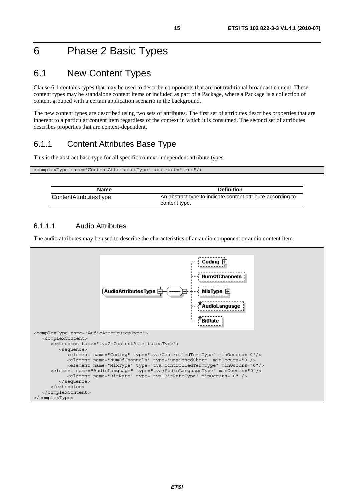# 6 Phase 2 Basic Types

# 6.1 New Content Types

Clause 6.1 contains types that may be used to describe components that are not traditional broadcast content. These content types may be standalone content items or included as part of a Package, where a Package is a collection of content grouped with a certain application scenario in the background.

The new content types are described using two sets of attributes. The first set of attributes describes properties that are inherent to a particular content item regardless of the context in which it is consumed. The second set of attributes describes properties that are context-dependent.

### 6.1.1 Content Attributes Base Type

This is the abstract base type for all specific context-independent attribute types.

| <complextype abstract="true" name="ContentAttributesType"></complextype> |  |
|--------------------------------------------------------------------------|--|
|                                                                          |  |

| Name                  | <b>Definition</b>                                                            |
|-----------------------|------------------------------------------------------------------------------|
| ContentAttributesType | An abstract type to indicate content attribute according to<br>content type. |

#### 6.1.1.1 Audio Attributes

 $\overline{\phantom{a}}$ 

The audio attributes may be used to describe the characteristics of an audio component or audio content item.

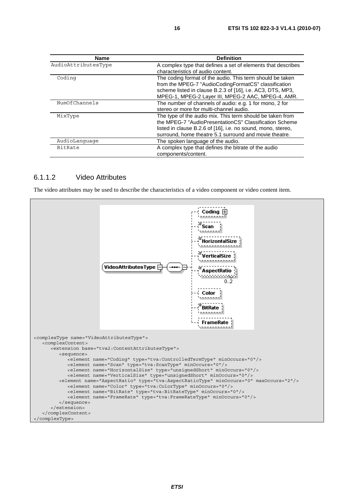| <b>Name</b>         | <b>Definition</b>                                                                                                                                                                                                                             |
|---------------------|-----------------------------------------------------------------------------------------------------------------------------------------------------------------------------------------------------------------------------------------------|
| AudioAttributesType | A complex type that defines a set of elements that describes<br>characteristics of audio content.                                                                                                                                             |
| Coding              | The coding format of the audio. This term should be taken<br>from the MPEG-7 "AudioCodingFormatCS" classification<br>scheme listed in clause B.2.3 of [16], i.e. AC3, DTS, MP3,<br>MPEG-1, MPEG-2 Layer III, MPEG-2 AAC, MPEG-4, AMR.         |
| NumOfChannels       | The number of channels of audio: e.g. 1 for mono, 2 for<br>stereo or more for multi-channel audio.                                                                                                                                            |
| MixType             | The type of the audio mix. This term should be taken from<br>the MPEG-7 "AudioPresentationCS" Classification Scheme<br>listed in clause B.2.6 of [16], i.e. no sound, mono, stereo,<br>surround, home theatre 5.1 surround and movie theatre. |
| AudioLanguage       | The spoken language of the audio.                                                                                                                                                                                                             |
| <b>BitRate</b>      | A complex type that defines the bitrate of the audio<br>components/content.                                                                                                                                                                   |

#### 6.1.1.2 Video Attributes

The video attributes may be used to describe the characteristics of a video component or video content item.

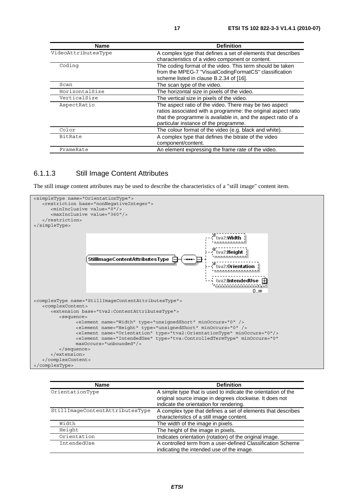| <b>Name</b>         | <b>Definition</b>                                             |
|---------------------|---------------------------------------------------------------|
| VideoAttributesType | A complex type that defines a set of elements that describes  |
|                     | characteristics of a video component or content.              |
| Coding              | The coding format of the video. This term should be taken     |
|                     | from the MPEG-7 "VisualCodingFormatCS" classification         |
|                     | scheme listed in clause B.2.34 of [16].                       |
| Scan                | The scan type of the video.                                   |
| HorizontalSize      | The horizontal size in pixels of the video.                   |
| VerticalSize        | The vertical size in pixels of the video.                     |
| AspectRatio         | The aspect ratio of the video. There may be two aspect        |
|                     | ratios associated with a programme: the original aspect ratio |
|                     | that the programme is available in, and the aspect ratio of a |
|                     | particular instance of the programme.                         |
| Color               | The colour format of the video (e.g. black and white).        |
| BitRate             | A complex type that defines the bitrate of the video          |
|                     | component/content.                                            |
| FrameRate           | An element expressing the frame rate of the video.            |

#### 6.1.1.3 Still Image Content Attributes

The still image content attributes may be used to describe the characteristics of a "still image" content item.



| <b>Name</b>                     | <b>Definition</b>                                                                                                                                                   |
|---------------------------------|---------------------------------------------------------------------------------------------------------------------------------------------------------------------|
| OrientationType                 | A simple type that is used to indicate the orientation of the<br>original source image in degrees clockwise. It does not<br>indicate the orientation for rendering. |
| StillImageContentAttributesType | A complex type that defines a set of elements that describes<br>characteristics of a still image content.                                                           |
| Width                           | The width of the image in pixels.                                                                                                                                   |
| Height                          | The height of the image in pixels.                                                                                                                                  |
| Orientation                     | Indicates orientation (rotation) of the original image.                                                                                                             |
| IntendedUse                     | A controlled term from a user-defined Classification Scheme<br>indicating the intended use of the image.                                                            |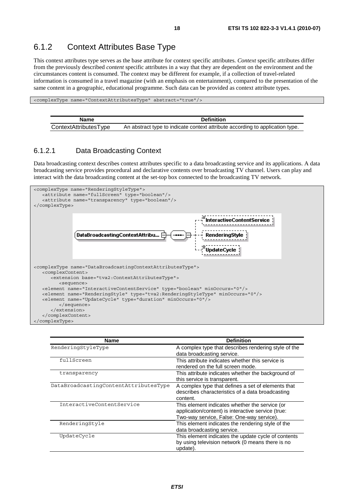### 6.1.2 Context Attributes Base Type

This context attributes type serves as the base attribute for context specific attributes. *Context* specific attributes differ from the previously described *content* specific attributes in a way that they are dependent on the environment and the circumstances content is consumed. The context may be different for example, if a collection of travel-related information is consumed in a travel magazine (with an emphasis on entertainment), compared to the presentation of the same content in a geographic, educational programme. Such data can be provided as context attribute types.

<complexType name="ContextAttributesType" abstract="true"/>

| Name                  | <b>Definition</b>                                                             |
|-----------------------|-------------------------------------------------------------------------------|
| ContextAttributesType | An abstract type to indicate context attribute according to application type. |

#### 6.1.2.1 Data Broadcasting Context

Data broadcasting context describes context attributes specific to a data broadcasting service and its applications. A data broadcasting service provides procedural and declarative contents over broadcasting TV channel. Users can play and interact with the data broadcasting content at the set-top box connected to the broadcasting TV network.



| <b>Name</b>                           | <b>Definition</b>                                                                                                                                 |
|---------------------------------------|---------------------------------------------------------------------------------------------------------------------------------------------------|
| RenderingStyleType                    | A complex type that describes rendering style of the<br>data broadcasting service.                                                                |
| fullScreen                            | This attribute indicates whether this service is<br>rendered on the full screen mode.                                                             |
| transparency                          | This attribute indicates whether the background of<br>this service is transparent.                                                                |
| DataBroadcastingContentAttributesType | A complex type that defines a set of elements that<br>describes characteristics of a data broadcasting<br>content.                                |
| InteractiveContentService             | This element indicates whether the service (or<br>application/content) is interactive service (true:<br>Two-way service, False: One-way service). |
| RenderingStyle                        | This element indicates the rendering style of the<br>data broadcasting service.                                                                   |
| UpdateCycle                           | This element indicates the update cycle of contents<br>by using television network (0 means there is no<br>update).                               |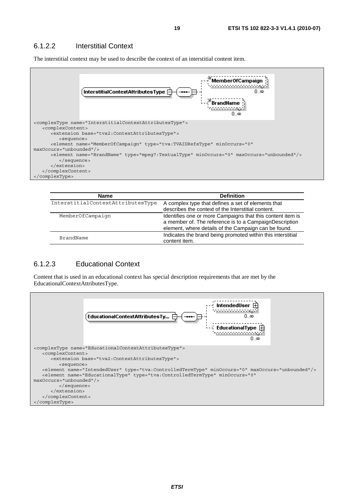#### 6.1.2.2 Interstitial Context

The interstitial context may be used to describe the context of an interstitial content item.



| <b>Name</b>                       | <b>Definition</b>                                           |
|-----------------------------------|-------------------------------------------------------------|
| InterstitialContextAttributesType | A complex type that defines a set of elements that          |
|                                   | describes the context of the Interstitial content.          |
| MemberOfCampaign                  | Identifies one or more Campaigns that this content item is  |
|                                   | a member of. The reference is to a CampaignDescription      |
|                                   | element, where details of the Campaign can be found.        |
| BrandName                         | Indicates the brand being promoted within this interstitial |
|                                   | content item.                                               |

#### 6.1.2.3 Educational Context

Content that is used in an educational context has special description requirements that are met by the EducationalContextAttributesType.

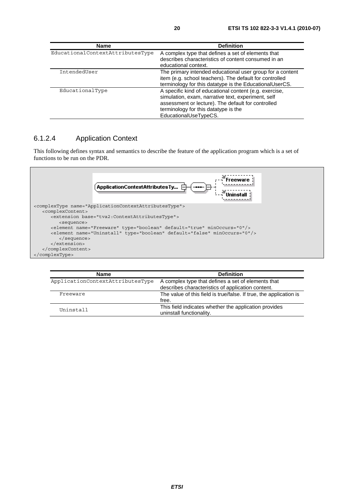| Name                             | <b>Definition</b>                                                                                                                                                                                                                   |
|----------------------------------|-------------------------------------------------------------------------------------------------------------------------------------------------------------------------------------------------------------------------------------|
| EducationalContextAttributesType | A complex type that defines a set of elements that<br>describes characteristics of content consumed in an<br>educational context.                                                                                                   |
| IntendedUser                     | The primary intended educational user group for a content<br>item (e.g. school teachers). The default for controlled<br>terminology for this datatype is the EducationalUserCS.                                                     |
| EducationalType                  | A specific kind of educational content (e.g. exercise,<br>simulation, exam, narrative text, experiment, self<br>assessment or lecture). The default for controlled<br>terminology for this datatype is the<br>EducationalUseTypeCS. |

#### 6.1.2.4 Application Context

This following defines syntax and semantics to describe the feature of the application program which is a set of functions to be run on the PDR.



| <b>Name</b>                      | <b>Definition</b>                                                                 |
|----------------------------------|-----------------------------------------------------------------------------------|
| ApplicationContextAttributesType | A complex type that defines a set of elements that                                |
|                                  | describes characteristics of application content.                                 |
| Freeware                         | The value of this field is true/false. If true, the application is                |
|                                  | free.                                                                             |
| Uninstall                        | This field indicates whether the application provides<br>uninstall functionality. |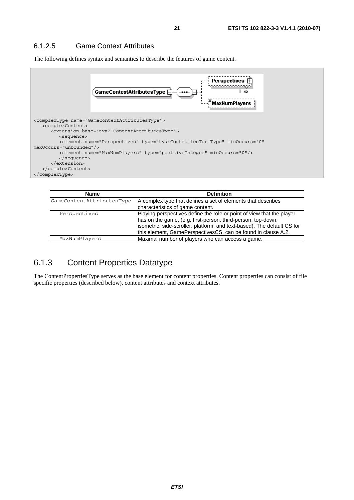#### 6.1.2.5 Game Context Attributes

The following defines syntax and semantics to describe the features of game content.



| <b>Name</b>               | <b>Definition</b>                                                                                                                                                                                                                                                                 |
|---------------------------|-----------------------------------------------------------------------------------------------------------------------------------------------------------------------------------------------------------------------------------------------------------------------------------|
| GameContentAttributesType | A complex type that defines a set of elements that describes<br>characteristics of game content.                                                                                                                                                                                  |
| Perspectives              | Playing perspectives define the role or point of view that the player<br>has on the game. (e.g. first-person, third-person, top-down,<br>isometric, side-scroller, platform, and text-based). The default CS for<br>this element, GamePerspectivesCS, can be found in clause A.2. |
| MaxNumPlayers             | Maximal number of players who can access a game.                                                                                                                                                                                                                                  |

### 6.1.3 Content Properties Datatype

The ContentPropertiesType serves as the base element for content properties. Content properties can consist of file specific properties (described below), content attributes and context attributes.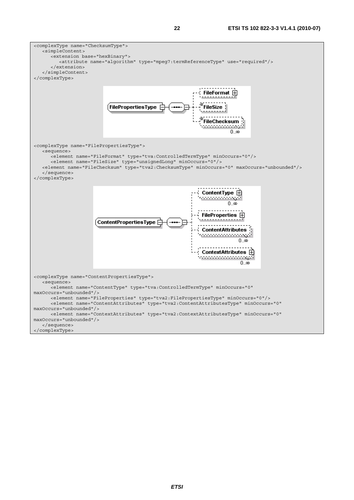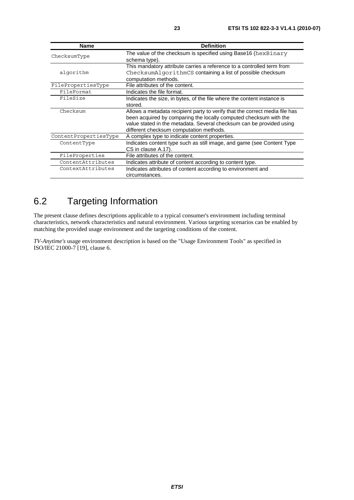| <b>Name</b>           | <b>Definition</b>                                                           |
|-----------------------|-----------------------------------------------------------------------------|
| ChecksumType          | The value of the checksum is specified using Base16 (hexBinary              |
|                       | schema type).                                                               |
|                       | This mandatory attribute carries a reference to a controlled term from      |
| algorithm             | ChecksumAlgorithmCS containing a list of possible checksum                  |
|                       | computation methods.                                                        |
| FilePropertiesType    | File attributes of the content.                                             |
| FileFormat            | Indicates the file format.                                                  |
| FileSize              | Indicates the size, in bytes, of the file where the content instance is     |
|                       | stored.                                                                     |
| Checksum              | Allows a metadata recipient party to verify that the correct media file has |
|                       | been acquired by comparing the locally computed checksum with the           |
|                       | value stated in the metadata. Several checksum can be provided using        |
|                       | different checksum computation methods.                                     |
| ContentPropertiesType | A complex type to indicate content properties.                              |
| ContentType           | Indicates content type such as still image, and game (see Content Type      |
|                       | CS in clause A.17).                                                         |
| FileProperties        | File attributes of the content.                                             |
| ContentAttributes     | Indicates attribute of content according to content type.                   |
| ContextAttributes     | Indicates attributes of content according to environment and                |
|                       | circumstances.                                                              |

# 6.2 Targeting Information

The present clause defines descriptions applicable to a typical consumer's environment including terminal characteristics, network characteristics and natural environment. Various targeting scenarios can be enabled by matching the provided usage environment and the targeting conditions of the content.

*TV-Anytime's* usage environment description is based on the "Usage Environment Tools" as specified in ISO/IEC 21000-7 [19], clause 6.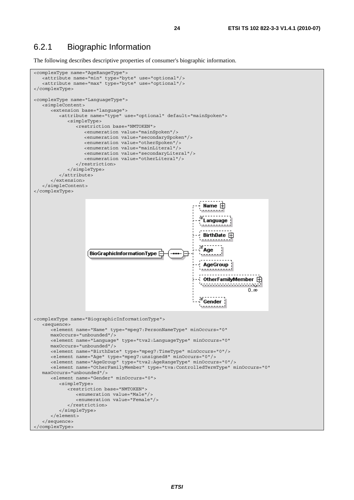### 6.2.1 Biographic Information

The following describes descriptive properties of consumer's biographic information.

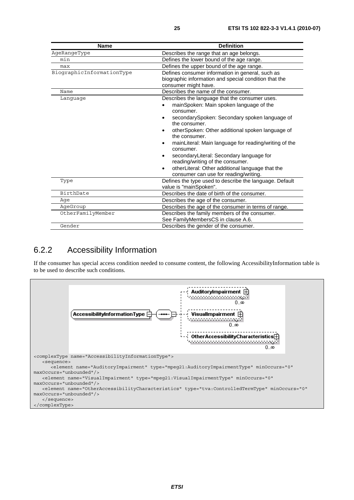| <b>Name</b>               | <b>Definition</b>                                                                                                                                                                                                                                                                                                                                                                                                                                                                                                                                    |
|---------------------------|------------------------------------------------------------------------------------------------------------------------------------------------------------------------------------------------------------------------------------------------------------------------------------------------------------------------------------------------------------------------------------------------------------------------------------------------------------------------------------------------------------------------------------------------------|
| AgeRangeType              | Describes the range that an age belongs.                                                                                                                                                                                                                                                                                                                                                                                                                                                                                                             |
| min                       | Defines the lower bound of the age range.                                                                                                                                                                                                                                                                                                                                                                                                                                                                                                            |
| max                       | Defines the upper bound of the age range.                                                                                                                                                                                                                                                                                                                                                                                                                                                                                                            |
| BiographicInformationType | Defines consumer information in general, such as<br>biographic information and special condition that the<br>consumer might have.                                                                                                                                                                                                                                                                                                                                                                                                                    |
| Name                      | Describes the name of the consumer.                                                                                                                                                                                                                                                                                                                                                                                                                                                                                                                  |
| Language                  | Describes the language that the consumer uses.<br>mainSpoken: Main spoken language of the<br>consumer.<br>secondarySpoken: Secondary spoken language of<br>the consumer.<br>otherSpoken: Other additional spoken language of<br>$\bullet$<br>the consumer.<br>mainLiteral: Main language for reading/writing of the<br>$\bullet$<br>consumer.<br>secondaryLiteral: Secondary language for<br>$\bullet$<br>reading/writing of the consumer.<br>otherLiteral: Other additional language that the<br>$\bullet$<br>consumer can use for reading/writing. |
| Type                      | Defines the type used to describe the language. Default<br>value is "mainSpoken".                                                                                                                                                                                                                                                                                                                                                                                                                                                                    |
| BirthDate                 | Describes the date of birth of the consumer.                                                                                                                                                                                                                                                                                                                                                                                                                                                                                                         |
| Aqe                       | Describes the age of the consumer.                                                                                                                                                                                                                                                                                                                                                                                                                                                                                                                   |
| AqeGroup                  | Describes the age of the consumer in terms of range.                                                                                                                                                                                                                                                                                                                                                                                                                                                                                                 |
| OtherFamilyMember         | Describes the family members of the consumer.<br>See FamilyMembersCS in clause A.6.                                                                                                                                                                                                                                                                                                                                                                                                                                                                  |
| Gender                    | Describes the gender of the consumer.                                                                                                                                                                                                                                                                                                                                                                                                                                                                                                                |

### 6.2.2 Accessibility Information

If the consumer has special access condition needed to consume content, the following AccessibilityInformation table is to be used to describe such conditions.

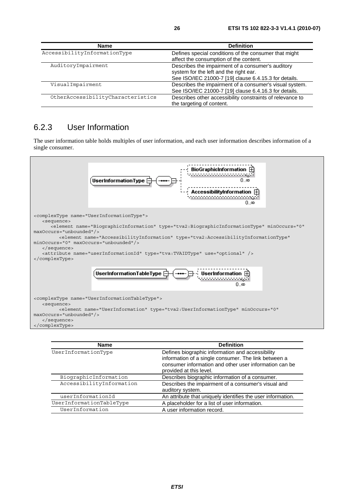| <b>Name</b>                       | <b>Definition</b>                                         |
|-----------------------------------|-----------------------------------------------------------|
| AccessibilityInformationType      | Defines special conditions of the consumer that might     |
|                                   | affect the consumption of the content.                    |
| AuditoryImpairment                | Describes the impairment of a consumer's auditory         |
|                                   | system for the left and the right ear.                    |
|                                   | See ISO/IEC 21000-7 [19] clause 6.4.15.3 for details.     |
| VisualImpairment                  | Describes the impairment of a consumer's visual system.   |
|                                   | See ISO/IEC 21000-7 [19] clause 6.4.16.3 for details.     |
| OtherAccessibilityCharacteristics | Describes other accessibility constraints of relevance to |
|                                   | the targeting of content.                                 |

### 6.2.3 User Information

The user information table holds multiples of user information, and each user information describes information of a single consumer.



| <b>Name</b>              | <b>Definition</b>                                                                                                                                                                             |
|--------------------------|-----------------------------------------------------------------------------------------------------------------------------------------------------------------------------------------------|
| UserInformationType      | Defines biographic information and accessibility<br>information of a single consumer. The link between a<br>consumer information and other user information can be<br>provided at this level. |
| BiographicInformation    | Describes biographic information of a consumer.                                                                                                                                               |
| AccessibilityInformation | Describes the impairment of a consumer's visual and<br>auditory system.                                                                                                                       |
| userInformationId        | An attribute that uniquely identifies the user information.                                                                                                                                   |
| UserInformationTableType | A placeholder for a list of user information.                                                                                                                                                 |
| UserInformation          | A user information record.                                                                                                                                                                    |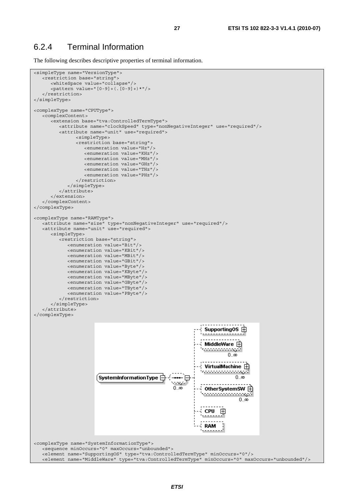### 6.2.4 Terminal Information

The following describes descriptive properties of terminal information.

```
<simpleType name="VersionType"> 
    <restriction base="string"> 
       <whiteSpace value="collapse"/> 
       <pattern value="[0-9]+(.[0-9]+)*"/> 
   \langle/restriction>
</simpleType> 
<complexType name="CPUType"> 
    <complexContent> 
       <extension base="tva:ControlledTermType"> 
          <attribute name="clockSpeed" type="nonNegativeInteger" use="required"/> 
          <attribute name="unit" use="required"> 
                <simpleType> 
                 <restriction base="string"> 
                    <enumeration value="Hz"/> 
                    <enumeration value="KHz"/> 
                    <enumeration value="MHz"/> 
                    <enumeration value="GHz"/> 
                    <enumeration value="THz"/> 
                    <enumeration value="PHz"/> 
                </restriction> 
             </simpleType> 
          </attribute> 
       </extension> 
    </complexContent> 
</complexType> 
<complexType name="RAMType"> 
 <attribute name="size" type="nonNegativeInteger" use="required"/> 
 <attribute name="unit" use="required"> 
       <simpleType> 
          <restriction base="string"> 
             <enumeration value="Bit"/> 
             <enumeration value="KBit"/> 
             <enumeration value="MBit"/> 
             <enumeration value="GBit"/> 
             <enumeration value="Byte"/> 
             <enumeration value="KByte"/> 
             <enumeration value="MByte"/> 
             <enumeration value="GByte"/> 
             <enumeration value="TByte"/> 
             <enumeration value="PByte"/> 
          </restriction> 
       </simpleType> 
    </attribute> 
</complexType> 
                                                                Supporting0S 中
                                                                MiddleWare 白
                                                                <u> 1111111111</u>
                                                                         0.\alphaVirtualMachine \bar{\bm{\oplus}}0.\infty0, \infty0therSystemSW E
                                                                ,,,,,,,,,,,,,,,
                                                                             0.\inftyCPU
                                                                      田
                                                                RAM
<complexType name="SystemInformationType"> 
    <sequence minOccurs="0" maxOccurs="unbounded"> 
    <element name="SupportingOS" type="tva:ControlledTermType" minOccurs="0"/> 
    <element name="MiddleWare" type="tva:ControlledTermType" minOccurs="0" maxOccurs="unbounded"/>
```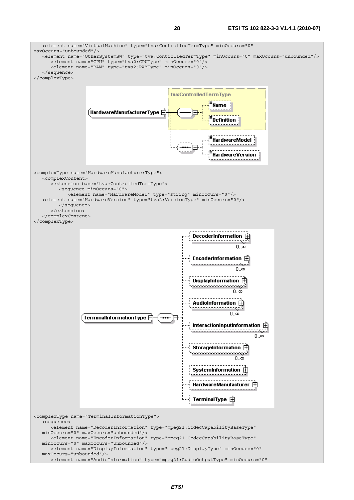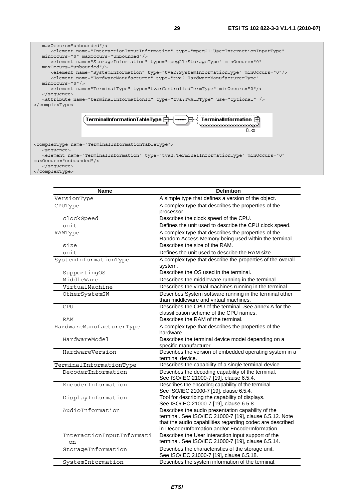

 <sequence> <element name="TerminalInformation" type="tva2:TerminalInformationType" minOccurs="0" maxOccurs="unbounded"/> </sequence>

</complexType>

| <b>Name</b>                     | <b>Definition</b>                                                                                                                                                                                                              |
|---------------------------------|--------------------------------------------------------------------------------------------------------------------------------------------------------------------------------------------------------------------------------|
| VersionType                     | A simple type that defines a version of the object.                                                                                                                                                                            |
| CPUType                         | A complex type that describes the properties of the<br>processor.                                                                                                                                                              |
| clockSpeed                      | Describes the clock speed of the CPU.                                                                                                                                                                                          |
| unit                            | Defines the unit used to describe the CPU clock speed.                                                                                                                                                                         |
| RAMType                         | A complex type that describes the properties of the<br>Random Access Memory being used within the terminal.                                                                                                                    |
| size                            | Describes the size of the RAM.                                                                                                                                                                                                 |
| unit                            | Defines the unit used to describe the RAM size.                                                                                                                                                                                |
| SystemInformationType           | A complex type that describe the properties of the overall<br>system.                                                                                                                                                          |
| SupportingOS                    | Describes the OS used in the terminal.                                                                                                                                                                                         |
| MiddleWare                      | Describes the middleware running in the terminal.                                                                                                                                                                              |
| VirtualMachine                  | Describes the virtual machines running in the terminal.                                                                                                                                                                        |
| OtherSystemSW                   | Describes System software running in the terminal other<br>than middleware and virtual machines.                                                                                                                               |
| <b>CPU</b>                      | Describes the CPU of the terminal. See annex A for the<br>classification scheme of the CPU names.                                                                                                                              |
| <b>RAM</b>                      | Describes the RAM of the terminal.                                                                                                                                                                                             |
| HardwareManufacturerType        | A complex type that describes the properties of the<br>hardware.                                                                                                                                                               |
| HardwareModel                   | Describes the terminal device model depending on a<br>specific manufacturer.                                                                                                                                                   |
| HardwareVersion                 | Describes the version of embedded operating system in a<br>terminal device.                                                                                                                                                    |
| TerminalInformationType         | Describes the capability of a single terminal device.                                                                                                                                                                          |
| DecoderInformation              | Describes the decoding capability of the terminal.<br>See ISO/IEC 21000-7 [19], clause 6.5.4.                                                                                                                                  |
| EncoderInformation              | Describes the encoding capability of the terminal.<br>See ISO/IEC 21000-7 [19], clause 6.5.4.                                                                                                                                  |
| DisplayInformation              | Tool for describing the capability of displays.<br>See ISO/IEC 21000-7 [19], clause 6.5.8.                                                                                                                                     |
| AudioInformation                | Describes the audio presentation capability of the<br>terminal. See ISO/IEC 21000-7 [19], clause 6.5.12. Note<br>that the audio capabilities regarding codec are described<br>in DecoderInformation and/or EncoderInformation. |
| InteractionInputInformati<br>on | Describes the User interaction input support of the<br>terminal. See ISO/IEC 21000-7 [19], clause 6.5.14.                                                                                                                      |
| StorageInformation              | Describes the characteristics of the storage unit.<br>See ISO/IEC 21000-7 [19], clause 6.5.18.                                                                                                                                 |
| SystemInformation               | Describes the system information of the terminal.                                                                                                                                                                              |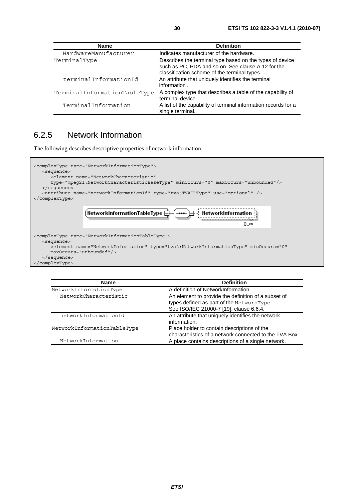| <b>Name</b>                  | <b>Definition</b>                                                                                                                                              |
|------------------------------|----------------------------------------------------------------------------------------------------------------------------------------------------------------|
| HardwareManufacturer         | Indicates manufacturer of the hardware.                                                                                                                        |
| TerminalType                 | Describes the terminal type based on the types of device<br>such as PC, PDA and so on. See clause A.12 for the<br>classification scheme of the terminal types. |
| terminalInformationId        | An attribute that uniquely identifies the terminal<br>information.                                                                                             |
| TerminalInformationTableType | A complex type that describes a table of the capability of<br>terminal device.                                                                                 |
| TerminalInformation          | A list of the capability of terminal information records for a<br>single terminal.                                                                             |

### 6.2.5 Network Information

The following describes descriptive properties of network information.



| <b>Name</b>                 | <b>Definition</b>                                      |
|-----------------------------|--------------------------------------------------------|
| NetworkInformationType      | A definition of NetworkInformation.                    |
| NetworkCharacteristic       | An element to provide the definition of a subset of    |
|                             | types defined as part of the NetworkType.              |
|                             | See ISO/IEC 21000-7 [19], clause 6.6.4.                |
| networkInformationId        | An attribute that uniquely identifies the network      |
|                             | information.                                           |
| NetworkInformationTableType | Place holder to contain descriptions of the            |
|                             | characteristics of a network connected to the TVA Box. |
| NetworkInformation          | A place contains descriptions of a single network.     |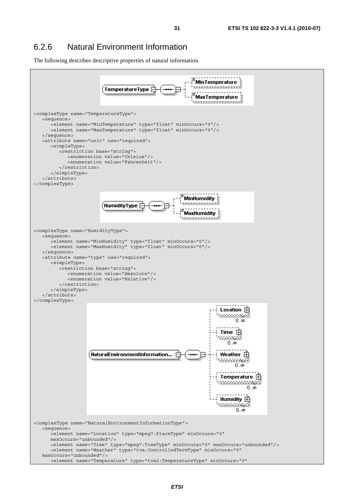### 6.2.6 Natural Environment Information

The following describes descriptive properties of natural information.

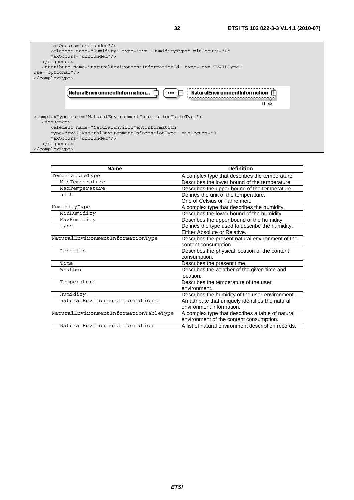

| <b>Definition</b>                                  |
|----------------------------------------------------|
| A complex type that describes the temperature      |
| Describes the lower bound of the temperature.      |
| Describes the upper bound of the temperature.      |
| Defines the unit of the temperature.               |
| One of Celsius or Fahrenheit.                      |
| A complex type that describes the humidity.        |
| Describes the lower bound of the humidity.         |
| Describes the upper bound of the humidity.         |
| Defines the type used to describe the humidity.    |
| Either Absolute or Relative.                       |
| Describes the present natural environment of the   |
| content consumption.                               |
| Describes the physical location of the content     |
| consumption.                                       |
| Describes the present time.                        |
| Describes the weather of the given time and        |
| location.                                          |
| Describes the temperature of the user              |
| environment.                                       |
| Describes the humidity of the user environment.    |
| An attribute that uniquely identifies the natural  |
| environment information.                           |
| A complex type that describes a table of natural   |
| environment of the content consumption.            |
| A list of natural environment description records. |
|                                                    |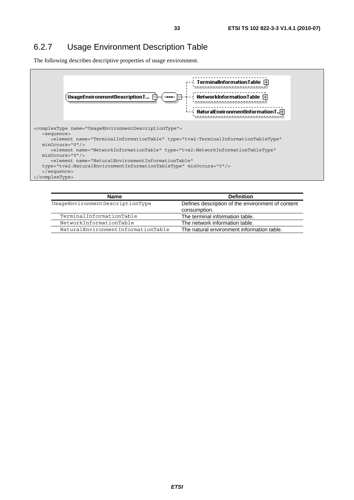## 6.2.7 Usage Environment Description Table

The following describes descriptive properties of usage environment.



| Name                               | <b>Definition</b>                                                 |
|------------------------------------|-------------------------------------------------------------------|
| UsaqeEnvironmentDescriptionType    | Defines description of the environment of content<br>consumption. |
| TerminalInformationTable           | The terminal information table.                                   |
| NetworkInformationTable            | The network information table.                                    |
| NaturalEnvironmentInformationTable | The natural environment information table.                        |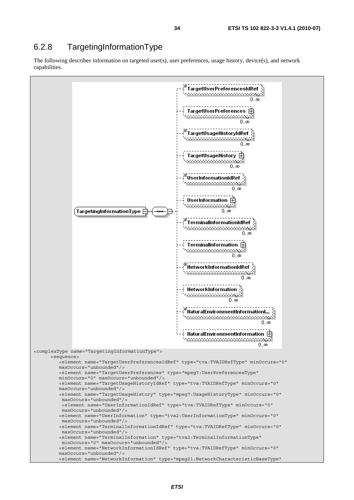### 6.2.8 TargetingInformationType

The following describes information on targeted user(s), user preferences, usage history, device(s), and network capabilities.

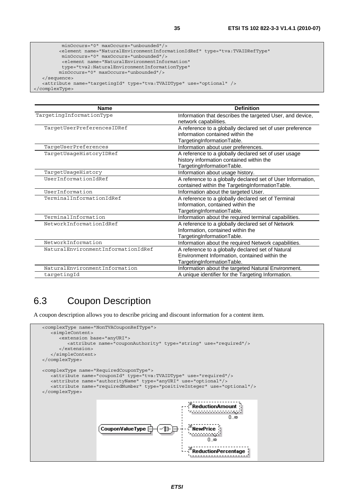```
 minOccurs="0" maxOccurs="unbounded"/> 
          <element name="NaturalEnvironmentInformationIdRef" type="tva:TVAIDRefType" 
          minOccurs="0" maxOccurs="unbounded"/> 
          <element name="NaturalEnvironmentInformation" 
          type="tva2:NaturalEnvironmentInformationType" 
         minOccurs="0" maxOccurs="unbounded"/> 
   </sequence> 
   <attribute name="targetingId" type="tva:TVAIDType" use="optional" /> 
</complexType>
```

| <b>Name</b>                        | <b>Definition</b>                                           |
|------------------------------------|-------------------------------------------------------------|
| TargetingInformationType           | Information that describes the targeted User, and device,   |
|                                    | network capabilities.                                       |
| TargetUserPreferencesIDRef         | A reference to a globally declared set of user preference   |
|                                    | information contained within the                            |
|                                    | TargetingInformationTable.                                  |
| TargeUserPreferences               | Information about user preferences.                         |
| TargetUsageHistoryIDRef            | A reference to a globally declared set of user usage        |
|                                    | history information contained within the                    |
|                                    | TargetingInformationTable.                                  |
| TargetUsageHistory                 | Information about usage history.                            |
| UserInformationIdRef               | A reference to a globally declared set of User Information, |
|                                    | contained within the TargetingInformationTable.             |
| UserInformation                    | Information about the targeted User.                        |
| TerminalInformationIdRef           | A reference to a globally declared set of Terminal          |
|                                    | Information, contained within the                           |
|                                    | TargetingInformationTable.                                  |
| TerminalInformation                | Information about the required terminal capabilities.       |
| NetworkInformationIdRef            | A reference to a globally declared set of Network           |
|                                    | Information, contained within the                           |
|                                    | TargetingInformationTable.                                  |
| NetworkInformation                 | Information about the required Network capabilities.        |
| NaturalEnvironmentInformationIdRef | A reference to a globally declared set of Natural           |
|                                    | Environment Information, contained within the               |
|                                    | TargetingInformationTable.                                  |
| NaturalEnvironmentInformation      | Information about the targeted Natural Environment.         |
| targetingId                        | A unique identifier for the Targeting Information.          |

# 6.3 Coupon Description

A coupon description allows you to describe pricing and discount information for a content item.

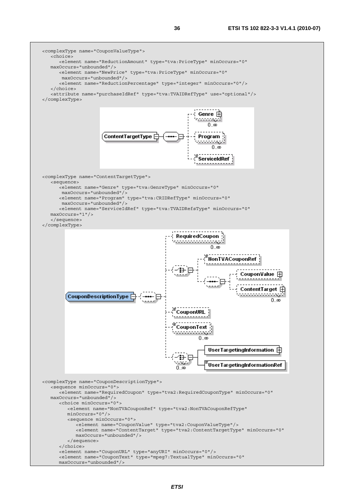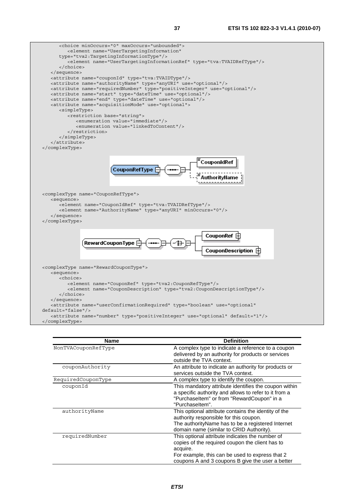| <choice maxoccurs="unbounded" minoccurs="0"></choice>                                                     |  |
|-----------------------------------------------------------------------------------------------------------|--|
| <element <="" name="UserTargetingInformation" td=""><td></td></element>                                   |  |
| type="tva2:TargetingInformationType"/>                                                                    |  |
| <element name="UserTargetingInformationRef" type="tva:TVAIDRefType"></element>                            |  |
|                                                                                                           |  |
|                                                                                                           |  |
| <attribute name="couponId" type="tva:TVAIDType"></attribute>                                              |  |
| <attribute name="authorityName" type="anyURI" use="optional"></attribute>                                 |  |
|                                                                                                           |  |
| <attribute name="requiredNumber" type="positiveInteger" use="optional"></attribute>                       |  |
| <attribute name="start" type="dateTime" use="optional"></attribute>                                       |  |
| <attribute name="end" type="dateTime" use="optional"></attribute>                                         |  |
| <attribute name="acquisitionMode" use="optional"></attribute>                                             |  |
| <simpletype></simpletype>                                                                                 |  |
| <restriction base="string"></restriction>                                                                 |  |
| <enumeration value="immediate"></enumeration>                                                             |  |
| <enumeration value="linkedToContent"></enumeration>                                                       |  |
|                                                                                                           |  |
|                                                                                                           |  |
|                                                                                                           |  |
|                                                                                                           |  |
|                                                                                                           |  |
|                                                                                                           |  |
| CouponIdRef                                                                                               |  |
| CouponRefType                                                                                             |  |
|                                                                                                           |  |
|                                                                                                           |  |
|                                                                                                           |  |
|                                                                                                           |  |
| <complextype name="CouponRefType"></complextype>                                                          |  |
| <sequence></sequence>                                                                                     |  |
| <element name="CouponIdRef" type="tva:TVAIDRefType"></element>                                            |  |
| <element minoccurs="0" name="AuthorityName" type="anyURI"></element>                                      |  |
|                                                                                                           |  |
|                                                                                                           |  |
|                                                                                                           |  |
|                                                                                                           |  |
| CouponRef                                                                                                 |  |
| RewardCouponType                                                                                          |  |
|                                                                                                           |  |
| CouponDescription <b>F</b>                                                                                |  |
|                                                                                                           |  |
|                                                                                                           |  |
| <complextype name="RewardCouponType"></complextype>                                                       |  |
| <sequence></sequence>                                                                                     |  |
| <choice></choice>                                                                                         |  |
| <element name="CouponRef" type="tva2:CouponRefType"></element>                                            |  |
| <element name="CouponDescription" type="tva2:CouponDescriptionType"></element>                            |  |
|                                                                                                           |  |
|                                                                                                           |  |
| <attribute <="" name="userConfirmationRequired" td="" type="boolean" use="optional"><td></td></attribute> |  |
|                                                                                                           |  |
| $default='false"/>$                                                                                       |  |
| <attribute default="1" name="number" type="positiveInteger" use="optional"></attribute>                   |  |

| kaccripuce n |  |
|--------------|--|
|              |  |

| <b>Name</b>         | <b>Definition</b>                                                                                                                                                                                                     |
|---------------------|-----------------------------------------------------------------------------------------------------------------------------------------------------------------------------------------------------------------------|
| NonTVACouponRefType | A complex type to indicate a reference to a coupon<br>delivered by an authority for products or services<br>outside the TVA context.                                                                                  |
| couponAuthority     | An attribute to indicate an authority for products or<br>services outside the TVA context.                                                                                                                            |
| RequiredCouponType  | A complex type to identify the coupon.                                                                                                                                                                                |
| couponId            | This mandatory attribute identifies the coupon within<br>a specific authority and allows to refer to it from a<br>"PurchaseItem" or from "RewardCoupon" in a<br>"Purchaseltem".                                       |
| authorityName       | This optional attribute contains the identity of the<br>authority responsible for this coupon.<br>The authority Name has to be a registered Internet<br>domain name (similar to CRID Authority).                      |
| requiredNumber      | This optional attribute indicates the number of<br>copies of the required coupon the client has to<br>acquire.<br>For example, this can be used to express that 2<br>coupons A and 3 coupons B give the user a better |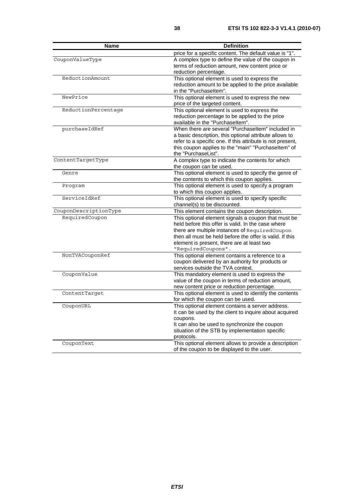| <b>Name</b>           | <b>Definition</b>                                          |
|-----------------------|------------------------------------------------------------|
|                       | price for a specific content. The default value is "1".    |
| CouponValueType       | A complex type to define the value of the coupon in        |
|                       | terms of reduction amount, new content price or            |
|                       | reduction percentage.                                      |
| ReductionAmount       | This optional element is used to express the               |
|                       | reduction amount to be applied to the price available      |
|                       | in the "Purchaseltem".                                     |
| NewPrice              | This optional element is used to express the new           |
|                       | price of the targeted content.                             |
| ReductionPercentage   | This optional element is used to express the               |
|                       | reduction percentage to be applied to the price            |
|                       | available in the "Purchaseltem".                           |
| purchaseIdRef         | When there are several "Purchaseltem" included in          |
|                       | a basic description, this optional attribute allows to     |
|                       | refer to a specific one. If this attribute is not present, |
|                       | this coupon applies to the "main" "Purchaseltem" of        |
|                       | the "PurchaseList".                                        |
| ContentTargetType     | A complex type to indicate the contents for which          |
|                       | the coupon can be used.                                    |
| Genre                 | This optional element is used to specify the genre of      |
|                       | the contents to which this coupon applies.                 |
| Program               | This optional element is used to specify a program         |
|                       | to which this coupon applies.                              |
| ServiceIdRef          | This optional element is used to specify specific          |
|                       | channel(s) to be discounted.                               |
| CouponDescriptionType | This element contains the coupon description.              |
| RequiredCoupon        | This optional element signals a coupon that must be        |
|                       | held before this offer is valid. In the case where         |
|                       | there are multiple instances of RequiredCoupon             |
|                       | then all must be held before the offer is valid. If this   |
|                       | element is present, there are at least two                 |
|                       | "RequiredCoupons".                                         |
| NonTVACouponRef       | This optional element contains a reference to a            |
|                       | coupon delivered by an authority for products or           |
|                       | services outside the TVA context.                          |
| CouponValue           | This mandatory element is used to express the              |
|                       | value of the coupon in terms of reduction amount,          |
|                       | new content price or reduction percentage.                 |
| ContentTarget         | This optional element is used to identify the contents     |
|                       | for which the coupon can be used.                          |
| CouponURL             | This optional element contains a server address            |
|                       | It can be used by the client to inquire about acquired     |
|                       | coupons.                                                   |
|                       | It can also be used to synchronize the coupon              |
|                       | situation of the STB by implementation specific            |
|                       | protocols.                                                 |
| CouponText            | This optional element allows to provide a description      |
|                       | of the coupon to be displayed to the user.                 |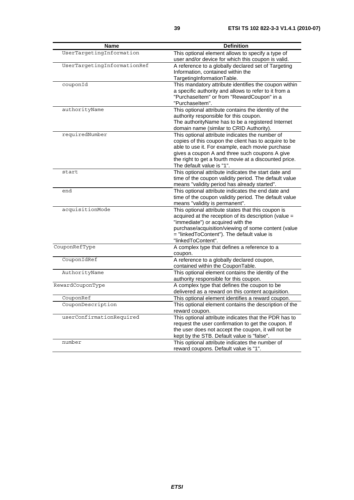| <b>Name</b>                 | <b>Definition</b>                                                                                                                                                                                                                                                                                     |
|-----------------------------|-------------------------------------------------------------------------------------------------------------------------------------------------------------------------------------------------------------------------------------------------------------------------------------------------------|
| UserTargetingInformation    | This optional element allows to specify a type of<br>user and/or device for which this coupon is valid.                                                                                                                                                                                               |
| UserTargetingInformationRef | A reference to a globally declared set of Targeting<br>Information, contained within the<br>TargetingInformationTable.                                                                                                                                                                                |
| couponId                    | This mandatory attribute identifies the coupon within<br>a specific authority and allows to refer to it from a<br>"PurchaseItem" or from "RewardCoupon" in a<br>"Purchaseltem".                                                                                                                       |
| authorityName               | This optional attribute contains the identity of the<br>authority responsible for this coupon.<br>The authorityName has to be a registered Internet<br>domain name (similar to CRID Authority).                                                                                                       |
| requiredNumber              | This optional attribute indicates the number of<br>copies of this coupon the client has to acquire to be<br>able to use it. For example, each movie purchase<br>gives a coupon A and three such coupons A give<br>the right to get a fourth movie at a discounted price.<br>The default value is "1". |
| start                       | This optional attribute indicates the start date and<br>time of the coupon validity period. The default value<br>means "validity period has already started".                                                                                                                                         |
| end                         | This optional attribute indicates the end date and<br>time of the coupon validity period. The default value<br>means "validity is permanent".                                                                                                                                                         |
| acquisitionMode             | This optional attribute states that this coupon is<br>acquired at the reception of its description (value =<br>"immediate") or acquired with the<br>purchase/acquisition/viewing of some content (value<br>= "linkedToContent"). The default value is<br>"linkedToContent".                           |
| CouponRefType               | A complex type that defines a reference to a<br>coupon.                                                                                                                                                                                                                                               |
| CouponIdRef                 | A reference to a globally declared coupon,<br>contained within the CouponTable.                                                                                                                                                                                                                       |
| AuthorityName               | This optional element contains the identity of the<br>authority responsible for this coupon.                                                                                                                                                                                                          |
| RewardCouponType            | A complex type that defines the coupon to be<br>delivered as a reward on this content acquisition.                                                                                                                                                                                                    |
| CouponRef                   | This optional element identifies a reward coupon.                                                                                                                                                                                                                                                     |
| CouponDescription           | This optional element contains the description of the<br>reward coupon.                                                                                                                                                                                                                               |
| userConfirmationRequired    | This optional attribute indicates that the PDR has to<br>request the user confirmation to get the coupon. If<br>the user does not accept the coupon, it will not be<br>kept by the STB. Default value is "false".                                                                                     |
| number                      | This optional attribute indicates the number of<br>reward coupons. Default value is "1".                                                                                                                                                                                                              |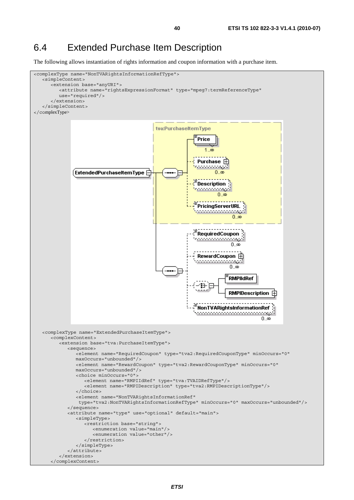## 6.4 Extended Purchase Item Description

The following allows instantiation of rights information and coupon information with a purchase item.

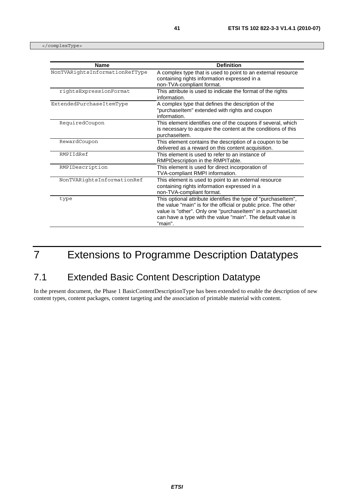</complexType>

| <b>Name</b>                    | <b>Definition</b>                                                                                                                                                                                                                                                          |
|--------------------------------|----------------------------------------------------------------------------------------------------------------------------------------------------------------------------------------------------------------------------------------------------------------------------|
| NonTVARightsInformationRefType | A complex type that is used to point to an external resource<br>containing rights information expressed in a<br>non-TVA-compliant format.                                                                                                                                  |
| rightsExpressionFormat         | This attribute is used to indicate the format of the rights<br>information.                                                                                                                                                                                                |
| ExtendedPurchaseItemType       | A complex type that defines the description of the<br>"purchaseItem" extended with rights and coupon<br>information.                                                                                                                                                       |
| RequiredCoupon                 | This element identifies one of the coupons if several, which<br>is necessary to acquire the content at the conditions of this<br>purchaseltem.                                                                                                                             |
| RewardCoupon                   | This element contains the description of a coupon to be<br>delivered as a reward on this content acquisition.                                                                                                                                                              |
| RMPTTdRef                      | This element is used to refer to an instance of<br>RMPIDescription in the RMPITable.                                                                                                                                                                                       |
| RMPIDescription                | This element is used for direct incorporation of<br>TVA-compliant RMPI information.                                                                                                                                                                                        |
| NonTVARightsInformationRef     | This element is used to point to an external resource<br>containing rights information expressed in a<br>non-TVA-compliant format.                                                                                                                                         |
| type                           | This optional attribute identifies the type of "purchaseltem",<br>the value "main" is for the official or public price. The other<br>value is "other". Only one "purchaseltem" in a purchaseList<br>can have a type with the value "main". The default value is<br>"main". |

# 7 Extensions to Programme Description Datatypes

# 7.1 Extended Basic Content Description Datatype

In the present document, the Phase 1 BasicContentDescriptionType has been extended to enable the description of new content types, content packages, content targeting and the association of printable material with content.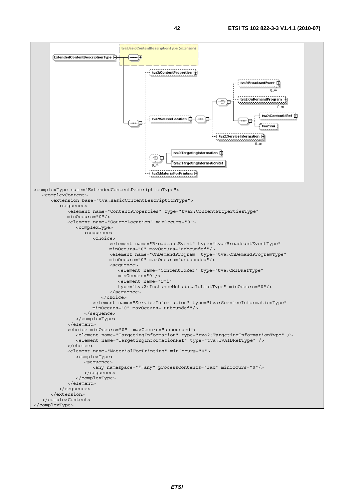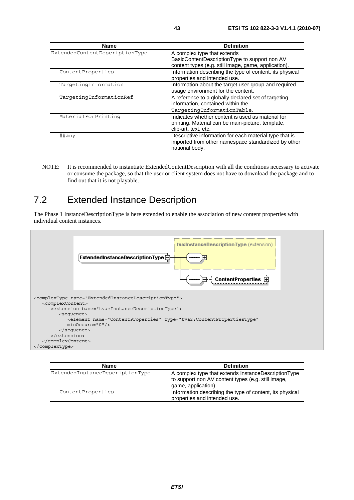| <b>Name</b>                    | <b>Definition</b>                                                                                                               |
|--------------------------------|---------------------------------------------------------------------------------------------------------------------------------|
| ExtendedContentDescriptionType | A complex type that extends                                                                                                     |
|                                | BasicContentDescriptionType to support non AV<br>content types (e.g. still image, game, application).                           |
| ContentProperties              | Information describing the type of content, its physical<br>properties and intended use.                                        |
| TargetingInformation           | Information about the target user group and required<br>usage environment for the content.                                      |
| TargetingInformationRef        | A reference to a globally declared set of targeting<br>information, contained within the<br>TargetingInformationTable.          |
| MaterialForPrinting            | Indicates whether content is used as material for<br>printing. Material can be main-picture, template,<br>clip-art, text, etc.  |
| ##any                          | Descriptive information for each material type that is<br>imported from other namespace standardized by other<br>national body. |

NOTE: It is recommended to instantiate ExtendedContentDescription with all the conditions necessary to activate or consume the package, so that the user or client system does not have to download the package and to find out that it is not playable.

# 7.2 Extended Instance Description

The Phase 1 InstanceDescriptionType is here extended to enable the association of new content properties with individual content instances.



| Name                            | <b>Definition</b>                                                                                                                |
|---------------------------------|----------------------------------------------------------------------------------------------------------------------------------|
| ExtendedInstanceDescriptionType | A complex type that extends InstanceDescriptionType<br>to support non AV content types (e.g. still image,<br>game, application). |
| ContentProperties               | Information describing the type of content, its physical<br>properties and intended use.                                         |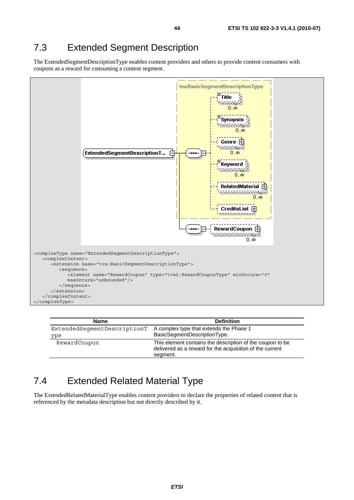## 7.3 Extended Segment Description

The ExtendedSegmentDescriptionType enables content providers and others to provide content consumers with coupons as a reward for consuming a content segment.



| <b>Name</b>                 | <b>Definition</b>                                                                                                                 |
|-----------------------------|-----------------------------------------------------------------------------------------------------------------------------------|
| ExtendedSeqmentDescriptionT | A complex type that extends the Phase 1                                                                                           |
| ype                         | BasicSegmentDescriptionType.                                                                                                      |
| RewardCoupon                | This element contains the description of the coupon to be<br>delivered as a reward for the acquisition of the current<br>segment. |

### 7.4 Extended Related Material Type

The ExtendedRelatedMaterialType enables content providers to declare the properties of related content that is referenced by the metadata description but not directly described by it.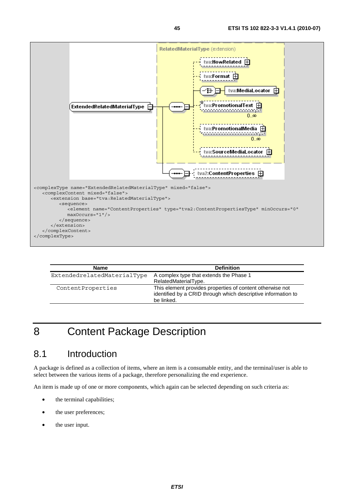

| <b>Name</b>                 | <b>Definition</b>                                                                                                                        |
|-----------------------------|------------------------------------------------------------------------------------------------------------------------------------------|
| ExtendedrelatedMaterialType | A complex type that extends the Phase 1<br>RelatedMaterialType.                                                                          |
| ContentProperties           | This element provides properties of content otherwise not<br>identified by a CRID through which descriptive information to<br>be linked. |

# 8 Content Package Description

## 8.1 Introduction

A package is defined as a collection of items, where an item is a consumable entity, and the terminal/user is able to select between the various items of a package, therefore personalizing the end experience.

An item is made up of one or more components, which again can be selected depending on such criteria as:

- the terminal capabilities;
- the user preferences;
- the user input.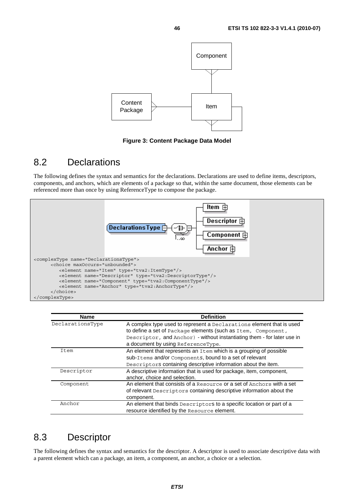

**Figure 3: Content Package Data Model** 

#### 8.2 Declarations

The following defines the syntax and semantics for the declarations. Declarations are used to define items, descriptors, components, and anchors, which are elements of a package so that, within the same document, those elements can be referenced more than once by using ReferenceType to compose the package.



| <b>Name</b>      | <b>Definition</b>                                                       |
|------------------|-------------------------------------------------------------------------|
| DeclarationsType | A complex type used to represent a Declarations element that is used    |
|                  | to define a set of Package elements (such as Item, Component,           |
|                  | Descriptor, and Anchor) - without instantiating them - for later use in |
|                  | a document by using ReferenceType.                                      |
| Item             | An element that represents an Item which is a grouping of possible      |
|                  | sub-Items and/or Components, bound to a set of relevant                 |
|                  | Descriptors containing descriptive information about the item.          |
| Descriptor       | A descriptive information that is used for package, item, component,    |
|                  | anchor, choice and selection.                                           |
| Component        | An element that consists of a Resource or a set of Anchors with a set   |
|                  | of relevant Descriptors containing descriptive information about the    |
|                  | component.                                                              |
| Anchor           | An element that binds Descriptors to a specific location or part of a   |
|                  | resource identified by the Resource element.                            |

#### 8.3 Descriptor

The following defines the syntax and semantics for the descriptor. A descriptor is used to associate descriptive data with a parent element which can a package, an item, a component, an anchor, a choice or a selection.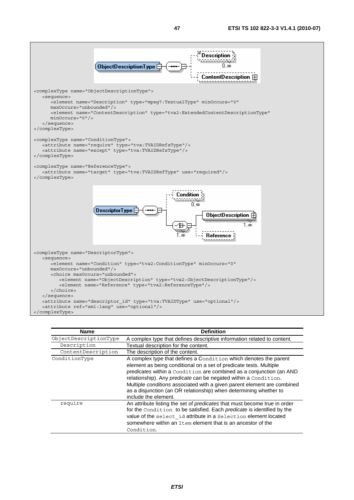

| <b>Name</b>           | <b>Definition</b>                                                                                                                                                                                                                                                                                                                                                                                                                                        |
|-----------------------|----------------------------------------------------------------------------------------------------------------------------------------------------------------------------------------------------------------------------------------------------------------------------------------------------------------------------------------------------------------------------------------------------------------------------------------------------------|
| ObjectDescriptionType | A complex type that defines descriptive information related to content.                                                                                                                                                                                                                                                                                                                                                                                  |
| Description           | Textual description for the content.                                                                                                                                                                                                                                                                                                                                                                                                                     |
| ContentDescription    | The description of the content.                                                                                                                                                                                                                                                                                                                                                                                                                          |
| ConditionType         | A complex type that defines a Condition which denotes the parent<br>element as being conditional on a set of predicate tests. Multiple<br>predicates within a Condition are combined as a conjunction (an AND<br>relationship). Any predicate can be negated within a Condition.<br>Multiple conditions associated with a given parent element are combined<br>as a disjunction (an OR relationship) when determining whether to<br>include the element. |
| require               | An attribute listing the set of predicates that must become true in order<br>for the Condition to be satisfied. Each predicate is identified by the<br>value of the select id attribute in a Selection element located<br>somewhere within an Item element that is an ancestor of the<br>Condition.                                                                                                                                                      |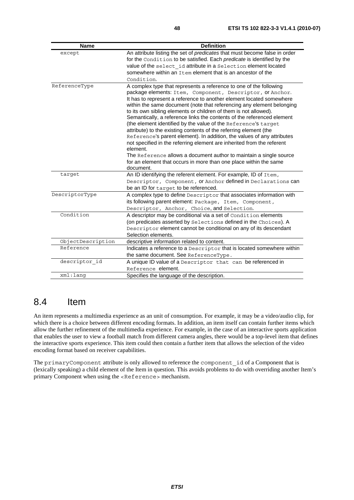| <b>Name</b>       | <b>Definition</b>                                                                                                                                                                                                                                                                                                                                                                                                                                                                                                                                                                                                                                                                                                                                                                                                                                                                             |
|-------------------|-----------------------------------------------------------------------------------------------------------------------------------------------------------------------------------------------------------------------------------------------------------------------------------------------------------------------------------------------------------------------------------------------------------------------------------------------------------------------------------------------------------------------------------------------------------------------------------------------------------------------------------------------------------------------------------------------------------------------------------------------------------------------------------------------------------------------------------------------------------------------------------------------|
| except            | An attribute listing the set of predicates that must become false in order<br>for the Condition to be satisfied. Each predicate is identified by the<br>value of the select id attribute in a Selection element located<br>somewhere within an Item element that is an ancestor of the<br>Condition.                                                                                                                                                                                                                                                                                                                                                                                                                                                                                                                                                                                          |
| ReferenceType     | A complex type that represents a reference to one of the following<br>package elements: Item, Component, Descriptor, Or Anchor.<br>It has to represent a reference to another element located somewhere<br>within the same document (note that referencing any element belonging<br>to its own sibling elements or children of them is not allowed).<br>Semantically, a reference links the contents of the referenced element<br>(the element identified by the value of the Reference's target<br>attribute) to the existing contents of the referring element (the<br>Reference's parent element). In addition, the values of any attributes<br>not specified in the referring element are inherited from the referent<br>element.<br>The Reference allows a document author to maintain a single source<br>for an element that occurs in more than one place within the same<br>document. |
| target            | An ID identifying the referent element. For example, ID of Item,<br>Descriptor, Component, Or Anchor defined in Declarations can<br>be an ID for target to be referenced.                                                                                                                                                                                                                                                                                                                                                                                                                                                                                                                                                                                                                                                                                                                     |
| DescriptorType    | A complex type to define Descriptor that associates information with<br>its following parent element: Package, Item, Component,<br>Descriptor, Anchor, Choice, and Selection.                                                                                                                                                                                                                                                                                                                                                                                                                                                                                                                                                                                                                                                                                                                 |
| Condition         | A descriptor may be conditional via a set of Condition elements<br>(on predicates asserted by Selections defined in the Choices). A<br>Descriptor element cannot be conditional on any of its descendant<br>Selection elements.                                                                                                                                                                                                                                                                                                                                                                                                                                                                                                                                                                                                                                                               |
| ObjectDescription | descriptive information related to content.                                                                                                                                                                                                                                                                                                                                                                                                                                                                                                                                                                                                                                                                                                                                                                                                                                                   |
| Reference         | Indicates a reference to a Descriptor that is located somewhere within<br>the same document. See ReferenceType.                                                                                                                                                                                                                                                                                                                                                                                                                                                                                                                                                                                                                                                                                                                                                                               |
| descriptor_id     | A unique ID value of a Descriptor that can be referenced in<br>Reference element.                                                                                                                                                                                                                                                                                                                                                                                                                                                                                                                                                                                                                                                                                                                                                                                                             |
| xml:lang          | Specifies the language of the description.                                                                                                                                                                                                                                                                                                                                                                                                                                                                                                                                                                                                                                                                                                                                                                                                                                                    |

#### 8.4 Item

An item represents a multimedia experience as an unit of consumption. For example, it may be a video/audio clip, for which there is a choice between different encoding formats. In addition, an item itself can contain further items which allow the further refinement of the multimedia experience. For example, in the case of an interactive sports application that enables the user to view a football match from different camera angles, there would be a top-level item that defines the interactive sports experience. This item could then contain a further item that allows the selection of the video encoding format based on receiver capabilities.

The primaryComponent attribute is only allowed to reference the component id of a Component that is (lexically speaking) a child element of the Item in question. This avoids problems to do with overriding another Item's primary Component when using the <Reference> mechanism.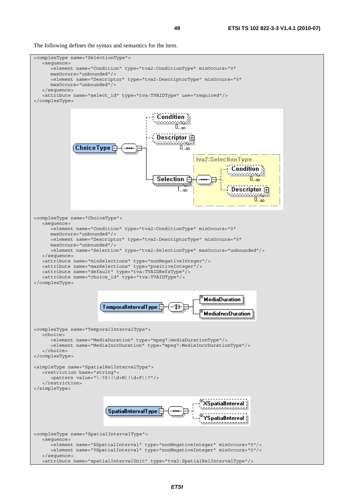The following defines the syntax and semantics for the item.

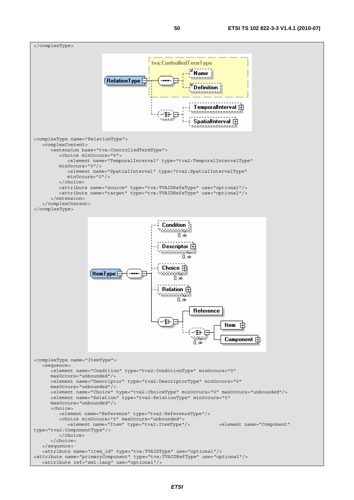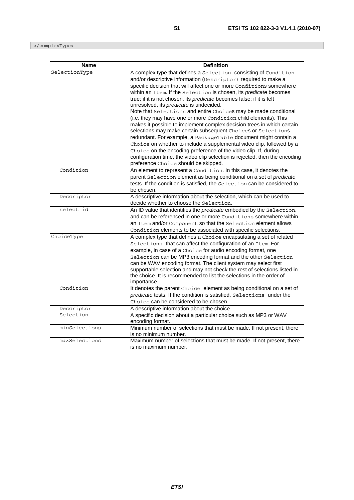</complexType>

| <b>Name</b>   | <b>Definition</b>                                                                                                                                                                                                                                                                                                                                                                                                                                                                                                                                                                                                                                                                                                                                                                                                                                                                                                                                                               |
|---------------|---------------------------------------------------------------------------------------------------------------------------------------------------------------------------------------------------------------------------------------------------------------------------------------------------------------------------------------------------------------------------------------------------------------------------------------------------------------------------------------------------------------------------------------------------------------------------------------------------------------------------------------------------------------------------------------------------------------------------------------------------------------------------------------------------------------------------------------------------------------------------------------------------------------------------------------------------------------------------------|
| SelectionType | A complex type that defines a Selection consisting of Condition<br>and/or descriptive information (Descriptor) required to make a<br>specific decision that will affect one or more Conditions somewhere<br>within an Item. If the Selection is chosen, its predicate becomes<br>true; if it is not chosen, its predicate becomes false; if it is left<br>unresolved, its predicate is undecided.<br>Note that Selections and entire Choices may be made conditional<br>(i.e. they may have one or more Condition child elements). This<br>makes it possible to implement complex decision trees in which certain<br>selections may make certain subsequent Choices or Selections<br>redundant. For example, a PackageTable document might contain a<br>Choice on whether to include a supplemental video clip, followed by a<br>Choice on the encoding preference of the video clip. If, during<br>configuration time, the video clip selection is rejected, then the encoding |
| Condition     | preference Choice should be skipped.<br>An element to represent a Condition. In this case, it denotes the<br>parent Selection element as being conditional on a set of predicate<br>tests. If the condition is satisfied, the Selection can be considered to<br>be chosen.                                                                                                                                                                                                                                                                                                                                                                                                                                                                                                                                                                                                                                                                                                      |
| Descriptor    | A descriptive information about the selection, which can be used to<br>decide whether to choose the Selection.                                                                                                                                                                                                                                                                                                                                                                                                                                                                                                                                                                                                                                                                                                                                                                                                                                                                  |
| select id     | An ID value that identifies the predicate embodied by the Selection,<br>and can be referenced in one or more Conditions somewhere within<br>an Item and/or Component so that the Selection element allows<br>Condition elements to be associated with specific selections.                                                                                                                                                                                                                                                                                                                                                                                                                                                                                                                                                                                                                                                                                                      |
| ChoiceType    | A complex type that defines a Choice encapsulating a set of related<br>Selections that can affect the configuration of an Item. For<br>example, in case of a Choice for audio encoding format, one<br>Selection can be MP3 encoding format and the other Selection<br>can be WAV encoding format. The client system may select first<br>supportable selection and may not check the rest of selections listed in<br>the choice. It is recommended to list the selections in the order of<br>importance.                                                                                                                                                                                                                                                                                                                                                                                                                                                                         |
| Condition     | It denotes the parent Choice element as being conditional on a set of<br>predicate tests. If the condition is satisfied, Selections under the<br>Choice can be considered to be chosen.                                                                                                                                                                                                                                                                                                                                                                                                                                                                                                                                                                                                                                                                                                                                                                                         |
| Descriptor    | A descriptive information about the choice.                                                                                                                                                                                                                                                                                                                                                                                                                                                                                                                                                                                                                                                                                                                                                                                                                                                                                                                                     |
| Selection     | A specific decision about a particular choice such as MP3 or WAV<br>encoding format.                                                                                                                                                                                                                                                                                                                                                                                                                                                                                                                                                                                                                                                                                                                                                                                                                                                                                            |
| minSelections | Minimum number of selections that must be made. If not present, there<br>is no minimum number.                                                                                                                                                                                                                                                                                                                                                                                                                                                                                                                                                                                                                                                                                                                                                                                                                                                                                  |
| maxSelections | Maximum number of selections that must be made. If not present, there<br>is no maximum number.                                                                                                                                                                                                                                                                                                                                                                                                                                                                                                                                                                                                                                                                                                                                                                                                                                                                                  |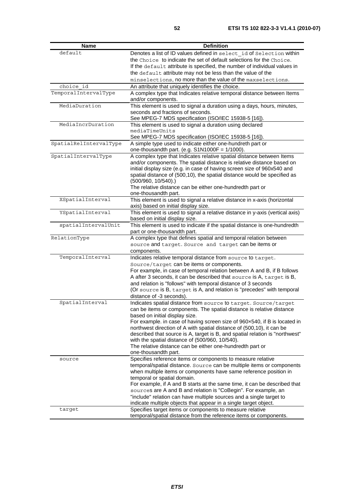| <b>Name</b>            | <b>Definition</b>                                                                                                                           |
|------------------------|---------------------------------------------------------------------------------------------------------------------------------------------|
| default                | Denotes a list of ID values defined in select id of Selection within                                                                        |
|                        | the Choice to indicate the set of default selections for the Choice.                                                                        |
|                        | If the default attribute is specified, the number of individual values in                                                                   |
|                        | the default attribute may not be less than the value of the                                                                                 |
|                        | minselections, no more than the value of the maxselections.                                                                                 |
| choice id              | An attribute that uniquely identifies the choice.                                                                                           |
| TemporalIntervalType   | A complex type that Indicates relative temporal distance between Items                                                                      |
|                        | and/or components.                                                                                                                          |
| MediaDuration          | This element is used to signal a duration using a days, hours, minutes,                                                                     |
|                        | seconds and fractions of seconds.                                                                                                           |
|                        | See MPEG-7 MDS specification (ISO/IEC 15938-5 [16]).                                                                                        |
| MediaIncrDuration      | This element is used to signal a duration using declared                                                                                    |
|                        | mediaTimeUnits                                                                                                                              |
| SpatialRelIntervalType | See MPEG-7 MDS specification (ISO/IEC 15938-5 [16]).<br>A simple type used to indicate either one-hundreth part or                          |
|                        | one-thousandth part. (e.g. $S1N1000F = 1/1000$ ).                                                                                           |
| SpatialIntervalType    | A complex type that Indicates relative spatial distance between Items                                                                       |
|                        | and/or components. The spatial distance is relative distance based on                                                                       |
|                        | initial display size (e.g. in case of having screen size of 960x540 and                                                                     |
|                        | spatial distance of (500,10), the spatial distance would be specified as                                                                    |
|                        | $(500/960, 10/540)$ .)                                                                                                                      |
|                        | The relative distance can be either one-hundredth part or                                                                                   |
|                        | one-thousandth part.                                                                                                                        |
| XSpatialInterval       | This element is used to signal a relative distance in x-axis (horizontal<br>axis) based on initial display size.                            |
| YSpatialInterval       | This element is used to signal a relative distance in y-axis (vertical axis)                                                                |
|                        | based on initial display size.                                                                                                              |
| spatialIntervalUnit    | This element is used to indicate if the spatial distance is one-hundredth                                                                   |
|                        | part or one-thousandth part.                                                                                                                |
| RelationType           | A complex type that defines spatial and temporal relation between                                                                           |
|                        | source and target. Source and target can be items or                                                                                        |
|                        | components.                                                                                                                                 |
| TemporalInterval       | Indicates relative temporal distance from source to target.                                                                                 |
|                        | Source/target can be items or components.                                                                                                   |
|                        | For example, in case of temporal relation between A and B, if B follows                                                                     |
|                        | A after 3 seconds, it can be described that source is A, target is B,                                                                       |
|                        | and relation is "follows" with temporal distance of 3 seconds                                                                               |
|                        | (Or source is B, target is A, and relation is "precedes" with temporal                                                                      |
|                        | distance of -3 seconds).                                                                                                                    |
| SpatialInterval        | Indicates spatial distance from source to target. Source/target                                                                             |
|                        | can be items or components. The spatial distance is relative distance<br>based on initial display size.                                     |
|                        | For example. in case of having screen size of 960x540, if B is located in                                                                   |
|                        | northwest direction of A with spatial distance of (500,10), it can be                                                                       |
|                        | described that source is A, target is B, and spatial relation is "northwest"                                                                |
|                        | with the spatial distance of (500/960, 10/540).                                                                                             |
|                        | The relative distance can be either one-hundredth part or                                                                                   |
|                        | one-thousandth part.                                                                                                                        |
| source                 | Specifies reference items or components to measure relative                                                                                 |
|                        | temporal/spatial distance. Source can be multiple items or components                                                                       |
|                        | when multiple items or components have same reference position in                                                                           |
|                        | temporal or spatial domain.                                                                                                                 |
|                        | For example, if A and B starts at the same time, it can be described that<br>sources are A and B and relation is "CoBegin". For example, an |
|                        | "include" relation can have multiple sources and a single target to                                                                         |
|                        | indicate multiple objects that appear in a single target object.                                                                            |
| target                 | Specifies target items or components to measure relative                                                                                    |
|                        | temporal/spatial distance from the reference items or components.                                                                           |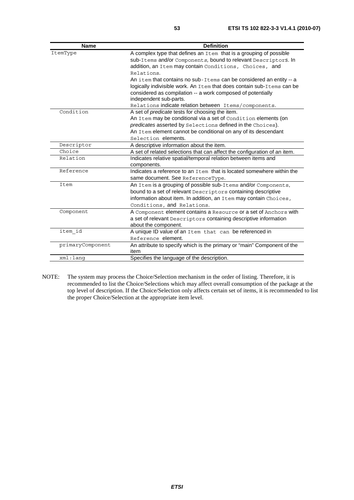| <b>Name</b>      | <b>Definition</b>                                                         |
|------------------|---------------------------------------------------------------------------|
| ItemType         | A complex type that defines an Item that is a grouping of possible        |
|                  | sub-Items and/or Components, bound to relevant Descriptors. In            |
|                  | addition, an Item may contain Conditions, Choices, and                    |
|                  | Relations.                                                                |
|                  | An item that contains no sub-Items can be considered an entity -- a       |
|                  | logically indivisible work. An Item that does contain sub-Items can be    |
|                  | considered as compilation -- a work composed of potentially               |
|                  | independent sub-parts.                                                    |
|                  | Relations indicate relation between Items/components.                     |
| Condition        | A set of <i>predicate</i> tests for choosing the item.                    |
|                  | An Item may be conditional via a set of Condition elements (on            |
|                  | predicates asserted by Selections defined in the Choices).                |
|                  | An Item element cannot be conditional on any of its descendant            |
|                  | Selection elements.                                                       |
| Descriptor       | A descriptive information about the item.                                 |
| Choice           | A set of related selections that can affect the configuration of an item. |
| Relation         | Indicates relative spatial/temporal relation between items and            |
|                  | components.                                                               |
| Reference        | Indicates a reference to an $I^+$ em that is located somewhere within the |
|                  | same document. See ReferenceType.                                         |
| Item             | An Item is a grouping of possible sub-Items and/or Components,            |
|                  | bound to a set of relevant Descriptors containing descriptive             |
|                  | information about item. In addition, an Item may contain Choices,         |
|                  | Conditions, and Relations.                                                |
| Component        | A Component element contains a Resource or a set of Anchors with          |
|                  | a set of relevant Descriptors containing descriptive information          |
|                  | about the component.                                                      |
| item id          | A unique ID value of an Item that can be referenced in                    |
|                  | Reference element.                                                        |
| primaryComponent | An attribute to specify which is the primary or "main" Component of the   |
|                  | item                                                                      |
| xml:lanq         | Specifies the language of the description.                                |

NOTE: The system may process the Choice/Selection mechanism in the order of listing. Therefore, it is recommended to list the Choice/Selections which may affect overall consumption of the package at the top level of description. If the Choice/Selection only affects certain set of items, it is recommended to list the proper Choice/Selection at the appropriate item level.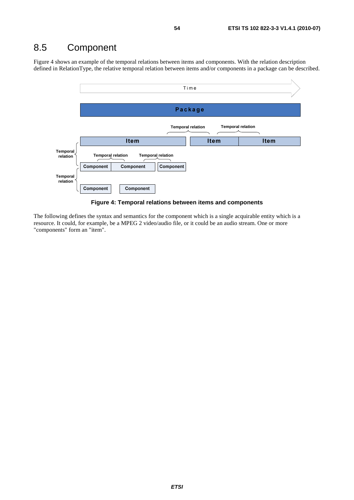## 8.5 Component

Figure 4 shows an example of the temporal relations between items and components. With the relation description defined in RelationType, the relative temporal relation between items and/or components in a package can be described.





The following defines the syntax and semantics for the component which is a single acquirable entity which is a resource. It could, for example, be a MPEG 2 video/audio file, or it could be an audio stream. One or more "components" form an "item".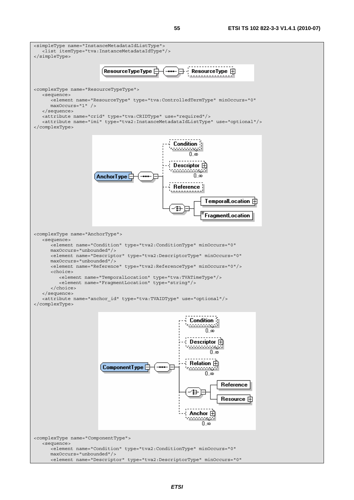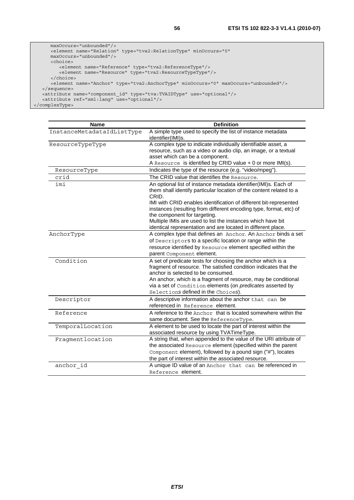```
 maxOccurs="unbounded"/> 
      <element name="Relation" type="tva2:RelationType" minOccurs="0" 
      maxOccurs="unbounded"/> 
      <choice> 
 <element name="Reference" type="tva2:ReferenceType"/> 
 <element name="Resource" type="tva2:ResourceTypeType"/> 
      </choice> 
      <element name="Anchor" type="tva2:AnchorType" minOccurs="0" maxOccurs="unbounded"/> 
   </sequence> 
 <attribute name="component_id" type="tva:TVAIDType" use="optional"/> 
 <attribute ref="xml:lang" use="optional"/> 
</complexType>
```

| <b>Name</b>                | <b>Definition</b>                                                                                                                                                       |
|----------------------------|-------------------------------------------------------------------------------------------------------------------------------------------------------------------------|
| InstanceMetadataIdListType | A simple type used to specify the list of instance metadata<br>identifier(IMI)s.                                                                                        |
| ResourceTypeType           | A complex type to indicate individually identifiable asset, a                                                                                                           |
|                            | resource, such as a video or audio clip, an image, or a textual                                                                                                         |
|                            | asset which can be a component.                                                                                                                                         |
|                            | A Resource is identified by CRID value + 0 or more IMI(s).                                                                                                              |
| ResourceType               | Indicates the type of the resource (e.g. "video/mpeg").                                                                                                                 |
| crid                       | The CRID value that identifies the Resource.                                                                                                                            |
| imi                        | An optional list of instance metadata identifier(IMI)s. Each of<br>them shall identify particular location of the content related to a<br>CRID.                         |
|                            | IMI with CRID enables identification of different bit-represented<br>instances (resulting from different encoding type, format, etc) of<br>the component for targeting. |
|                            | Multiple IMIs are used to list the instances which have bit<br>identical representation and are located in different place.                                             |
| AnchorType                 | A complex type that defines an Anchor. An Anchor binds a set                                                                                                            |
|                            | of Descriptors to a specific location or range within the                                                                                                               |
|                            | resource identified by Resource element specified within the                                                                                                            |
|                            | parent Component element.                                                                                                                                               |
| Condition                  | A set of predicate tests for choosing the anchor which is a                                                                                                             |
|                            | fragment of resource. The satisfied condition indicates that the<br>anchor is selected to be consumed.                                                                  |
|                            | An anchor, which is a fragment of resource, may be conditional                                                                                                          |
|                            | via a set of Condition elements (on <i>predicates</i> asserted by                                                                                                       |
|                            | Selections defined in the Choices).                                                                                                                                     |
| Descriptor                 | A descriptive information about the anchor that can be                                                                                                                  |
|                            | referenced in Reference element.                                                                                                                                        |
| Reference                  | A reference to the Anchor that is located somewhere within the                                                                                                          |
|                            | same document. See the ReferenceType.                                                                                                                                   |
| TemporalLocation           | A element to be used to locate the part of interest within the                                                                                                          |
|                            | associated resource by using TVATimeType.                                                                                                                               |
| Fragmentlocation           | A string that, when appended to the value of the URI attribute of                                                                                                       |
|                            | the associated Resource element (specified within the parent                                                                                                            |
|                            | Component element), followed by a pound sign ("#"), locates                                                                                                             |
|                            | the part of interest within the associated resource.                                                                                                                    |
| anchor id                  | A unique ID value of an Anchor that can be referenced in                                                                                                                |
|                            | Reference element.                                                                                                                                                      |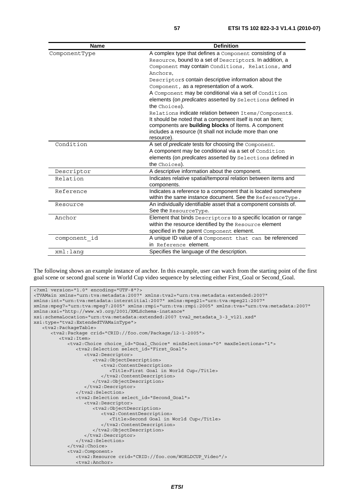| <b>Name</b>   | <b>Definition</b>                                                                                                  |
|---------------|--------------------------------------------------------------------------------------------------------------------|
| ComponentType | A complex type that defines a Component consisting of a                                                            |
|               | Resource, bound to a set of Descriptors. In addition, a                                                            |
|               | Component may contain Conditions, Relations, and                                                                   |
|               | Anchors.                                                                                                           |
|               | Descriptors contain descriptive information about the                                                              |
|               | Component, as a representation of a work.                                                                          |
|               | A Component may be conditional via a set of Condition                                                              |
|               | elements (on <i>predicates</i> asserted by Selections defined in<br>the Choices).                                  |
|               | Relations indicate relation between Items/Components.                                                              |
|               | It should be noted that a component itself is not an Item;<br>components are building blocks of Items. A component |
|               | includes a resource (It shall not include more than one<br>resource).                                              |
| Condition     | A set of predicate tests for choosing the Component.                                                               |
|               | A component may be conditional via a set of Condition                                                              |
|               | elements (on predicates asserted by Selections defined in                                                          |
|               | the Choices).                                                                                                      |
| Descriptor    | A descriptive information about the component.                                                                     |
| Relation      | Indicates relative spatial/temporal relation between items and                                                     |
|               | components.                                                                                                        |
| Reference     | Indicates a reference to a component that is located somewhere                                                     |
|               | within the same instance document. See the ReferenceType.                                                          |
| Resource      | An individually identifiable asset that a component consists of.                                                   |
|               | See the ResourceType.                                                                                              |
| Anchor        | Element that binds Descriptors to a specific location or range                                                     |
|               | within the resource identified by the Resource element                                                             |
|               | specified in the parent Component element.                                                                         |
| component id  | A unique ID value of a Component that can be referenced                                                            |
|               | in Reference element.                                                                                              |
| xml:lang      | Specifies the language of the description.                                                                         |

The following shows an example instance of anchor. In this example, user can watch from the starting point of the first goal scene or second goal scene in World Cup video sequence by selecting either First\_Goal or Second\_Goal.

```
<?xml version="1.0" encoding="UTF-8"?> 
<TVAMain xmlns="urn:tva:metadata:2007" xmlns:tva2="urn:tva:metadata:extended:2007" 
xmlns:int="urn:tva:metadata:interstitial:2007" xmlns:mpeg21="urn:tva:mpeg21:2007" 
xmlns:mpeg7="urn:tva:mpeg7:2005" xmlns:rmpi="urn:tva:rmpi:2005" xmlns:tva="urn:tva:metadata:2007" 
xmlns:xsi="http://www.w3.org/2001/XMLSchema-instance" 
xsi:schemaLocation="urn:tva:metadata:extended:2007 tva2_metadata_3-3_v121.xsd" 
xsi:type="tva2:ExtendedTVAMainType"> 
    <tva2:PackageTable> 
       <tva2:Package crid="CRID://foo.com/Package/12-1-2005"> 
          <tva2:Item> 
             <tva2:Choice choice_id="Goal_Choice" minSelections="0" maxSelections="1"> 
                <tva2:Selection select_id="First_Goal"> 
                   <tva2:Descriptor> 
                      <tva2:ObjectDescription> 
                         <tva2:ContentDescription> 
                             <Title>First Goal in World Cup</Title> 
                          </tva2:ContentDescription> 
                       </tva2:ObjectDescription> 
                   </tva2:Descriptor> 
                </tva2:Selection> 
                <tva2:Selection select_id="Second_Goal"> 
                   <tva2:Descriptor> 
                      <tva2:ObjectDescription> 
                         <tva2:ContentDescription> 
                             <Title>Second Goal in World Cup</Title> 
                          </tva2:ContentDescription> 
                      </tva2:ObjectDescription> 
                   </tva2:Descriptor> 
                </tva2:Selection> 
             </tva2:Choice> 
             <tva2:Component> 
                <tva2:Resource crid="CRID://foo.com/WORLDCUP_Video"/> 
                <tva2:Anchor>
```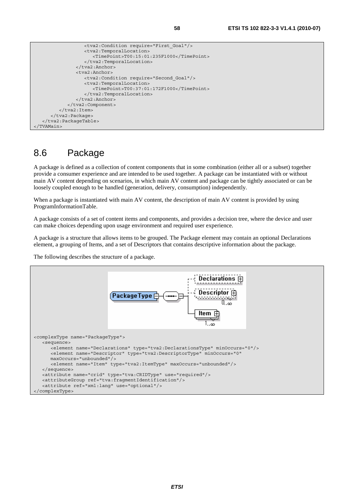```
 <tva2:Condition require="First_Goal"/> 
                  <tva2:TemporalLocation> 
                      <TimePoint>T00:15:01:235F1000</TimePoint> 
                  </tva2:TemporalLocation> 
               </tva2:Anchor> 
               <tva2:Anchor> 
                  <tva2:Condition require="Second_Goal"/> 
                  <tva2:TemporalLocation> 
                      <TimePoint>T00:37:01:172F1000</TimePoint> 
                  </tva2:TemporalLocation> 
               </tva2:Anchor> 
            </tva2:Component> 
        </tva2:Item>
     </tva2:Package> 
  </tva2:PackageTable> 
</TVAMain>
```
## 8.6 Package

A package is defined as a collection of content components that in some combination (either all or a subset) together provide a consumer experience and are intended to be used together. A package can be instantiated with or without main AV content depending on scenarios, in which main AV content and package can be tightly associated or can be loosely coupled enough to be handled (generation, delivery, consumption) independently.

When a package is instantiated with main AV content, the description of main AV content is provided by using ProgramInformationTable.

A package consists of a set of content items and components, and provides a decision tree, where the device and user can make choices depending upon usage environment and required user experience.

A package is a structure that allows items to be grouped. The Package element may contain an optional Declarations element, a grouping of Items, and a set of Descriptors that contains descriptive information about the package.

The following describes the structure of a package.

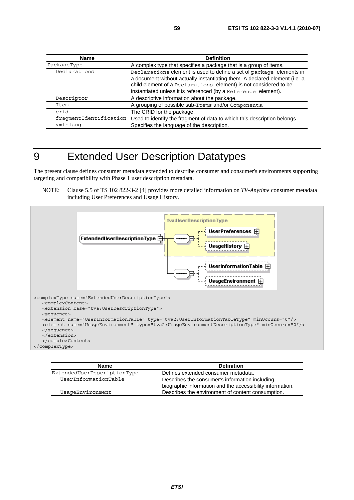| Name                   | <b>Definition</b>                                                                                                                                                                                                                                                                       |
|------------------------|-----------------------------------------------------------------------------------------------------------------------------------------------------------------------------------------------------------------------------------------------------------------------------------------|
| PackageType            | A complex type that specifies a package that is a group of items.                                                                                                                                                                                                                       |
| Declarations           | Declarations element is used to define a set of package elements in<br>a document without actually instantiating them. A declared element (i.e. a<br>child element of a Declarations element) is not considered to be<br>instantiated unless it is referenced (by a Reference element). |
| Descriptor             | A descriptive information about the package.                                                                                                                                                                                                                                            |
| Item                   | A grouping of possible sub-Items and/or Components.                                                                                                                                                                                                                                     |
| crid                   | The CRID for the package.                                                                                                                                                                                                                                                               |
| fraqmentIdentification | Used to identify the fragment of data to which this description belongs.                                                                                                                                                                                                                |
| xml:lang               | Specifies the language of the description.                                                                                                                                                                                                                                              |

## 9 Extended User Description Datatypes

The present clause defines consumer metadata extended to describe consumer and consumer's environments supporting targeting and compatibility with Phase 1 user description metadata.

NOTE: Clause 5.5 of TS 102 822-3-2 [4] provides more detailed information on *TV-Anytime* consumer metadata including User Preferences and Usage History.



| <b>Name</b>                 | <b>Definition</b>                                                                                           |
|-----------------------------|-------------------------------------------------------------------------------------------------------------|
| ExtendedUserDescriptionType | Defines extended consumer metadata.                                                                         |
| UserInformationTable        | Describes the consumer's information including<br>biographic information and the accessibility information. |
| UsaqeEnvironment            | Describes the environment of content consumption.                                                           |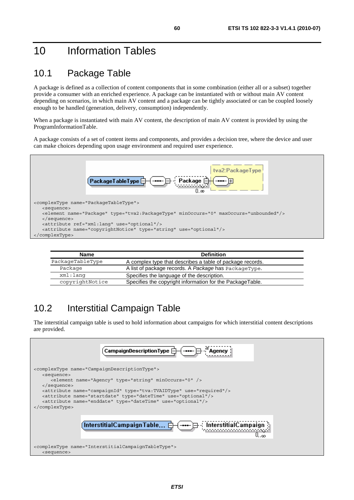## 10 Information Tables

## 10.1 Package Table

A package is defined as a collection of content components that in some combination (either all or a subset) together provide a consumer with an enriched experience. A package can be instantiated with or without main AV content depending on scenarios, in which main AV content and a package can be tightly associated or can be coupled loosely enough to be handled (generation, delivery, consumption) independently.

When a package is instantiated with main AV content, the description of main AV content is provided by using the ProgramInformationTable.

A package consists of a set of content items and components, and provides a decision tree, where the device and user can make choices depending upon usage environment and required user experience.



| <b>Name</b>      | <b>Definition</b>                                         |  |
|------------------|-----------------------------------------------------------|--|
| PackageTableType | A complex type that describes a table of package records. |  |
| Package          | A list of package records. A Package has PackageType.     |  |
| xml:lang         | Specifies the language of the description.                |  |
| copyrightNotice  | Specifies the copyright information for the PackageTable. |  |

## 10.2 Interstitial Campaign Table

The interstitial campaign table is used to hold information about campaigns for which interstitial content descriptions are provided.

| $\sf{Campair}$ DescriptionType $\boxdot$<br>'Agency                           |
|-------------------------------------------------------------------------------|
| <complextype name="CampaignDescriptionType"></complextype>                    |
| <sequence></sequence>                                                         |
| <element minoccurs="0" name="Agency" type="string"></element>                 |
| $\langle$ sequence>                                                           |
| <attribute name="campaignId" type="tva:TVAIDType" use="required"></attribute> |
| <attribute name="startdate" type="dateTime" use="optional"></attribute>       |
| <attribute name="enddate" type="dateTime" use="optional"></attribute>         |
|                                                                               |
| $\lceil$ Interstitial $\mathsf{Camp}$ aign $\mathsf{Table} \oplus$<br>.00     |
| <complextype name="InterstitialCampaignTableType"></complextype>              |
| <sequence></sequence>                                                         |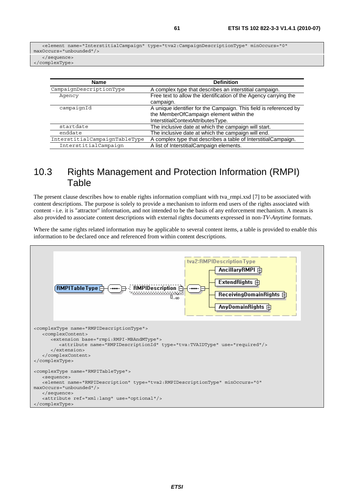</complexType>

| <b>Name</b>                   | <b>Definition</b>                                                                                                                                  |
|-------------------------------|----------------------------------------------------------------------------------------------------------------------------------------------------|
| CampaignDescriptionType       | A complex type that describes an interstitial campaign.                                                                                            |
| Agency                        | Free text to allow the identification of the Agency carrying the<br>campaign.                                                                      |
| campaignId                    | A unique identifier for the Campaign. This field is referenced by<br>the MemberOfCampaign element within the<br>InterstitialContextAttributesType. |
| startdate                     | The inclusive date at which the campaign will start.                                                                                               |
| enddate                       | The inclusive date at which the campaign will end.                                                                                                 |
| InterstitialCampaignTableType | A complex type that describes a table of InterstitialCampaign.                                                                                     |
| InterstitialCampaign          | A list of InterstitialCampaign elements.                                                                                                           |

#### 10.3 Rights Management and Protection Information (RMPI) Table

The present clause describes how to enable rights information compliant with tva\_rmpi.xsd [7] to be associated with content descriptions. The purpose is solely to provide a mechanism to inform end users of the rights associated with content - i.e. it is "attractor" information, and not intended to be the basis of any enforcement mechanism. A means is also provided to associate content descriptions with external rights documents expressed in non-*TV-Anytime* formats.

Where the same rights related information may be applicable to several content items, a table is provided to enable this information to be declared once and referenced from within content descriptions.

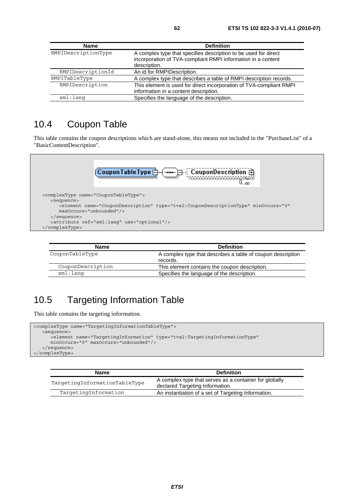| <b>Name</b>         | <b>Definition</b>                                                                                                                               |
|---------------------|-------------------------------------------------------------------------------------------------------------------------------------------------|
| RMPIDescriptionType | A complex type that specifies description to be used for direct<br>incorporation of TVA-compliant RMPI information in a content<br>description. |
| RMPIDescriptionId   | An id for RMPIDescription.                                                                                                                      |
| RMPITableType       | A complex type that describes a table of RMPI description records.                                                                              |
| RMPIDescription     | This element is used for direct incorporation of TVA-compliant RMPI<br>information in a content description.                                    |
| $xml:$ lang         | Specifies the language of the description.                                                                                                      |

#### 10.4 Coupon Table

This table contains the coupon descriptions which are stand-alone, this means not included in the "PurchaseList" of a "BasicContentDescription".



| <b>Name</b>       | <b>Definition</b>                                                       |
|-------------------|-------------------------------------------------------------------------|
| CouponTableType   | A complex type that describes a table of coupon description<br>records. |
| CouponDescription | This element contains the coupon description.                           |
| xml:lanq          | Specifies the language of the description.                              |

## 10.5 Targeting Information Table

This table contains the targeting information.

```
<complexType name="TargetingInformationTableType"> 
   <sequence> 
       <element name="TargetingInformation" type="tva2:TargetingInformationType" 
      minOccurs="0" maxOccurs="unbounded"/> 
    </sequence> 
</complexType>
```

| <b>Name</b>                   | <b>Definition</b>                                                                         |
|-------------------------------|-------------------------------------------------------------------------------------------|
| TargetingInformationTableType | A complex type that serves as a container for globally<br>declared Targeting Information. |
| TargetingInformation          | An instantiation of a set of Targeting Information.                                       |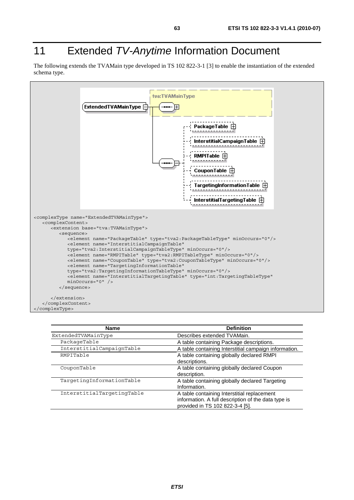# 11 Extended *TV-Anytime* Information Document

The following extends the TVAMain type developed in TS 102 822-3-1 [3] to enable the instantiation of the extended schema type.



| <b>Name</b>                | <b>Definition</b>                                     |
|----------------------------|-------------------------------------------------------|
| ExtendedTVAMainType        | Describes extended TVAMain.                           |
| PackageTable               | A table containing Package descriptions.              |
| InterstitialCampaignTable  | A table containing Interstitial campaign information. |
| RMPITable                  | A table containing globally declared RMPI             |
|                            | descriptions.                                         |
| CouponTable                | A table containing globally declared Coupon           |
|                            | description.                                          |
| TargetingInformationTable  | A table containing globally declared Targeting        |
|                            | Information.                                          |
| InterstitialTargetingTable | A table containing Interstitial replacement           |
|                            | information. A full description of the data type is   |
|                            | provided in TS 102 822-3-4 [5].                       |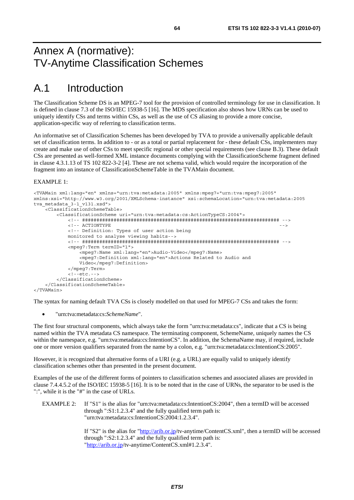## Annex A (normative): TV-Anytime Classification Schemes

# A.1 Introduction

The Classification Scheme DS is an MPEG-7 tool for the provision of controlled terminology for use in classification. It is defined in clause 7.3 of the ISO/IEC 15938-5 [16]. The MDS specification also shows how URNs can be used to uniquely identify CSs and terms within CSs, as well as the use of CS aliasing to provide a more concise, application-specific way of referring to classification terms.

An informative set of Classification Schemes has been developed by TVA to provide a universally applicable default set of classification terms. In addition to - or as a total or partial replacement for - these default CSs, implementers may create and make use of other CSs to meet specific regional or other special requirements (see clause B.3). These default CSs are presented as well-formed XML instance documents complying with the ClassificationScheme fragment defined in clause 4.3.1.13 of TS 102 822-3-2 [4]. These are not schema valid, which would require the incorporation of the fragment into an instance of ClassificationSchemeTable in the TVAMain document.

#### EXAMPLE 1:

```
<TVAMain xml:lang="en" xmlns="urn:tva:metadata:2005" xmlns:mpeg7="urn:tva:mpeg7:2005" 
xmlns:xsi="http://www.w3.org/2001/XMLSchema-instance" xsi:schemaLocation="urn:tva:metadata:2005 
tva metadata 3-1 v131.xsd">
     <ClassificationSchemeTable> 
         <ClassificationScheme uri="urn:tva:metadata:cs:ActionTypeCS:2004"> 
             <!-- ##################################################################### --> 
            \epsilon = - a CTIONTYPE \epsilon <!-- Definition: Types of user action being 
             monitored to analyse viewing habits--> 
             <!-- ##################################################################### --> 
             <mpeg7:Term termID="1"> 
                 <mpeg7:Name xml:lang="en">Audio-Video</mpeg7:Name> 
                 <mpeg7:Definition xml:lang="en">Actions Related to Audio and 
                 Video</mpeg7:Definition> 
             </mpeg7:Term> 
             <!--etc.--> 
         </ClassificationScheme> 
     </ClassificationSchemeTable> 
</TVAMain>
```
The syntax for naming default TVA CSs is closely modelled on that used for MPEG-7 CSs and takes the form:

• "urn:tva:metadata:cs:*SchemeName*".

The first four structural components, which always take the form "urn:tva:metadata:cs", indicate that a CS is being named within the TVA metadata CS namespace. The terminating component, SchemeName, uniquely names the CS within the namespace, e.g. "urn:tva:metadata:cs:IntentionCS". In addition, the SchemaName may, if required, include one or more version qualifiers separated from the name by a colon, e.g. "urn:tva:metadata:cs:IntentionCS:2005".

However, it is recognized that alternative forms of a URI (e.g. a URL) are equally valid to uniquely identify classification schemes other than presented in the present document.

Examples of the use of the different forms of pointers to classification schemes and associated aliases are provided in clause 7.4.4.5.2 of the ISO/IEC 15938-5 [16]. It is to be noted that in the case of URNs, the separator to be used is the ":", while it is the "#" in the case of URLs.

EXAMPLE 2: If "S1" is the alias for "urn:tva:metadata:cs:IntentionCS:2004", then a termID will be accessed through ":S1:1.2.3.4" and the fully qualified term path is: "urn:tva:metadata:cs:IntentionCS:2004:1.2.3.4".

> If "S2" is the alias for ["http://arib.or.jp/](http://arib.or.jp/)tv-anytime/ContentCS.xml", then a termID will be accessed through ":S2:1.2.3.4" and the fully qualified term path is: ["http://arib.or.jp/](http://arib.or.jp/)tv-anytime/ContentCS.xml#1.2.3.4".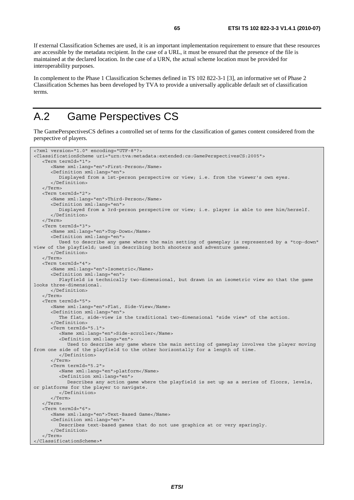If external Classification Schemes are used, it is an important implementation requirement to ensure that these resources are accessible by the metadata recipient. In the case of a URL, it must be ensured that the presence of the file is maintained at the declared location. In the case of a URN, the actual scheme location must be provided for interoperability purposes.

In complement to the Phase 1 Classification Schemes defined in TS 102 822-3-1 [3], an informative set of Phase 2 Classification Schemes has been developed by TVA to provide a universally applicable default set of classification terms.

# A.2 Game Perspectives CS

The GamePerspectivesCS defines a controlled set of terms for the classification of games content considered from the perspective of players.

```
<?xml version="1.0" encoding="UTF-8"?> 
<ClassificationScheme uri="urn:tva:metadata:extended:cs:GamePerspectivesCS:2005"> 
    <Term termId="1"> 
       <Name xml:lang="en">First-Person</Name> 
       <Definition xml:lang="en"> 
          Displayed from a 1st-person perspective or view; i.e. from the viewer's own eyes. 
       </Definition> 
    </Term> 
    <Term termId="2"> 
       <Name xml:lang="en">Third-Person</Name> 
       <Definition xml:lang="en"> 
          Displayed from a 3rd-person perspective or view; i.e. player is able to see him/herself. 
       </Definition> 
    </Term> 
    <Term termId="3"> 
       <Name xml:lang="en">Top-Down</Name> 
       <Definition xml:lang="en"> 
          Used to describe any game where the main setting of gameplay is represented by a "top-down" 
view of the playfield; used in describing both shooters and adventure games. 
       </Definition> 
    </Term> 
    <Term termId="4"> 
       <Name xml:lang="en">Isometric</Name> 
       <Definition xml:lang="en"> 
          Playfield is technically two-dimensional, but drawn in an isometric view so that the game 
looks three-dimensional. 
       </Definition> 
    </Term> 
    <Term termId="5"> 
       <Name xml:lang="en">Flat, Side-View</Name> 
       <Definition xml:lang="en"> 
          The flat, side-view is the traditional two-dimensional "side view" of the action. 
       </Definition> 
       <Term termId="5.1"> 
          <Name xml:lang="en">Side-scroller</Name> 
          <Definition xml:lang="en"> 
             Used to describe any game where the main setting of gameplay involves the player moving 
from one side of the playfield to the other horizontally for a length of time. 
          </Definition> 
       </Term> 
       <Term termId="5.2"> 
          <Name xml:lang="en">platform</Name> 
          <Definition xml:lang="en"> 
             Describes any action game where the playfield is set up as a series of floors, levels, 
or platforms for the player to navigate. 
          </Definition> 
       </Term> 
    </Term> 
    <Term termId="6"> 
       <Name xml:lang="en">Text-Based Game</Name> 
       <Definition xml:lang="en"> 
          Describes text-based games that do not use graphics at or very sparingly. 
       </Definition> 
    </Term> 
</ClassificationScheme>*
```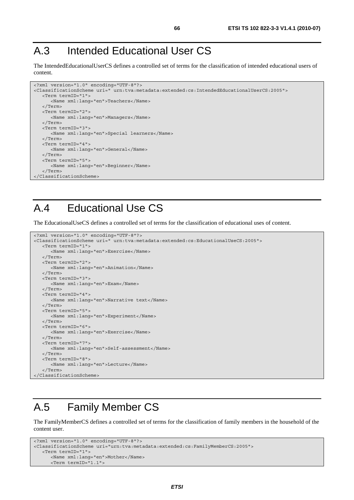# A.3 Intended Educational User CS

The IntendedEducationalUserCS defines a controlled set of terms for the classification of intended educational users of content.

```
<?xml version="1.0" encoding="UTF-8"?> 
<ClassificationScheme uri=" urn:tva:metadata:extended:cs:IntendedEducationalUserCS:2005"> 
    <Term termID="1"> 
       <Name xml:lang="en">Teachers</Name> 
    </Term> 
    <Term termID="2"> 
       <Name xml:lang="en">Managers</Name> 
    </Term> 
    <Term termID="3"> 
       <Name xml:lang="en">Special learners</Name> 
    </Term> 
    <Term termID="4"> 
      <Name xml:lang="en">General</Name> 
    </Term> 
    <Term termID="5"> 
      <Name xml:lang="en">Beginner</Name> 
    </Term> 
</ClassificationScheme>
```
# A.4 Educational Use CS

The EducationalUseCS defines a controlled set of terms for the classification of educational uses of content.

```
<?xml version="1.0" encoding="UTF-8"?> 
<ClassificationScheme uri=" urn:tva:metadata:extended:cs:EducationalUseCS:2005"> 
    <Term termID="1"> 
       <Name xml:lang="en">Exercise</Name> 
    </Term> 
    <Term termID="2"> 
       <Name xml:lang="en">Animation</Name> 
    </Term> 
    <Term termID="3"> 
       <Name xml:lang="en">Exam</Name> 
    </Term> 
    <Term termID="4"> 
       <Name xml:lang="en">Narrative text</Name> 
    </Term> 
    <Term termID="5"> 
       <Name xml:lang="en">Experiment</Name> 
    </Term> 
    <Term termID="6"> 
       <Name xml:lang="en">Exercise</Name> 
   \sim/Term\sim <Term termID="7"> 
      <Name xml:lang="en">Self-assessment</Name> 
    </Term> 
    <Term termID="8"> 
       <Name xml:lang="en">Lecture</Name> 
    </Term> 
</ClassificationScheme>
```
# A.5 Family Member CS

The FamilyMemberCS defines a controlled set of terms for the classification of family members in the household of the content user.

```
<?xml version="1.0" encoding="UTF-8"?> 
<ClassificationScheme uri="urn:tva:metadata:extended:cs:FamilyMemberCS:2005"> 
    <Term termID="1"> 
       <Name xml:lang="en">Mother</Name> 
       <Term termID="1.1">
```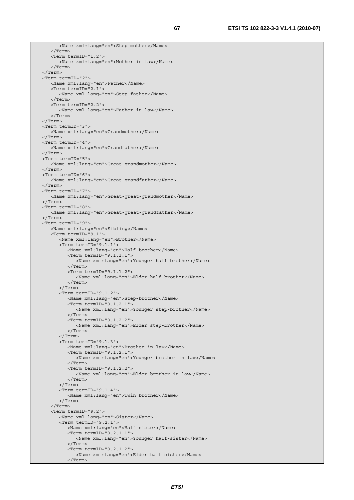```
 <Name xml:lang="en">Step-mother</Name> 
    </Term> 
    <Term termID="1.2"> 
       <Name xml:lang="en">Mother-in-law</Name> 
    </Term> 
 </Term> 
 <Term termID="2"> 
    <Name xml:lang="en">Father</Name> 
    <Term termID="2.1"> 
       <Name xml:lang="en">Step-father</Name> 
    </Term> 
    <Term termID="2.2"> 
       <Name xml:lang="en">Father-in-law</Name> 
    </Term> 
 </Term> 
 <Term termID="3"> 
    <Name xml:lang="en">Grandmother</Name> 
 </Term> 
 <Term termID="4"> 
   <Name xml:lang="en">Grandfather</Name> 
 </Term> 
 <Term termID="5"> 
    <Name xml:lang="en">Great-grandmother</Name> 
 </Term> 
 <Term termID="6"> 
    <Name xml:lang="en">Great-grandfather</Name> 
 </Term> 
 <Term termID="7"> 
    <Name xml:lang="en">Great-great-grandmother</Name> 
 </Term> 
 <Term termID="8"> 
   <Name xml:lang="en">Great-great-grandfather</Name> 
 </Term> 
 <Term termID="9"> 
    <Name xml:lang="en">Sibling</Name> 
    <Term termID="9.1"> 
       <Name xml:lang="en">Brother</Name> 
       <Term termID="9.1.1"> 
          <Name xml:lang="en">Half-brother</Name> 
          <Term termID="9.1.1.1"> 
              <Name xml:lang="en">Younger half-brother</Name> 
           </Term> 
          <Term termID="9.1.1.2"> 
              <Name xml:lang="en">Elder half-brother</Name> 
          </Term> 
       </Term> 
       <Term termID="9.1.2"> 
          <Name xml:lang="en">Step-brother</Name> 
          <Term termID="9.1.2.1"> 
              <Name xml:lang="en">Younger step-brother</Name> 
           </Term> 
          <Term termID="9.1.2.2"> 
             <Name xml:lang="en">Elder step-brother</Name> 
         \sim/Terms
       </Term> 
       <Term termID="9.1.3"> 
          <Name xml:lang="en">Brother-in-law</Name> 
           <Term termID="9.1.2.1"> 
              <Name xml:lang="en">Younger brother-in-law</Name> 
           </Term> 
          <Term termID="9.1.2.2"> 
             <Name xml:lang="en">Elder brother-in-law</Name> 
          </Term> 
       </Term> 
       <Term termID="9.1.4"> 
          <Name xml:lang="en">Twin brother</Name> 
       </Term> 
    </Term> 
    <Term termID="9.2"> 
       <Name xml:lang="en">Sister</Name> 
       <Term termID="9.2.1"> 
           <Name xml:lang="en">Half-sister</Name> 
           <Term termID="9.2.1.1"> 
             <Name xml:lang="en">Younger half-sister</Name> 
          </Term> 
          <Term termID="9.2.1.2"> 
              <Name xml:lang="en">Elder half-sister</Name> 
          </Term>
```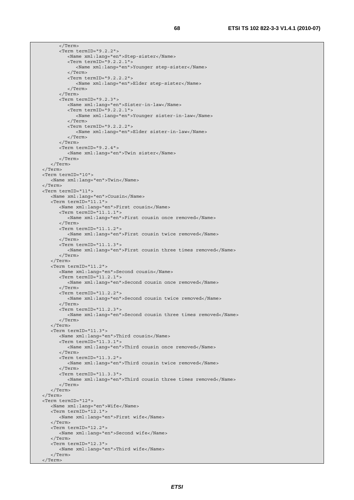</Term>

 <Term termID="9.2.2"> <Name xml:lang="en">Step-sister</Name> <Term termID="9.2.2.1"> <Name xml:lang="en">Younger step-sister</Name> </Term> <Term termID="9.2.2.2"> <Name xml:lang="en">Elder step-sister</Name> </Term> </Term> <Term termID="9.2.3"> <Name xml:lang="en">Sister-in-law</Name> <Term termID="9.2.2.1"> <Name xml:lang="en">Younger sister-in-law</Name> </Term> <Term termID="9.2.2.2"> <Name xml:lang="en">Elder sister-in-law</Name> </Term> </Term> <Term termID="9.2.4"> <Name xml:lang="en">Twin sister</Name> </Term> </Term> </Term> <Term termID="10"> <Name xml:lang="en">Twin</Name> </Term> <Term termID="11"> <Name xml:lang="en">Cousin</Name> <Term termID="11.1"> <Name xml:lang="en">First cousin</Name> <Term termID="11.1.1"> <Name xml:lang="en">First cousin once removed</Name> </Term> <Term termID="11.1.2"> <Name xml:lang="en">First cousin twice removed</Name> </Term> <Term termID="11.1.3"> <Name xml:lang="en">First cousin three times removed</Name> </Term> </Term> <Term termID="11.2"> <Name xml:lang="en">Second cousin</Name> <Term termID="11.2.1"> <Name xml:lang="en">Second cousin once removed</Name> </Term> <Term termID="11.2.2"> <Name xml:lang="en">Second cousin twice removed</Name> </Term> <Term termID="11.2.3"> <Name xml:lang="en">Second cousin three times removed</Name> </Term> </Term>  $ZTarm from TD-111.3"$  <Name xml:lang="en">Third cousin</Name> <Term termID="11.3.1"> <Name xml:lang="en">Third cousin once removed</Name> </Term> <Term termID="11.3.2"> <Name xml:lang="en">Third cousin twice removed</Name> </Term> <Term termID="11.3.3"> <Name xml:lang="en">Third cousin three times removed</Name> </Term> </Term> </Term> <Term termID="12"> <Name xml:lang="en">Wife</Name> <Term termID="12.1"> <Name xml:lang="en">First wife</Name> </Term> <Term termID="12.2"> <Name xml:lang="en">Second wife</Name> </Term> <Term termID="12.3"> <Name xml:lang="en">Third wife</Name> </Term> </Term>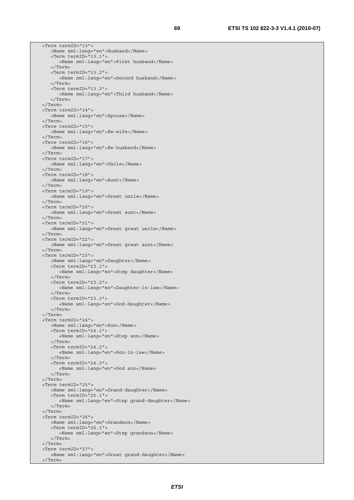<Term termID="13"> <Name xml:lang="en">Husband</Name> <Term termID="13.1"> <Name xml:lang="en">First husband</Name> </Term> <Term termID="13.2"> <Name xml:lang="en">Second husband</Name> </Term> <Term termID="13.3"> <Name xml:lang="en">Third husband</Name> </Term> </Term> <Term termID="14"> <Name xml:lang="en">Spouse</Name> </Term> <Term termID="15"> <Name xml:lang="en">Ex-wife</Name> </Term> <Term termID="16"> <Name xml:lang="en">Ex-husband</Name> </Term> <Term termID="17"> <Name xml:lang="en">Uncle</Name> </Term> <Term termID="18"> <Name xml:lang="en">Aunt</Name> </Term> <Term termID="19"> <Name xml:lang="en">Great uncle</Name> </Term> <Term termID="20"> <Name xml:lang="en">Great aunt</Name> </Term> <Term termID="21"> <Name xml:lang="en">Great great uncle</Name> </Term> <Term termID="22"> <Name xml:lang="en">Great great aunt</Name> </Term> <Term termID="23"> <Name xml:lang="en">Daughter</Name> <Term termID="23.1"> <Name xml:lang="en">Step daughter</Name> </Term> <Term termID="23.2"> <Name xml:lang="en">Daughter-in-law</Name> </Term> <Term termID="23.3"> <Name xml:lang="en">God-daughter</Name> </Term> </Term> <Term termID="24"> <Name xml:lang="en">Son</Name> <Term termID="24.1"> <Name xml:lang="en">Step son</Name> </Term> <Term termID="24.2"> <Name xml:lang="en">Son-in-law</Name> </Term> <Term termID="24.3"> <Name xml:lang="en">God son</Name> </Term> </Term> <Term termID="25"> <Name xml:lang="en">Grand-daughter</Name> <Term termID="25.1"> <Name xml:lang="en">Step grand-daughter</Name> </Term> </Term> <Term termID="26"> <Name xml:lang="en">Grandson</Name> <Term termID="26.1"> <Name xml:lang="en">Step grandson</Name> </Term> </Term> <Term termID="27"> <Name xml:lang="en">Great grand-daughter</Name> </Term>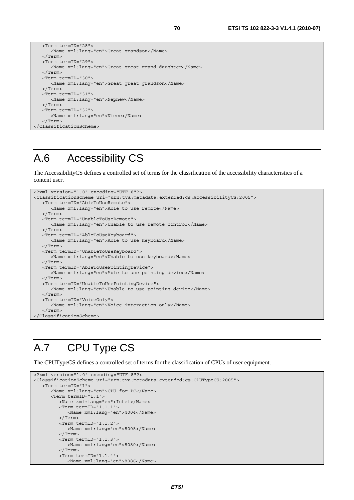```
 <Term termID="28"> 
       <Name xml:lang="en">Great grandson</Name> 
   </Term> 
   <Term termID="29"> 
      <Name xml:lang="en">Great great grand-daughter</Name> 
   </Term> 
   <Term termID="30"> 
      <Name xml:lang="en">Great great grandson</Name> 
   </Term> 
   <Term termID="31"> 
      <Name xml:lang="en">Nephew</Name> 
   </Term> 
   <Term termID="32"> 
      <Name xml:lang="en">Niece</Name> 
   </Term> 
</ClassificationScheme>
```
# A.6 Accessibility CS

The AccessibilityCS defines a controlled set of terms for the classification of the accessibility characteristics of a content user.

```
<?xml version="1.0" encoding="UTF-8"?> 
<ClassificationScheme uri="urn:tva:metadata:extended:cs:AccessibilityCS:2005"> 
    <Term termID="AbleToUseRemote"> 
       <Name xml:lang="en">Able to use remote</Name> 
    </Term> 
    <Term termID="UnableToUseRemote"> 
       <Name xml:lang="en">Unable to use remote control</Name> 
    </Term> 
    <Term termID="AbleToUseKeyboard"> 
      <Name xml:lang="en">Able to use keyboard</Name> 
    </Term> 
    <Term termID="UnableToUseKeyboard"> 
       <Name xml:lang="en">Unable to use keyboard</Name> 
    </Term> 
    <Term termID="AbleToUsePointingDevice"> 
      <Name xml:lang="en">Able to use pointing device</Name> 
    </Term> 
    <Term termID="UnableToUsePointingDevice"> 
      <Name xml:lang="en">Unable to use pointing device</Name> 
    </Term> 
    <Term termID="VoiceOnly"> 
      <Name xml:lang="en">Voice interaction only</Name> 
    </Term> 
</ClassificationScheme>
```
# A.7 CPU Type CS

The CPUTypeCS defines a controlled set of terms for the classification of CPUs of user equipment.

```
<?xml version="1.0" encoding="UTF-8"?> 
<ClassificationScheme uri="urn:tva:metadata:extended:cs:CPUTypeCS:2005"> 
    <Term termID="1"> 
       <Name xml:lang="en">CPU for PC</Name> 
       <Term termID="1.1"> 
          <Name xml:lang="en">Intel</Name> 
          <Term termID="1.1.1"> 
             <Name xml:lang="en">4004</Name> 
          </Term> 
          <Term termID="1.1.2"> 
             <Name xml:lang="en">8008</Name> 
          </Term> 
          <Term termID="1.1.3"> 
             <Name xml:lang="en">8080</Name> 
          </Term> 
          <Term termID="1.1.4"> 
             <Name xml:lang="en">8086</Name>
```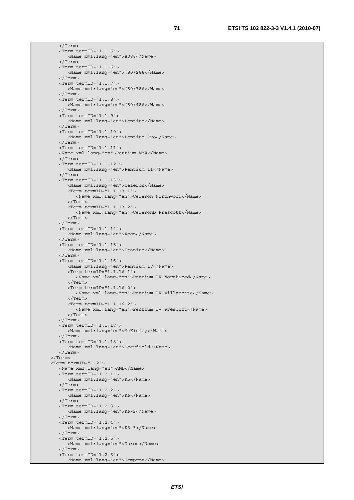</Term> <Term termID="1.1.5"> <Name xml:lang="en">8088</Name> </Term> <Term termID="1.1.6"> <Name xml:lang="en">(80)286</Name> </Term> <Term termID="1.1.7"> <Name xml:lang="en">(80)386</Name> </Term> <Term termID="1.1.8"> <Name xml:lang="en">(80)486</Name> </Term> <Term termID="1.1.9"> <Name xml:lang="en">Pentium</Name> </Term> <Term termID="1.1.10"> <Name xml:lang="en">Pentium Pro</Name> </Term> <Term termID="1.1.11"> <Name xml:lang="en">Pentium MMX</Name> </Term> <Term termID="1.1.12"> <Name xml:lang="en">Pentium II</Name> </Term> <Term termID="1.1.13"> <Name xml:lang="en">Celeron</Name> <Term termID="1.1.13.1"> <Name xml:lang="en">Celeron Northwood</Name> </Term> <Term termID="1.1.13.2"> <Name xml:lang="en">CeleronD Prescott</Name> </Term> </Term> <Term termID="1.1.14"> <Name xml:lang="en">Xeon</Name> </Term> <Term termID="1.1.15"> <Name xml:lang="en">Itanium</Name> </Term> <Term termID="1.1.16"> <Name xml:lang="en">Pentium IV</Name> <Term termID="1.1.16.1"> <Name xml:lang="en">Pentium IV Northwood</Name> </Term> <Term termID="1.1.16.2"> <Name xml:lang="en">Pentium IV Willamette</Name> </Term> <Term termID="1.1.16.2"> <Name xml:lang="en">Pentium IV Prescott</Name> </Term> </Term> <Term termID="1.1.17"> <Name xml:lang="en">McKinley</Name> </Term> <Term termID="1.1.18"> <Name xml:lang="en">Deerfield</Name> </Term> </Term> <Term termID="1.2"> <Name xml:lang="en">AMD</Name> <Term termID="1.2.1"> <Name xml:lang="en">K5</Name> </Term> <Term termID="1.2.2"> <Name xml:lang="en">K6</Name> </Term> <Term termID="1.2.3"> <Name xml:lang="en">K6-2</Name> </Term> <Term termID="1.2.4"> <Name xml:lang="en">K6-3</Name> </Term>  $\times$ Term termID="1.2.5"> <Name xml:lang="en">Duron</Name> </Term> <Term termID="1.2.6"> <Name xml:lang="en">Sempron</Name>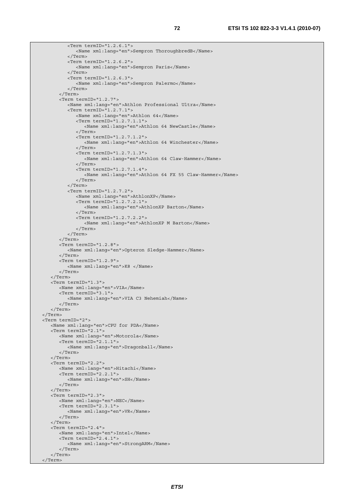<Term termID="1.2.6.1"> <Name xml:lang="en">Sempron ThoroughbredB</Name> </Term> <Term termID="1.2.6.2"> <Name xml:lang="en">Sempron Paris</Name> </Term> <Term termID="1.2.6.3"> <Name xml:lang="en">Sempron Palermo</Name> </Term> </Term> <Term termID="1.2.7"> <Name xml:lang="en">Athlon Professional Ultra</Name> <Term termID="1.2.7.1"> <Name xml:lang="en">Athlon 64</Name> <Term termID="1.2.7.1.1"> <Name xml:lang="en">Athlon 64 NewCastle</Name> </Term> <Term termID="1.2.7.1.2"> <Name xml:lang="en">Athlon 64 Winchester</Name> </Term> <Term termID="1.2.7.1.3"> <Name xml:lang="en">Athlon 64 Claw-Hammer</Name> </Term> <Term termID="1.2.7.1.4"> <Name xml:lang="en">Athlon 64 FX 55 Claw-Hammer</Name> </Term>  $\langle$ Term $\rangle$  <Term termID="1.2.7.2"> <Name xml:lang="en">AthlonXP</Name> <Term termID="1.2.7.2.1"> <Name xml:lang="en">AthlonXP Barton</Name> </Term> <Term termID="1.2.7.2.2"> <Name xml:lang="en">AthlonXP M Barton</Name> </Term> </Term> </Term> <Term termID="1.2.8"> <Name xml:lang="en">Opteron Sledge-Hammer</Name> </Term> <Term termID="1.2.9"> <Name xml:lang="en">K8 </Name> </Term> </Term> <Term termID="1.3"> <Name xml:lang="en">VIA</Name> <Term termID="3.1"> <Name xml:lang="en">VIA C3 Nehemiah</Name> </Term> </Term> </Term> <Term termID="2"> <Name xml:lang="en">CPU for PDA</Name> <Term termID="2.1"> <Name xml:lang="en">Motorola</Name> <Term termID="2.1.1"> <Name xml:lang="en">Dragonball</Name> </Term> </Term> <Term termID="2.2"> <Name xml:lang="en">Hitachi</Name> <Term termID="2.2.1"> <Name xml:lang="en">SH</Name> </Term> </Term> <Term termID="2.3"> <Name xml:lang="en">NEC</Name> <Term termID="2.3.1"> <Name xml:lang="en">VR</Name> </Term> </Term> <Term termID="2.4"> <Name xml:lang="en">Intel</Name> <Term termID="2.4.1"> <Name xml:lang="en">StrongARM</Name> </Term> </Term> </Term>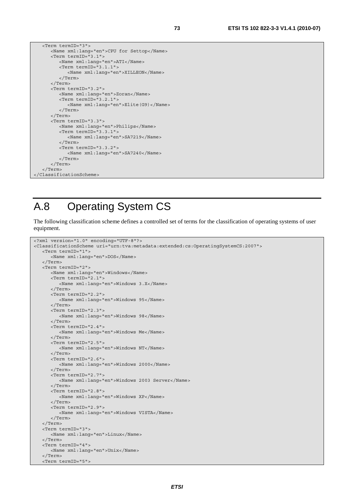```
 <Term termID="3"> 
       <Name xml:lang="en">CPU for Settop</Name> 
       <Term termID="3.1"> 
          <Name xml:lang="en">ATI</Name> 
          <Term termID="3.1.1"> 
              <Name xml:lang="en">XILLEON</Name> 
           </Term> 
       </Term> 
       <Term termID="3.2"> 
          <Name xml:lang="en">Zoran</Name> 
           <Term termID="3.2.1"> 
              <Name xml:lang="en">Elite(G9)</Name> 
          </Term> 
      \langleTerm\rangle <Term termID="3.3"> 
           <Name xml:lang="en">Philips</Name> 
          <Term termID="3.3.1"> 
              <Name xml:lang="en">SA7219</Name> 
           </Term> 
           <Term termID="3.3.2"> 
              <Name xml:lang="en">SA7240</Name> 
           </Term> 
       </Term> 
    </Term> 
</ClassificationScheme>
```
### A.8 Operating System CS

The following classification scheme defines a controlled set of terms for the classification of operating systems of user equipment.

```
<?xml version="1.0" encoding="UTF-8"?> 
<ClassificationScheme uri="urn:tva:metadata:extended:cs:OperatingSystemCS:2007"> 
    <Term termID="1"> 
       <Name xml:lang="en">DOS</Name> 
    </Term> 
    <Term termID="2"> 
       <Name xml:lang="en">Windows</Name> 
       <Term termID="2.1"> 
          <Name xml:lang="en">Windows 3.X</Name> 
       </Term> 
       <Term termID="2.2"> 
          <Name xml:lang="en">Windows 95</Name> 
       </Term> 
       <Term termID="2.3"> 
          <Name xml:lang="en">Windows 98</Name> 
       </Term> 
       <Term termID="2.4"> 
          <Name xml:lang="en">Windows Me</Name> 
       </Term> 
       <Term termID="2.5"> 
          <Name xml:lang="en">Windows NT</Name> 
       </Term> 
       <Term termID="2.6"> 
          <Name xml:lang="en">Windows 2000</Name> 
       </Term> 
       <Term termID="2.7"> 
          <Name xml:lang="en">Windows 2003 Server</Name> 
       </Term> 
       <Term termID="2.8"> 
          <Name xml:lang="en">Windows XP</Name> 
       </Term> 
       <Term termID="2.9"> 
          <Name xml:lang="en">Windows VISTA</Name> 
       </Term> 
    </Term> 
    <Term termID="3"> 
       <Name xml:lang="en">Linux</Name> 
    </Term> 
    <Term termID="4"> 
       <Name xml:lang="en">Unix</Name> 
    </Term> 
    <Term termID="5">
```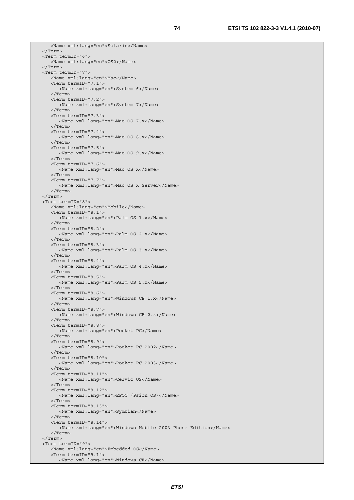<Name xml:lang="en">Solaris</Name> </Term> <Term termID="6"> <Name xml:lang="en">OS2</Name> </Term> <Term termID="7"> <Name xml:lang="en">Mac</Name> <Term termID="7.1"> <Name xml:lang="en">System 6</Name> </Term> <Term termID="7.2"> <Name xml:lang="en">System 7</Name> </Term> <Term termID="7.3"> <Name xml:lang="en">Mac OS 7.x</Name> </Term> <Term termID="7.4"> <Name xml:lang="en">Mac OS 8.x</Name> </Term> <Term termID="7.5"> <Name xml:lang="en">Mac OS 9.x</Name> </Term> <Term termID="7.6"> <Name xml:lang="en">Mac OS X</Name> </Term> <Term termID="7.7"> <Name xml:lang="en">Mac OS X Server</Name> </Term> </Term> <Term termID="8"> <Name xml:lang="en">Mobile</Name> <Term termID="8.1"> <Name xml:lang="en">Palm OS 1.x</Name> </Term> <Term termID="8.2"> <Name xml:lang="en">Palm OS 2.x</Name> </Term> <Term termID="8.3"> <Name xml:lang="en">Palm OS 3.x</Name> </Term> <Term termID="8.4"> <Name xml:lang="en">Palm OS 4.x</Name> </Term> <Term termID="8.5"> <Name xml:lang="en">Palm OS 5.x</Name> </Term> <Term termID="8.6"> <Name xml:lang="en">Windows CE 1.x</Name> </Term> <Term termID="8.7"> <Name xml:lang="en">Windows CE 2.x</Name> </Term> <Term termID="8.8"> <Name xml:lang="en">Pocket PC</Name> </Term> <Term termID="8.9"> <Name xml:lang="en">Pocket PC 2002</Name> </Term> <Term termID="8.10"> <Name xml:lang="en">Pocket PC 2003</Name> </Term> <Term termID="8.11"> <Name xml:lang="en">Celvic OS</Name> </Term> <Term termID="8.12"> <Name xml:lang="en">EPOC (Psion OS)</Name> </Term> <Term termID="8.13"> <Name xml:lang="en">Symbian</Name> </Term> <Term termID="8.14"> <Name xml:lang="en">Windows Mobile 2003 Phone Edition</Name> </Term> </Term> <Term termID="9"> <Name xml:lang="en">Embedded OS</Name> <Term termID="9.1"> <Name xml:lang="en">Windows CE</Name>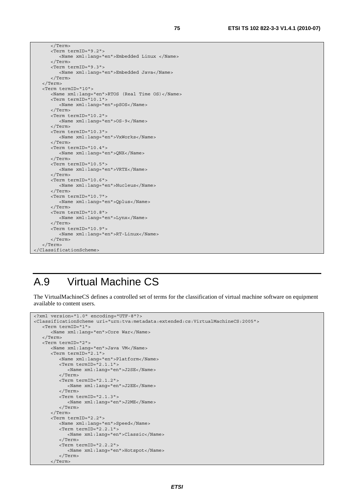```
 </Term> 
       <Term termID="9.2"> 
          <Name xml:lang="en">Embedded Linux </Name> 
       </Term> 
       <Term termID="9.3"> 
          <Name xml:lang="en">Embedded Java</Name> 
       </Term> 
    </Term> 
    <Term termID="10"> 
       <Name xml:lang="en">RTOS (Real Time OS)</Name> 
       <Term termID="10.1"> 
          <Name xml:lang="en">pSOS</Name> 
       </Term> 
       <Term termID="10.2"> 
          <Name xml:lang="en">OS-9</Name> 
       </Term> 
       <Term termID="10.3"> 
          <Name xml:lang="en">VxWorks</Name> 
       </Term> 
       <Term termID="10.4"> 
          <Name xml:lang="en">QNX</Name> 
       </Term> 
       <Term termID="10.5"> 
          <Name xml:lang="en">VRTX</Name> 
       </Term> 
       <Term termID="10.6"> 
          <Name xml:lang="en">Nucleus</Name> 
       </Term> 
       <Term termID="10.7"> 
          <Name xml:lang="en">Qplus</Name> 
       </Term> 
       <Term termID="10.8"> 
          <Name xml:lang="en">Lynx</Name> 
       </Term> 
       <Term termID="10.9"> 
          <Name xml:lang="en">RT-Linux</Name> 
       </Term> 
    </Term> 
</ClassificationScheme>
```
#### A.9 Virtual Machine CS

The VirtualMachineCS defines a controlled set of terms for the classification of virtual machine software on equipment available to content users.

```
<?xml version="1.0" encoding="UTF-8"?> 
<ClassificationScheme uri="urn:tva:metadata:extended:cs:VirtualMachineCS:2005"> 
   <Term termID="1"> 
       <Name xml:lang="en">Core War</Name> 
    </Term> 
    <Term termID="2"> 
       <Name xml:lang="en">Java VM</Name> 
       <Term termID="2.1"> 
          <Name xml:lang="en">Platform</Name> 
          <Term termID="2.1.1"> 
             <Name xml:lang="en">J2SE</Name> 
          </Term> 
          <Term termID="2.1.2"> 
             <Name xml:lang="en">J2EE</Name> 
          </Term> 
          <Term termID="2.1.3"> 
             <Name xml:lang="en">J2ME</Name> 
          </Term> 
       </Term> 
       <Term termID="2.2"> 
          <Name xml:lang="en">Speed</Name> 
          <Term termID="2.2.1"> 
             <Name xml:lang="en">Classic</Name> 
          </Term> 
          <Term termID="2.2.2"> 
             <Name xml:lang="en">Hotspot</Name> 
          </Term> 
       </Term>
```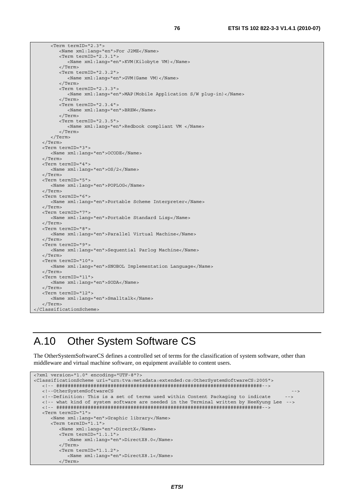<Term termID="2.3"> <Name xml:lang="en">For J2ME</Name> <Term termID="2.3.1"> <Name xml:lang="en">KVM(Kilobyte VM)</Name> </Term> <Term termID="2.3.2"> <Name xml:lang="en">GVM(Game VM)</Name> </Term> <Term termID="2.3.3"> <Name xml:lang="en">MAP(Mobile Application S/W plug-in)</Name> </Term> <Term termID="2.3.4"> <Name xml:lang="en">BREW</Name> </Term> <Term termID="2.3.5"> <Name xml:lang="en">Redbook compliant VM </Name> </Term> </Term> </Term> <Term termID="3"> <Name xml:lang="en">OCODE</Name> </Term> <Term termID="4"> <Name xml:lang="en">OS/2</Name> </Term> <Term termID="5"> <Name xml:lang="en">POPLOG</Name> </Term> <Term termID="6"> <Name xml:lang="en">Portable Scheme Interpreter</Name> </Term> <Term termID="7"> <Name xml:lang="en">Portable Standard Lisp</Name> </Term> <Term termID="8"> <Name xml:lang="en">Parallel Virtual Machine</Name> </Term> <Term termID="9"> <Name xml:lang="en">Sequential Parlog Machine</Name> </Term> <Term termID="10"> <Name xml:lang="en">SNOBOL Implementation Language</Name> </Term> <Term termID="11"> <Name xml:lang="en">SODA</Name> </Term> <Term termID="12"> <Name xml:lang="en">Smalltalk</Name> </Term> </ClassificationScheme>

### A.10 Other System Software CS

The OtherSystemSoftwareCS defines a controlled set of terms for the classification of system software, other than middleware and virtual machine software, on equipment available to content users.

```
<?xml version="1.0" encoding="UTF-8"?> 
<ClassificationScheme uri="urn:tva:metadata:extended:cs:OtherSystemSoftwareCS:2005"> 
    <!-- ########################################################################--> 
    <!--OtherSystemSoftwareCS --> 
   <!--Definition: This is a set of terms used within Content Packaging to indicate --> 
   <!-- what kind of system software are needed in the Terminal written by HeeKyung Lee --> 
    <!-- ########################################################################--> 
    <Term termID="1"> 
       <Name xml:lang="en">Graphic library</Name> 
       <Term termID="1.1"> 
          <Name xml:lang="en">DirectX</Name> 
          <Term termID="1.1.1"> 
             <Name xml:lang="en">DirectX8.0</Name> 
          </Term> 
          <Term termID="1.1.2"> 
             <Name xml:lang="en">DirectX8.1</Name> 
          </Term>
```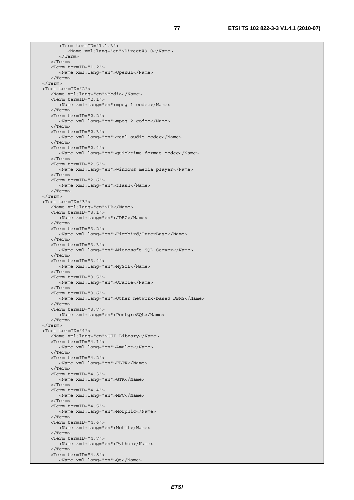```
 <Term termID="1.1.3"> 
          <Name xml:lang="en">DirectX9.0</Name> 
       </Term> 
    </Term> 
    <Term termID="1.2"> 
       <Name xml:lang="en">OpenGL</Name> 
    </Term> 
 </Term> 
 <Term termID="2"> 
   <Name xml:lang="en">Media</Name> 
    <Term termID="2.1"> 
       <Name xml:lang="en">mpeg-1 codec</Name> 
    </Term> 
    <Term termID="2.2"> 
       <Name xml:lang="en">mpeg-2 codec</Name> 
    </Term> 
    <Term termID="2.3"> 
       <Name xml:lang="en">real audio codec</Name> 
    </Term> 
    <Term termID="2.4"> 
       <Name xml:lang="en">quicktime format codec</Name> 
    </Term> 
    <Term termID="2.5"> 
       <Name xml:lang="en">windows media player</Name> 
    </Term> 
    <Term termID="2.6"> 
       <Name xml:lang="en">flash</Name> 
    </Term> 
 </Term> 
 <Term termID="3"> 
    <Name xml:lang="en">DB</Name> 
    <Term termID="3.1"> 
       <Name xml:lang="en">JDBC</Name> 
    </Term> 
    <Term termID="3.2"> 
       <Name xml:lang="en">Firebird/InterBase</Name> 
    </Term> 
    <Term termID="3.3"> 
       <Name xml:lang="en">Microsoft SQL Server</Name> 
    </Term> 
    <Term termID="3.4"> 
       <Name xml:lang="en">MySQL</Name> 
    </Term> 
    <Term termID="3.5"> 
      <Name xml:lang="en">Oracle</Name> 
    </Term> 
    <Term termID="3.6"> 
       <Name xml:lang="en">Other network-based DBMS</Name> 
    </Term> 
    <Term termID="3.7"> 
       <Name xml:lang="en">PostgreSQL</Name> 
    </Term> 
 </Term> 
 <Term termID="4"> 
    <Name xml:lang="en">GUI Library</Name> 
   <Term termID="4.1"> 
       <Name xml:lang="en">Amulet</Name> 
    </Term> 
    <Term termID="4.2"> 
       <Name xml:lang="en">FLTK</Name> 
    </Term> 
    <Term termID="4.3"> 
       <Name xml:lang="en">GTK</Name> 
    </Term> 
    <Term termID="4.4"> 
       <Name xml:lang="en">MFC</Name> 
    </Term> 
    <Term termID="4.5"> 
       <Name xml:lang="en">Morphic</Name> 
    </Term> 
    <Term termID="4.6"> 
       <Name xml:lang="en">Motif</Name> 
    </Term> 
    <Term termID="4.7"> 
       <Name xml:lang="en">Python</Name> 
    </Term> 
    <Term termID="4.8"> 
       <Name xml:lang="en">Qt</Name>
```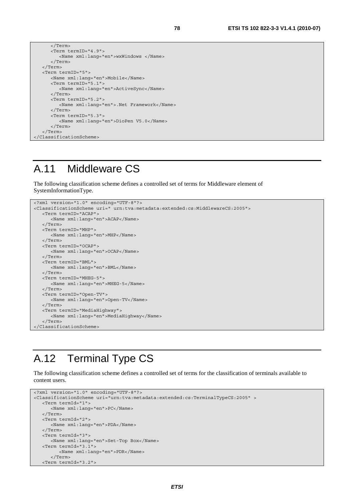```
 </Term> 
       <Term termID="4.9"> 
          <Name xml:lang="en">wxWindows </Name> 
       </Term> 
    </Term> 
    <Term termID="5"> 
       <Name xml:lang="en">Mobile</Name> 
       <Term termID="5.1"> 
          <Name xml:lang="en">ActiveSync</Name> 
       </Term> 
       <Term termID="5.2"> 
          <Name xml:lang="en">.Net Framework</Name> 
       </Term> 
       <Term termID="5.3"> 
          <Name xml:lang="en">DioPen V5.0</Name> 
       </Term> 
    </Term> 
</ClassificationScheme>
```
### A.11 Middleware CS

The following classification scheme defines a controlled set of terms for Middleware element of SystemInformationType.

```
<?xml version="1.0" encoding="UTF-8"?> 
<ClassificationScheme uri=" urn:tva:metadata:extended:cs:MiddlewareCS:2005"> 
   <Term termID="ACAP"> 
       <Name xml:lang="en">ACAP</Name> 
    </Term> 
    <Term termID="MHP"> 
       <Name xml:lang="en">MHP</Name> 
    </Term> 
    <Term termID="OCAP"> 
       <Name xml:lang="en">OCAP</Name> 
    </Term> 
    <Term termID="BML"> 
       <Name xml:lang="en">BML</Name> 
    </Term> 
    <Term termID="MHEG-5"> 
       <Name xml:lang="en">MHEG-5</Name> 
    </Term> 
    <Term termID="Open-TV"> 
       <Name xml:lang="en">Open-TV</Name> 
    </Term> 
    <Term termID="MediaHighway"> 
       <Name xml:lang="en">MediaHighway</Name> 
    </Term> 
</ClassificationScheme>
```
### A.12 Terminal Type CS

The following classification scheme defines a controlled set of terms for the classification of terminals available to content users.

```
<?xml version="1.0" encoding="UTF-8"?> 
<ClassificationScheme uri="urn:tva:metadata:extended:cs:TerminalTypeCS:2005" > 
   <Term termId="1"> 
      <Name xml:lang="en">PC</Name> 
    </Term> 
   <Term termId="2"> 
       <Name xml:lang="en">PDA</Name> 
    </Term> 
   <Term termId="3"> 
      <Name xml:lang="en">Set-Top Box</Name> 
    <Term termId="3.1"> 
          <Name xml:lang="en">PDR</Name> 
       </Term> 
    <Term termId="3.2">
```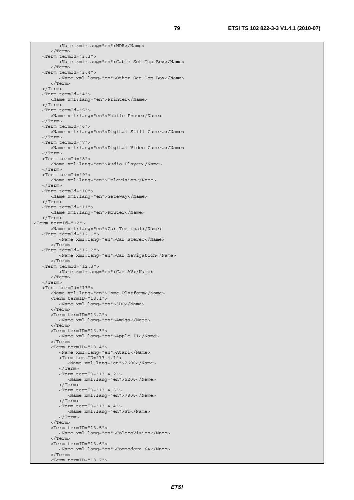<Name xml:lang="en">NDR</Name> </Term> <Term termId="3.3"> <Name xml:lang="en">Cable Set-Top Box</Name> </Term> <Term termId="3.4"> <Name xml:lang="en">Other Set-Top Box</Name> </Term> </Term> <Term termId="4"> <Name xml:lang="en">Printer</Name> </Term> <Term termId="5"> <Name xml:lang="en">Mobile Phone</Name> </Term> <Term termId="6"> <Name xml:lang="en">Digital Still Camera</Name> </Term> <Term termId="7"> <Name xml:lang="en">Digital Video Camera</Name> </Term> <Term termId="8"> <Name xml:lang="en">Audio Player</Name> </Term> <Term termId="9"> <Name xml:lang="en">Television</Name> </Term> <Term termId="10"> <Name xml:lang="en">Gateway</Name> </Term> <Term termId="11"> <Name xml:lang="en">Router</Name> </Term> <Term termId="12"> <Name xml:lang="en">Car Terminal</Name> <Term termId="12.1"> <Name xml:lang="en">Car Stereo</Name> </Term> <Term termId="12.2"> <Name xml:lang="en">Car Navigation</Name> </Term> <Term termId="12.3"> <Name xml:lang="en">Car AV</Name> </Term> </Term> <Term termId="13"> <Name xml:lang="en">Game Platform</Name> <Term termID="13.1"> <Name xml:lang="en">3DO</Name> </Term> <Term termID="13.2"> <Name xml:lang="en">Amiga</Name> </Term> <Term termID="13.3"> <Name xml:lang="en">Apple II</Name> </Term> <Term termID="13.4"> <Name xml:lang="en">Atari</Name> <Term termID="13.4.1"> <Name xml:lang="en">2600</Name> </Term> <Term termID="13.4.2"> <Name xml:lang="en">5200</Name> </Term> <Term termID="13.4.3"> <Name xml:lang="en">7800</Name> </Term> <Term termID="13.4.4"> <Name xml:lang="en">ST</Name> </Term> </Term> <Term termID="13.5"> <Name xml:lang="en">ColecoVision</Name> </Term> <Term termID="13.6"> <Name xml:lang="en">Commodore 64</Name> </Term> <Term termID="13.7">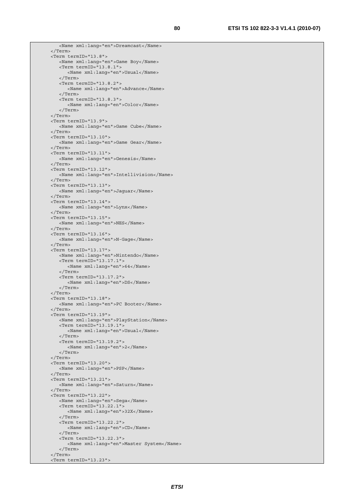```
 <Name xml:lang="en">Dreamcast</Name> 
 </Term> 
 <Term termID="13.8"> 
    <Name xml:lang="en">Game Boy</Name> 
    <Term termID="13.8.1"> 
       <Name xml:lang="en">Usual</Name> 
    </Term> 
    <Term termID="13.8.2"> 
       <Name xml:lang="en">Advance</Name> 
    </Term> 
    <Term termID="13.8.3"> 
       <Name xml:lang="en">Color</Name> 
    </Term> 
 </Term> 
 <Term termID="13.9"> 
    <Name xml:lang="en">Game Cube</Name> 
 </Term> 
 <Term termID="13.10"> 
    <Name xml:lang="en">Game Gear</Name> 
 </Term> 
 <Term termID="13.11"> 
   <Name xml:lang="en">Genesis</Name> 
 </Term> 
 <Term termID="13.12"> 
   <Name xml:lang="en">Intellivision</Name> 
 </Term> 
 <Term termID="13.13"> 
    <Name xml:lang="en">Jaguar</Name> 
 </Term> 
 <Term termID="13.14"> 
    <Name xml:lang="en">Lynx</Name> 
 </Term> 
 <Term termID="13.15"> 
    <Name xml:lang="en">NES</Name> 
 </Term> 
 <Term termID="13.16"> 
    <Name xml:lang="en">N-Gage</Name> 
 </Term> 
 <Term termID="13.17"> 
    <Name xml:lang="en">Nintendo</Name> 
    <Term termID="13.17.1"> 
       <Name xml:lang="en">64</Name> 
    </Term> 
    <Term termID="13.17.2"> 
      <Name xml:lang="en">DS</Name> 
    </Term> 
 </Term> 
 <Term termID="13.18"> 
    <Name xml:lang="en">PC Booter</Name> 
 </Term> 
 <Term termID="13.19"> 
    <Name xml:lang="en">PlayStation</Name> 
    <Term termID="13.19.1"> 
       <Name xml:lang="en">Usual</Name> 
    </Term> 
    <Term termID="13.19.2"> 
       <Name xml:lang="en">2</Name> 
    </Term> 
 </Term> 
 <Term termID="13.20"> 
    <Name xml:lang="en">PSP</Name> 
 </Term> 
 <Term termID="13.21"> 
    <Name xml:lang="en">Saturn</Name> 
 </Term> 
 <Term termID="13.22"> 
    <Name xml:lang="en">Sega</Name> 
    <Term termID="13.22.1"> 
       <Name xml:lang="en">32X</Name> 
    </Term> 
    <Term termID="13.22.2"> 
       <Name xml:lang="en">CD</Name> 
    </Term> 
    <Term termID="13.22.3"> 
       <Name xml:lang="en">Master System</Name> 
    </Term> 
 </Term> 
 <Term termID="13.23">
```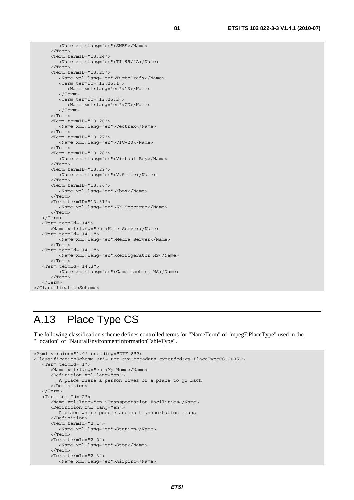```
 <Name xml:lang="en">SNES</Name> 
       </Term> 
       <Term termID="13.24"> 
          <Name xml:lang="en">TI-99/4A</Name> 
       </Term> 
       <Term termID="13.25"> 
          <Name xml:lang="en">TurboGrafx</Name> 
          <Term termID="13.25.1"> 
             <Name xml:lang="en">16</Name> 
          </Term> 
          <Term termID="13.25.2"> 
             <Name xml:lang="en">CD</Name> 
          </Term> 
       </Term> 
       <Term termID="13.26"> 
          <Name xml:lang="en">Vectrex</Name> 
       </Term> 
       <Term termID="13.27"> 
          <Name xml:lang="en">VIC-20</Name> 
       </Term> 
       <Term termID="13.28"> 
          <Name xml:lang="en">Virtual Boy</Name> 
       </Term> 
       <Term termID="13.29"> 
         <Name xml:lang="en">V.Smile</Name> 
       </Term> 
       <Term termID="13.30"> 
          <Name xml:lang="en">Xbox</Name> 
       </Term> 
       <Term termID="13.31"> 
          <Name xml:lang="en">ZX Spectrum</Name> 
       </Term> 
   </Term> 
   <Term termId="14"> 
      <Name xml:lang="en">Home Server</Name> 
   <Term termId="14.1"> 
          <Name xml:lang="en">Media Server</Name> 
       </Term> 
   <Term termId="14.2"> 
         <Name xml:lang="en">Refrigerator HS</Name> 
       </Term> 
    <Term termId="14.3"> 
          <Name xml:lang="en">Game machine HS</Name> 
       </Term> 
   </Term> 
</ClassificationScheme>
```
### A.13 Place Type CS

The following classification scheme defines controlled terms for "NameTerm" of "mpeg7:PlaceType" used in the "Location" of "NaturalEnvironmentInformationTableType".

```
<?xml version="1.0" encoding="UTF-8"?> 
<ClassificationScheme uri="urn:tva:metadata:extended:cs:PlaceTypeCS:2005"> 
    <Term termId="1"> 
       <Name xml:lang="en">My Home</Name> 
       <Definition xml:lang="en"> 
          A place where a person lives or a place to go back 
       </Definition> 
    </Term> 
    <Term termId="2"> 
       <Name xml:lang="en">Transportation Facilities</Name> 
       <Definition xml:lang="en"> 
          A place where people access transportation means 
       </Definition> 
       <Term termId="2.1"> 
          <Name xml:lang="en">Station</Name> 
       </Term> 
       <Term termId="2.2"> 
          <Name xml:lang="en">Stop</Name> 
       </Term> 
       <Term termId="2.3"> 
          <Name xml:lang="en">Airport</Name>
```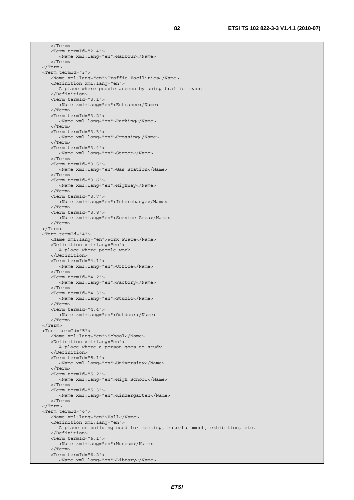</Term> <Term termId="2.4"> <Name xml:lang="en">Harbour</Name> </Term> </Term> <Term termId="3"> <Name xml:lang="en">Traffic Facilities</Name> <Definition xml:lang="en"> A place where people access by using traffic means </Definition> <Term termId="3.1"> <Name xml:lang="en">Entrance</Name> </Term> <Term termId="3.2"> <Name xml:lang="en">Parking</Name> </Term> <Term termId="3.3"> <Name xml:lang="en">Crossing</Name> </Term> <Term termId="3.4"> <Name xml:lang="en">Street</Name> </Term> <Term termId="3.5"> <Name xml:lang="en">Gas Station</Name> </Term> <Term termId="3.6"> <Name xml:lang="en">Highway</Name> </Term> <Term termId="3.7"> <Name xml:lang="en">Interchange</Name> </Term> <Term termId="3.8"> <Name xml:lang="en">Service Area</Name> </Term> </Term> <Term termId="4"> <Name xml:lang="en">Work Place</Name> <Definition xml:lang="en"> A place where people work </Definition> <Term termId="4.1"> <Name xml:lang="en">Office</Name> </Term> <Term termId="4.2"> <Name xml:lang="en">Factory</Name> </Term> <Term termId="4.3"> <Name xml:lang="en">Studio</Name> </Term> <Term termId="4.4"> <Name xml:lang="en">Outdoor</Name> </Term> </Term> <Term termId="5"> <Name xml:lang="en">School</Name> <Definition xml:lang="en"> A place where a person goes to study </Definition> <Term termId="5.1"> <Name xml:lang="en">University</Name> </Term> <Term termId="5.2"> <Name xml:lang="en">High School</Name> </Term> <Term termId="5.3"> <Name xml:lang="en">Kindergarten</Name> </Term> </Term> <Term termId="6"> <Name xml:lang="en">Hall</Name> <Definition xml:lang="en"> A place or building used for meeting, entertainment, exhibition, etc. </Definition> <Term termId="6.1"> <Name xml:lang="en">Museum</Name> </Term> <Term termId="6.2"> <Name xml:lang="en">Library</Name>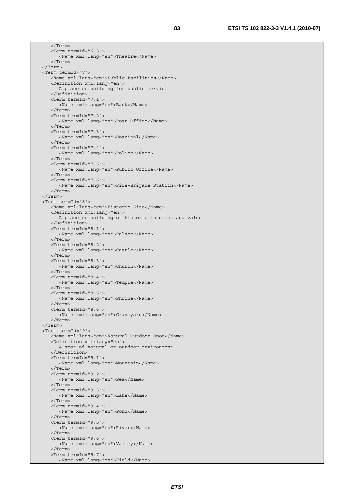</Term> <Term termId="6.3"> <Name xml:lang="en">Theatre</Name> </Term> </Term> <Term termId="7"> <Name xml:lang="en">Public Facilities</Name> <Definition xml:lang="en"> A place or building for public service </Definition> <Term termId="7.1"> <Name xml:lang="en">Bank</Name> </Term> <Term termId="7.2"> <Name xml:lang="en">Post Office</Name> </Term> <Term termId="7.3"> <Name xml:lang="en">Hospital</Name> </Term> <Term termId="7.4"> <Name xml:lang="en">Police</Name> </Term> <Term termId="7.5"> <Name xml:lang="en">Public Office</Name> </Term> <Term termId="7.6"> <Name xml:lang="en">Fire-Brigade Station</Name> </Term> </Term> <Term termId="8"> <Name xml:lang="en">Historic Site</Name> <Definition xml:lang="en"> A place or building of historic interest and value </Definition> <Term termId="8.1"> <Name xml:lang="en">Palace</Name> </Term> <Term termId="8.2"> <Name xml:lang="en">Castle</Name> </Term> <Term termId="8.3"> <Name xml:lang="en">Church</Name> </Term> <Term termId="8.4"> <Name xml:lang="en">Temple</Name> </Term> <Term termId="8.5"> <Name xml:lang="en">Shrine</Name> </Term> <Term termId="8.6"> <Name xml:lang="en">Graveyard</Name> </Term> </Term> <Term termId="9"> <Name xml:lang="en">Natural Outdoor Spot</Name> <Definition xml:lang="en"> A spot of natural or outdoor environment </Definition> <Term termId="9.1"> <Name xml:lang="en">Mountain</Name> </Term> <Term termId="9.2"> <Name xml:lang="en">Sea</Name> </Term> <Term termId="9.3"> <Name xml:lang="en">Lake</Name> </Term> <Term termId="9.4"> <Name xml:lang="en">Pond</Name> </Term> <Term termId="9.5"> <Name xml:lang="en">River</Name> </Term> <Term termId="9.6"> <Name xml:lang="en">Valley</Name> </Term> <Term termId="9.7"> <Name xml:lang="en">Field</Name>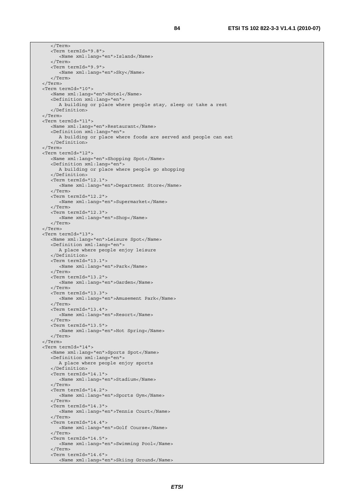</Term> <Term termId="9.8"> <Name xml:lang="en">Island</Name> </Term> <Term termId="9.9"> <Name xml:lang="en">Sky</Name> </Term> </Term> <Term termId="10"> <Name xml:lang="en">Hotel</Name> <Definition xml:lang="en"> A building or place where people stay, sleep or take a rest </Definition> </Term> <Term termId="11"> <Name xml:lang="en">Restaurant</Name> <Definition xml:lang="en"> A building or place where foods are served and people can eat </Definition> </Term> <Term termId="12"> <Name xml:lang="en">Shopping Spot</Name> <Definition xml:lang="en"> A building or place where people go shopping </Definition> <Term termId="12.1"> <Name xml:lang="en">Department Store</Name> </Term> <Term termId="12.2"> <Name xml:lang="en">Supermarket</Name> </Term> <Term termId="12.3"> <Name xml:lang="en">Shop</Name> </Term> </Term> <Term termId="13"> <Name xml:lang="en">Leisure Spot</Name> <Definition xml:lang="en"> A place where people enjoy leisure </Definition> <Term termId="13.1"> <Name xml:lang="en">Park</Name> </Term> <Term termId="13.2"> <Name xml:lang="en">Garden</Name> </Term> <Term termId="13.3"> <Name xml:lang="en">Amusement Park</Name> </Term> <Term termId="13.4"> <Name xml:lang="en">Resort</Name> </Term> <Term termId="13.5"> <Name xml:lang="en">Hot Spring</Name> </Term> </Term> <Term termId="14"> <Name xml:lang="en">Sports Spot</Name> <Definition xml:lang="en"> A place where people enjoy sports </Definition> <Term termId="14.1"> <Name xml:lang="en">Stadium</Name> </Term> <Term termId="14.2"> <Name xml:lang="en">Sports Gym</Name> </Term> <Term termId="14.3"> <Name xml:lang="en">Tennis Court</Name> </Term> <Term termId="14.4"> <Name xml:lang="en">Golf Course</Name> </Term> <Term termId="14.5"> <Name xml:lang="en">Swimming Pool</Name> </Term> <Term termId="14.6"> <Name xml:lang="en">Skiing Ground</Name>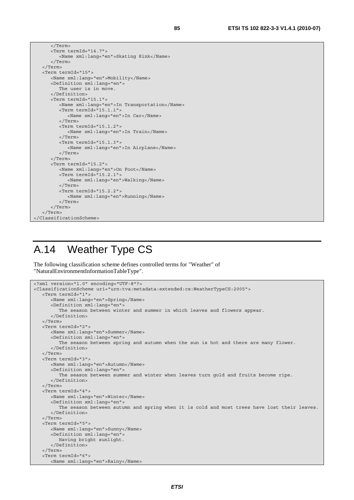```
 <Term termId="14.7"> 
          <Name xml:lang="en">Skating Rink</Name> 
       </Term> 
   </Term> 
   <Term termId="15"> 
       <Name xml:lang="en">Mobility</Name> 
       <Definition xml:lang="en"> 
         The user is in move.
       </Definition> 
       <Term termId="15.1"> 
          <Name xml:lang="en">In Transportation</Name> 
          <Term termId="15.1.1"> 
             <Name xml:lang="en">In Car</Name> 
          </Term> 
          <Term termId="15.1.2"> 
             <Name xml:lang="en">In Train</Name> 
          </Term> 
          <Term termId="15.1.3"> 
             <Name xml:lang="en">In Airplane</Name> 
          </Term> 
       </Term> 
       <Term termId="15.2"> 
          <Name xml:lang="en">On Foot</Name> 
          <Term termId="15.2.1"> 
             <Name xml:lang="en">Walking</Name> 
          </Term> 
          <Term termId="15.2.2"> 
             <Name xml:lang="en">Running</Name> 
          </Term> 
       </Term> 
   </Term> 
</ClassificationScheme>
```
</Term>

### A.14 Weather Type CS

The following classification scheme defines controlled terms for "Weather" of "NaturalEnvironmentInformationTableType".

```
<?xml version="1.0" encoding="UTF-8"?> 
<ClassificationScheme uri="urn:tva:metadata:extended:cs:WeatherTypeCS:2005"> 
    <Term termId="1"> 
       <Name xml:lang="en">Spring</Name> 
       <Definition xml:lang="en"> 
          The season between winter and summer in which leaves and flowers appear. 
       </Definition> 
    </Term> 
    <Term termId="2"> 
       <Name xml:lang="en">Summer</Name> 
       <Definition xml:lang="en"> 
          The season between spring and autumn when the sun is hot and there are many flower. 
       </Definition> 
    </Term> 
    <Term termId="3"> 
       <Name xml:lang="en">Autumn</Name> 
       <Definition xml:lang="en"> 
          The season between summer and winter when leaves turn gold and fruits become ripe. 
       </Definition> 
    </Term> 
    <Term termId="4"> 
       <Name xml:lang="en">Winter</Name> 
       <Definition xml:lang="en"> 
          The season between autumn and spring when it is cold and most trees have lost their leaves. 
       </Definition> 
    </Term> 
    <Term termId="5"> 
       <Name xml:lang="en">Sunny</Name> 
       <Definition xml:lang="en"> 
          Having bright sunlight. 
       </Definition> 
    </Term> 
    <Term termId="6"> 
       <Name xml:lang="en">Rainy</Name>
```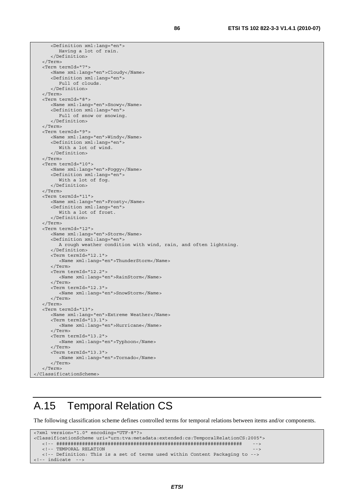```
 <Definition xml:lang="en"> 
          Having a lot of rain. 
       </Definition> 
    </Term> 
    <Term termId="7"> 
       <Name xml:lang="en">Cloudy</Name> 
       <Definition xml:lang="en"> 
          Full of clouds. 
       </Definition> 
    </Term> 
    <Term termId="8"> 
       <Name xml:lang="en">Snowy</Name> 
       <Definition xml:lang="en"> 
          Full of snow or snowing. 
       </Definition> 
    </Term> 
    <Term termId="9"> 
       <Name xml:lang="en">Windy</Name> 
       <Definition xml:lang="en"> 
          With a lot of wind. 
       </Definition> 
    </Term> 
    <Term termId="10"> 
       <Name xml:lang="en">Foggy</Name> 
       <Definition xml:lang="en"> 
          With a lot of fog. 
       </Definition> 
    </Term> 
    <Term termId="11"> 
       <Name xml:lang="en">Frosty</Name> 
       <Definition xml:lang="en"> 
          With a lot of frost. 
       </Definition> 
    </Term> 
    <Term termId="12"> 
       <Name xml:lang="en">Storm</Name> 
       <Definition xml:lang="en"> 
          A rough weather condition with wind, rain, and often lightning. 
       </Definition> 
       <Term termId="12.1"> 
          <Name xml:lang="en">ThunderStorm</Name> 
       </Term> 
       <Term termId="12.2"> 
          <Name xml:lang="en">RainStorm</Name> 
       </Term> 
       <Term termId="12.3"> 
          <Name xml:lang="en">SnowStorm</Name> 
       </Term> 
    </Term> 
    <Term termId="13"> 
       <Name xml:lang="en">Extreme Weather</Name> 
       <Term termId="13.1"> 
          <Name xml:lang="en">Hurricane</Name> 
      \frac{1}{2}/Terms
       <Term termId="13.2"> 
          <Name xml:lang="en">Typhoon</Name> 
       </Term> 
       <Term termId="13.3"> 
          <Name xml:lang="en">Tornado</Name> 
       </Term> 
    </Term> 
</ClassificationScheme>
```
### A.15 Temporal Relation CS

The following classification scheme defines controlled terms for temporal relations between items and/or components.

```
<?xml version="1.0" encoding="UTF-8"?> 
<ClassificationScheme uri="urn:tva:metadata:extended:cs:TemporalRelationCS:2005"> 
   <!-- ################################################################# --> 
  <!-- TEMPORAL RELATION -->
   <!-- Definition: This is a set of terms used within Content Packaging to --> 
<!-- indicate -->
```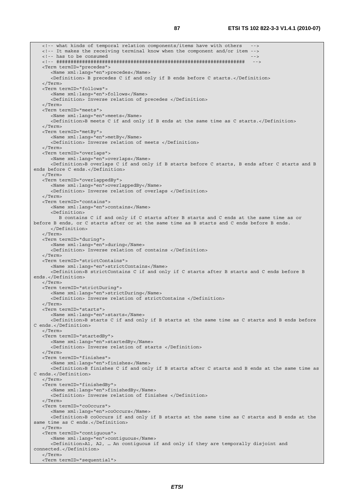<!-- what kinds of temporal relation components/items have with others --> <!-- It makes the receiving terminal know when the component and/or item --> <!-- has to be consumed <!-- ################################################################## --> <Term termID="precedes"> <Name xml:lang="en">precedes</Name> <Definition> B precedes C if and only if B ends before C starts.</Definition> </Term> <Term termID="follows"> <Name xml:lang="en">follows</Name> <Definition> Inverse relation of precedes </Definition> </Term> <Term termID="meets"> <Name xml:lang="en">meets</Name> <Definition>B meets C if and only if B ends at the same time as C starts.</Definition> </Term> <Term termID="metBy"> <Name xml:lang="en">metBy</Name> <Definition> Inverse relation of meets </Definition> </Term> <Term termID="overlaps"> <Name xml:lang="en">overlaps</Name> <Definition>B overlaps C if and only if B starts before C starts, B ends after C starts and B ends before C ends.</Definition> </Term> <Term termID="overlappedBy"> <Name xml:lang="en">overlappedBy</Name> <Definition> Inverse relation of overlaps </Definition> </Term> <Term termID="contains"> <Name xml:lang="en">contains</Name> <Definition> B contains C if and only if C starts after B starts and C ends at the same time as or before B ends, or C starts after or at the same time as B starts and C ends before B ends. </Definition> </Term> <Term termID="during"> <Name xml:lang="en">during</Name> <Definition> Inverse relation of contains </Definition> </Term> <Term termID="strictContains"> <Name xml:lang="en">strictContains</Name> <Definition>B strictContains C if and only if C starts after B starts and C ends before B ends.</Definition> </Term> <Term termID="strictDuring"> <Name xml:lang="en">strictDuring</Name> <Definition> Inverse relation of strictContains </Definition> </Term> <Term termID="starts"> <Name xml:lang="en">starts</Name> <Definition>B starts C if and only if B starts at the same time as C starts and B ends before C ends.</Definition>  $\sim$ /Term $\sim$  <Term termID="startedBy"> <Name xml:lang="en">startedBy</Name> <Definition> Inverse relation of starts </Definition> </Term> <Term termID="finishes"> <Name xml:lang="en">finishes</Name> <Definition>B finishes C if and only if B starts after C starts and B ends at the same time as C ends.</Definition> </Term> <Term termID="finishedBy"> <Name xml:lang="en">finishedBy</Name> <Definition> Inverse relation of finishes </Definition> </Term> <Term termID="coOccurs"> <Name xml:lang="en">coOccurs</Name> <Definition>B coOccurs if and only if B starts at the same time as C starts and B ends at the same time as C ends.</Definition> </Term> <Term termID="contiguous"> <Name xml:lang="en">contiguous</Name> <Definition>A1, A2, … An contiguous if and only if they are temporally disjoint and connected.</Definition> </Term> <Term termID="sequential">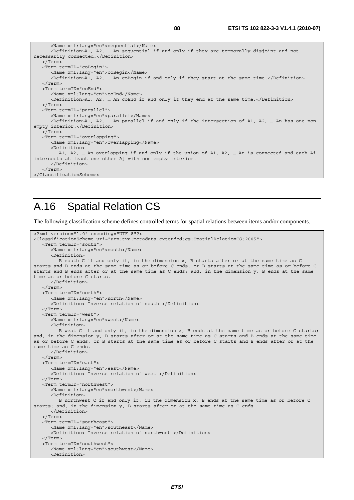| <name xml:lang="en">sequential</name>                                                                     |
|-----------------------------------------------------------------------------------------------------------|
| <definition>A1, A2,  An sequential if and only if they are temporally disjoint and not</definition>       |
| necessarily connected.                                                                                    |
| $\langle$ Term>                                                                                           |
| <term termid="coBegin"></term>                                                                            |
| <name xml:lang="en">coBegin</name>                                                                        |
| <definition>A1, A2,  An coBegin if and only if they start at the same time.</definition>                  |
| $\langle$ /Term>                                                                                          |
| <term termid="coEnd"></term>                                                                              |
| <name xml:lang="en">coEnd</name>                                                                          |
| <definition>A1, A2,  An coEnd if and only if they end at the same time.</definition>                      |
| $\langle$ Term $\rangle$                                                                                  |
| <term termid="parallel"></term>                                                                           |
| <name xml:lanq="en">parallel</name>                                                                       |
| <definition>A1, A2,  An parallel if and only if the intersection of A1, A2,  An has one non-</definition> |
| empty interior.                                                                                           |
| $\langle$ Term>                                                                                           |
| <term termid="overlapping"></term>                                                                        |
| <name xml:lang="en">overlapping</name>                                                                    |
| <definition></definition>                                                                                 |
| A1, A2,  An overlapping if and only if the union of A1, A2,  An is connected and each Ai                  |
| intersects at least one other Aj with non-empty interior.                                                 |
|                                                                                                           |
| $\langle$ Term $\rangle$                                                                                  |
|                                                                                                           |
|                                                                                                           |

### A.16 Spatial Relation CS

The following classification scheme defines controlled terms for spatial relations between items and/or components.

```
<?xml version="1.0" encoding="UTF-8"?> 
<ClassificationScheme uri="urn:tva:metadata:extended:cs:SpatialRelationCS:2005"> 
    <Term termID="south"> 
       <Name xml:lang="en">south</Name> 
       <Definition> 
          B south C if and only if, in the dimension x, B starts after or at the same time as C 
starts and B ends at the same time as or before C ends, or B starts at the same time as or before C 
starts and B ends after or at the same time as C ends; and, in the dimension y, B ends at the same 
time as or before C starts. 
      </Definition> 
    </Term> 
    <Term termID="north"> 
       <Name xml:lang="en">north</Name> 
       <Definition> Inverse relation of south </Definition> 
    </Term> 
    <Term termID="west"> 
       <Name xml:lang="en">west</Name> 
       <Definition> 
          B west C if and only if, in the dimension x, B ends at the same time as or before C starts; 
and, in the dimension y, B starts after or at the same time as C starts and B ends at the same time 
as or before C ends, or B starts at the same time as or before C starts and B ends after or at the 
same time as C ends. 
       </Definition> 
    </Term> 
    <Term termID="east"> 
       <Name xml:lang="en">east</Name> 
       <Definition> Inverse relation of west </Definition> 
    </Term> 
    <Term termID="northwest"> 
       <Name xml:lang="en">northwest</Name> 
       <Definition> 
          B northwest C if and only if, in the dimension x, B ends at the same time as or before C 
starts; and, in the dimension y, B starts after or at the same time as C ends. 
       </Definition> 
    </Term> 
    <Term termID="southeast"> 
       <Name xml:lang="en">southeast</Name> 
       <Definition> Inverse relation of northwest </Definition> 
    </Term> 
    <Term termID="southwest"> 
       <Name xml:lang="en">southwest</Name> 
       <Definition>
```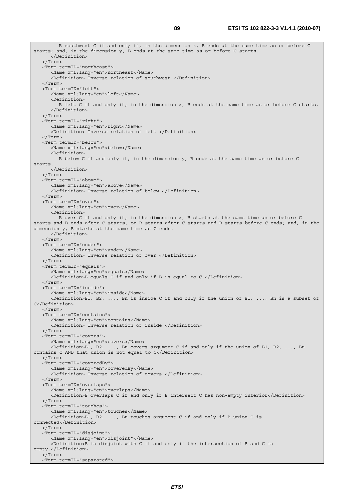B southwest C if and only if, in the dimension x, B ends at the same time as or before C starts; and, in the dimension y, B ends at the same time as or before C starts. </Definition> </Term> <Term termID="northeast"> <Name xml:lang="en">northeast</Name> <Definition> Inverse relation of southwest </Definition> </Term> <Term termID="left"> <Name xml:lang="en">left</Name> <Definition> B left C if and only if, in the dimension x, B ends at the same time as or before C starts. </Definition> </Term> <Term termID="right"> <Name xml:lang="en">right</Name> <Definition> Inverse relation of left </Definition> </Term> <Term termID="below"> <Name xml:lang="en">below</Name> <Definition> B below C if and only if, in the dimension y, B ends at the same time as or before C starts. </Definition> </Term> <Term termID="above"> <Name xml:lang="en">above</Name> <Definition> Inverse relation of below </Definition> </Term> <Term termID="over"> <Name xml:lang="en">over</Name> <Definition> B over C if and only if, in the dimension x, B starts at the same time as or before C starts and B ends after C starts, or B starts after C starts and B starts before C ends; and, in the dimension y, B starts at the same time as C ends. </Definition> </Term> <Term termID="under"> <Name xml:lang="en">under</Name> <Definition> Inverse relation of over </Definition> </Term> <Term termID="equals"> <Name xml:lang="en">equals</Name> <Definition>B equals C if and only if B is equal to C.</Definition> </Term> <Term termID="inside"> <Name xml:lang="en">inside</Name> <Definition>B1, B2, ..., Bn is inside C if and only if the union of B1, ..., Bn is a subset of C</Definition> </Term> <Term termID="contains"> <Name xml:lang="en">contains</Name> <Definition> Inverse relation of inside </Definition>  $\sim$ /Term $\sim$  <Term termID="covers"> <Name xml:lang="en">covers</Name> <Definition>B1, B2, ..., Bn covers argument C if and only if the union of B1, B2, ..., Bn contains C AND that union is not equal to C</Definition> </Term> <Term termID="coveredBy"> <Name xml:lang="en">coveredBy</Name> <Definition> Inverse relation of covers </Definition> </Term> <Term termID="overlaps"> <Name xml:lang="en">overlaps</Name> <Definition>B overlaps C if and only if B intersect C has non-empty interior</Definition> </Term> <Term termID="touches"> <Name xml:lang="en">touches</Name> <Definition>B1, B2, ..., Bn touches argument C if and only if B union C is connected</Definition> </Term> <Term termID="disjoint"> <Name xml:lang="en">disjoint"</Name> <Definition>B is disjoint with C if and only if the intersection of B and C is empty.</Definition> </Term> <Term termID="separated">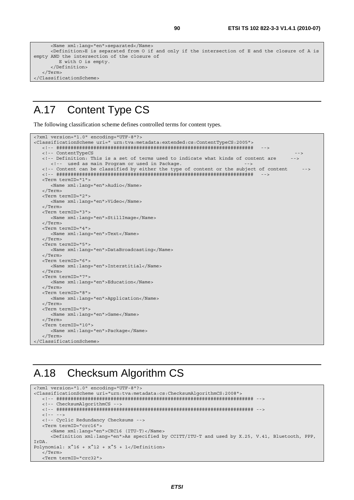```
 <Name xml:lang="en">separated</Name> 
       <Definition>E is separated from O if and only if the intersection of E and the closure of A is 
empty AND the intersection of the closure of 
         E with O is empty. 
       </Definition> 
    </Term> 
</ClassificationScheme>
```
#### A.17 Content Type CS

The following classification scheme defines controlled terms for content types.

```
<?xml version="1.0" encoding="UTF-8"?> 
<ClassificationScheme uri=" urn:tva:metadata:extended:cs:ContentTypeCS:2005"> 
   <!-- ##################################################################### --> 
   <!-- ContentTypeCS --> 
   <!-- Definition: This is a set of terms used to indicate what kinds of content are --> 
     <!-- used as main Program or used in Package. - <!-- Content can be classified by either the type of content or the subject of content --> 
   <!-- ##################################################################### --> 
   <Term termID="1"> 
      <Name xml:lang="en">Audio</Name> 
   </Term> 
   <Term termID="2"> 
      <Name xml:lang="en">Video</Name> 
   </Term> 
   <Term termID="3"> 
      <Name xml:lang="en">StillImage</Name> 
    </Term> 
   <Term termID="4"> 
      <Name xml:lang="en">Text</Name> 
   </Term> 
   <Term termID="5"> 
      <Name xml:lang="en">DataBroadcasting</Name> 
   </Term> 
   <Term termID="6"> 
      <Name xml:lang="en">Interstitial</Name> 
   </Term> 
   <Term termID="7"> 
      <Name xml:lang="en">Education</Name> 
   </Term> 
   <Term termID="8"> 
      <Name xml:lang="en">Application</Name> 
   </Term> 
   <Term termID="9"> 
      <Name xml:lang="en">Game</Name> 
   </Term> 
   <Term termID="10"> 
      <Name xml:lang="en">Package</Name> 
    </Term> 
</ClassificationScheme>
```
#### A.18 Checksum Algorithm CS

```
<?xml version="1.0" encoding="UTF-8"?> 
<ClassificationScheme uri="urn:tva:metadata:cs:ChecksumAlgorithmCS:2008"> 
    <!-- ##################################################################### --> 
    <!-- ChecksumAlgorithmCS --> 
    <!-- ##################################################################### --> 
   <! --
    <!-- Cyclic Redundancy Checksums --> 
    <Term termID="crc16"> 
       <Name xml:lang="en">CRC16 (ITU-T)</Name> 
       <Definition xml:lang="en">As specified by CCITT/ITU-T and used by X.25, V.41, Bluetooth, PPP, 
IrDA. 
Polynomial: x^16 + x^12 + x^5 + 1</Definition>
    </Term> 
    <Term termID="crc32">
```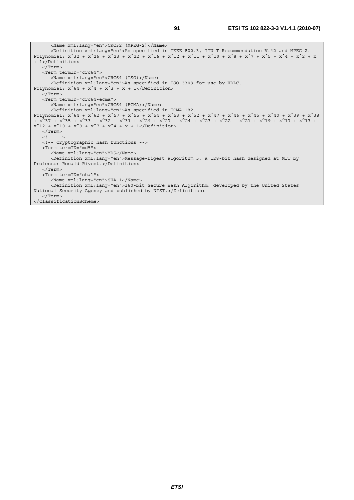```
 <Name xml:lang="en">CRC32 (MPEG-2)</Name> 
       <Definition xml:lang="en">As specified in IEEE 802.3, ITU-T Recommendation V.42 and MPEG-2. 
Polynomial: x^332 + x^26 + x^23 + x^22 + x^16 + x^12 + x^11 + x^10 + x^8 + x^7 + x^6 + x^4 + x^2 + x+ 1</Definition> 
    </Term> 
    <Term termID="crc64"> 
       <Name xml:lang="en">CRC64 (ISO)</Name> 
       <Definition xml:lang="en">As specified in ISO 3309 for use by HDLC. 
Polynomial: x^64 + x^4 + x^3 + x + 1 </Term> 
    <Term termID="crc64-ecma"> 
       <Name xml:lang="en">CRC64 (ECMA)</Name> 
       <Definition xml:lang="en">As specified in ECMA-182. 
Polynomial: x^64 + x^62 + x^57 + x^55 + x^54 + x^53 + x^54 + x^47 + x^46 + x^45 + x^40 + x^39 + x^38+ x^37 + x^35 + x^33 + x^32 + x^31 + x^29 + x^27 + x^24 + x^23 + x^22 + x^21 + x^19 + x^17 + x^13 + 
x^212 + x^210 + x^29 + x^27 + x^4 + x + 1</Definition>
   </Term> 
   \langle!-- -->
    <!-- Cryptographic hash functions --> 
    <Term termID="md5"> 
       <Name xml:lang="en">MD5</Name> 
       <Definition xml:lang="en">Message-Digest algorithm 5, a 128-bit hash designed at MIT by 
Professor Ronald Rivest.</Definition> 
    </Term> 
    <Term termID="sha1"> 
       <Name xml:lang="en">SHA-1</Name> 
       <Definition xml:lang="en">160-bit Secure Hash Algorithm, developed by the United States 
National Security Agency and published by NIST.</Definition> 
    </Term> 
</ClassificationScheme>
```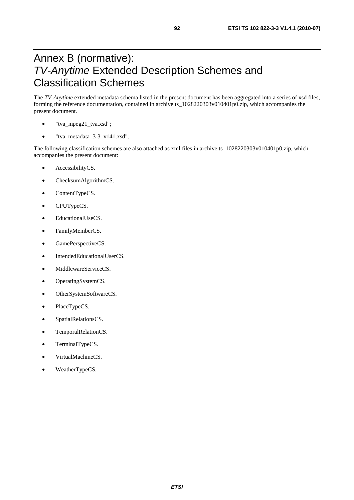### Annex B (normative): *TV-Anytime* Extended Description Schemes and Classification Schemes

The *TV-Anytime* extended metadata schema listed in the present document has been aggregated into a series of xsd files, forming the reference documentation, contained in archive ts\_1028220303v010401p0.zip, which accompanies the present document.

- "tva\_mpeg21\_tva.xsd";
- "tva\_metadata\_3-3\_v141.xsd".

The following classification schemes are also attached as xml files in archive ts\_1028220303v010401p0.zip, which accompanies the present document:

- AccessibilityCS.
- ChecksumAlgorithmCS.
- ContentTypeCS.
- CPUTypeCS.
- EducationalUseCS.
- FamilyMemberCS.
- GamePerspectiveCS.
- IntendedEducationalUserCS.
- MiddlewareServiceCS.
- OperatingSystemCS.
- OtherSystemSoftwareCS.
- PlaceTypeCS.
- SpatialRelationsCS.
- TemporalRelationCS.
- TerminalTypeCS.
- VirtualMachineCS.
- WeatherTypeCS.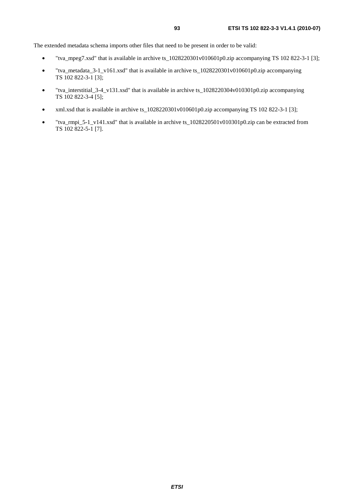The extended metadata schema imports other files that need to be present in order to be valid:

- "tva\_mpeg7.xsd" that is available in archive ts\_1028220301v010601p0.zip accompanying TS 102 822-3-1 [3];
- "tva\_metadata\_3-1\_v161.xsd" that is available in archive ts\_1028220301v010601p0.zip accompanying TS 102 822-3-1 [3];
- "tva\_interstitial\_3-4\_v131.xsd" that is available in archive ts\_1028220304v010301p0.zip accompanying TS 102 822-3-4 [5];
- xml.xsd that is available in archive ts  $1028220301v010601p0.$ zip accompanying TS 102 822-3-1 [3];
- "tva\_rmpi\_5-1\_v141.xsd" that is available in archive ts\_1028220501v010301p0.zip can be extracted from TS 102 822-5-1 [7].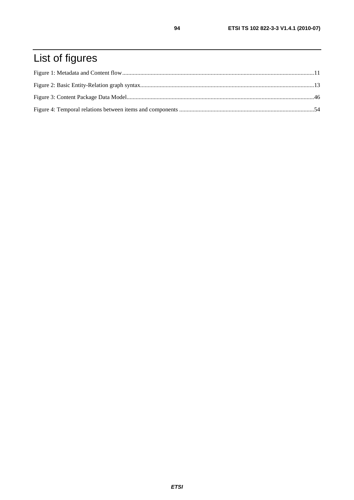# List of figures

94